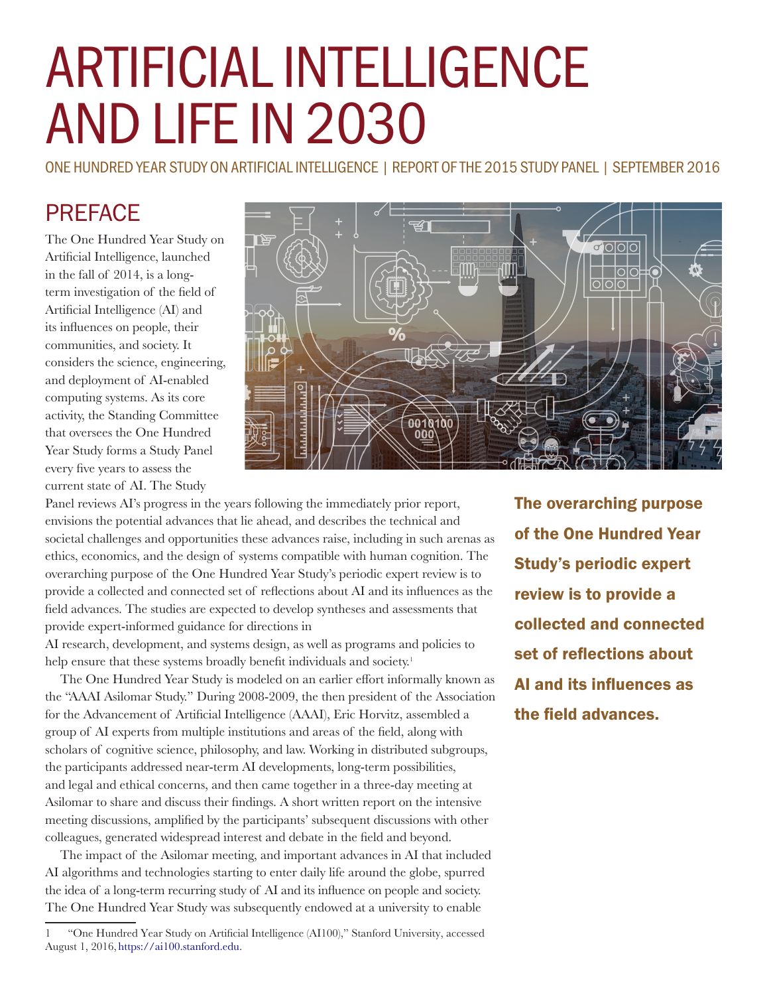# ARTIFICIAL INTELLIGENCE AND LIFE IN 2030

ONE HUNDRED YEAR STUDY ON ARTIFICIAL INTELLIGENCE | REPORT OF THE 2015 STUDY PANEL | SEPTEMBER 2016

# PREFACE

The One Hundred Year Study on Artificial Intelligence, launched in the fall of 2014, is a longterm investigation of the field of Artificial Intelligence (AI) and its influences on people, their communities, and society. It considers the science, engineering, and deployment of AI-enabled computing systems. As its core activity, the Standing Committee that oversees the One Hundred Year Study forms a Study Panel every five years to assess the current state of AI. The Study



Panel reviews AI's progress in the years following the immediately prior report, envisions the potential advances that lie ahead, and describes the technical and societal challenges and opportunities these advances raise, including in such arenas as ethics, economics, and the design of systems compatible with human cognition. The overarching purpose of the One Hundred Year Study's periodic expert review is to provide a collected and connected set of reflections about AI and its influences as the field advances. The studies are expected to develop syntheses and assessments that provide expert-informed guidance for directions in

AI research, development, and systems design, as well as programs and policies to help ensure that these systems broadly benefit individuals and society.<sup>1</sup>

The One Hundred Year Study is modeled on an earlier effort informally known as the "AAAI Asilomar Study." During 2008-2009, the then president of the Association for the Advancement of Artificial Intelligence (AAAI), Eric Horvitz, assembled a group of AI experts from multiple institutions and areas of the field, along with scholars of cognitive science, philosophy, and law. Working in distributed subgroups, the participants addressed near-term AI developments, long-term possibilities, and legal and ethical concerns, and then came together in a three-day meeting at Asilomar to share and discuss their findings. A short written report on the intensive meeting discussions, amplified by the participants' subsequent discussions with other colleagues, generated widespread interest and debate in the field and beyond.

The impact of the Asilomar meeting, and important advances in AI that included AI algorithms and technologies starting to enter daily life around the globe, spurred the idea of a long-term recurring study of AI and its influence on people and society. The One Hundred Year Study was subsequently endowed at a university to enable

The overarching purpose of the One Hundred Year Study's periodic expert review is to provide a collected and connected set of reflections about AI and its influences as the field advances.

<sup>1</sup> "One Hundred Year Study on Artificial Intelligence (AI100)," Stanford University, accessed August 1, 2016, https://ai100.stanford.edu.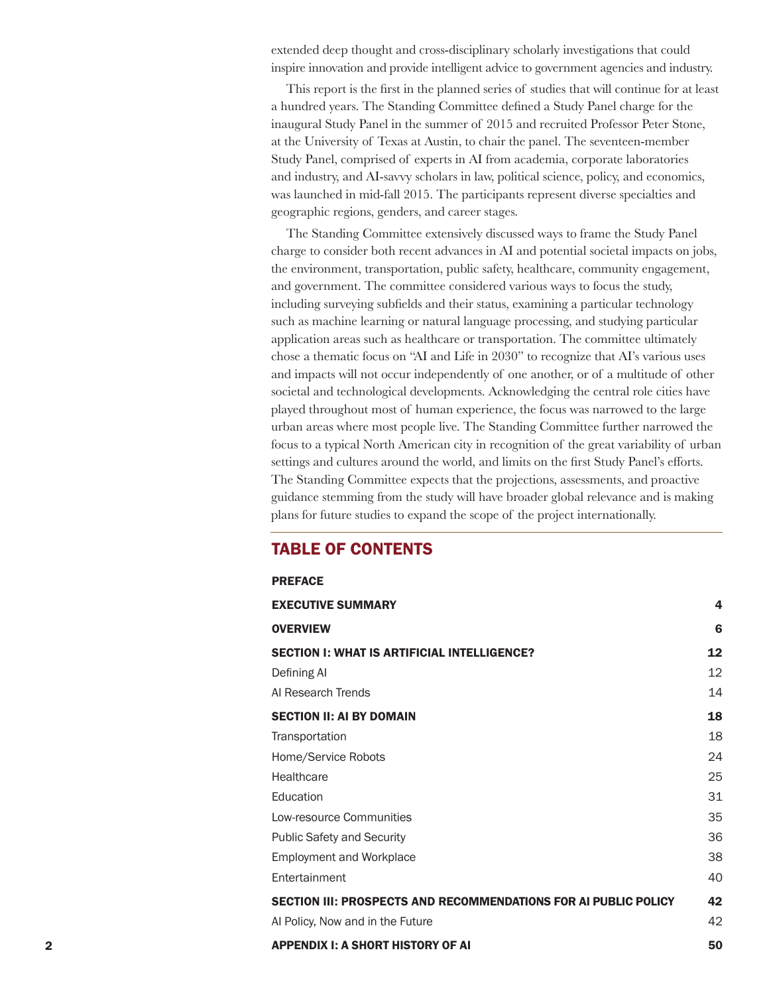extended deep thought and cross-disciplinary scholarly investigations that could inspire innovation and provide intelligent advice to government agencies and industry.

This report is the first in the planned series of studies that will continue for at least a hundred years. The Standing Committee defined a Study Panel charge for the inaugural Study Panel in the summer of 2015 and recruited Professor Peter Stone, at the University of Texas at Austin, to chair the panel. The seventeen-member Study Panel, comprised of experts in AI from academia, corporate laboratories and industry, and AI-savvy scholars in law, political science, policy, and economics, was launched in mid-fall 2015. The participants represent diverse specialties and geographic regions, genders, and career stages.

The Standing Committee extensively discussed ways to frame the Study Panel charge to consider both recent advances in AI and potential societal impacts on jobs, the environment, transportation, public safety, healthcare, community engagement, and government. The committee considered various ways to focus the study, including surveying subfields and their status, examining a particular technology such as machine learning or natural language processing, and studying particular application areas such as healthcare or transportation. The committee ultimately chose a thematic focus on "AI and Life in 2030" to recognize that AI's various uses and impacts will not occur independently of one another, or of a multitude of other societal and technological developments. Acknowledging the central role cities have played throughout most of human experience, the focus was narrowed to the large urban areas where most people live. The Standing Committee further narrowed the focus to a typical North American city in recognition of the great variability of urban settings and cultures around the world, and limits on the first Study Panel's efforts. The Standing Committee expects that the projections, assessments, and proactive guidance stemming from the study will have broader global relevance and is making plans for future studies to expand the scope of the project internationally.

# TABLE OF CONTENTS

| <b>PREFACE</b>                                                         |    |
|------------------------------------------------------------------------|----|
| <b>EXECUTIVE SUMMARY</b>                                               | 4  |
| <b>OVERVIEW</b>                                                        | 6  |
| <b>SECTION I: WHAT IS ARTIFICIAL INTELLIGENCE?</b>                     | 12 |
| Defining AI                                                            | 12 |
| Al Research Trends                                                     | 14 |
| <b>SECTION II: AI BY DOMAIN</b>                                        | 18 |
| Transportation                                                         | 18 |
| Home/Service Robots                                                    | 24 |
| Healthcare                                                             | 25 |
| Education                                                              | 31 |
| Low-resource Communities                                               | 35 |
| <b>Public Safety and Security</b>                                      | 36 |
| <b>Employment and Workplace</b>                                        | 38 |
| Entertainment                                                          | 40 |
| <b>SECTION III: PROSPECTS AND RECOMMENDATIONS FOR AI PUBLIC POLICY</b> | 42 |
| Al Policy, Now and in the Future                                       | 42 |
| <b>APPENDIX I: A SHORT HISTORY OF AI</b>                               | 50 |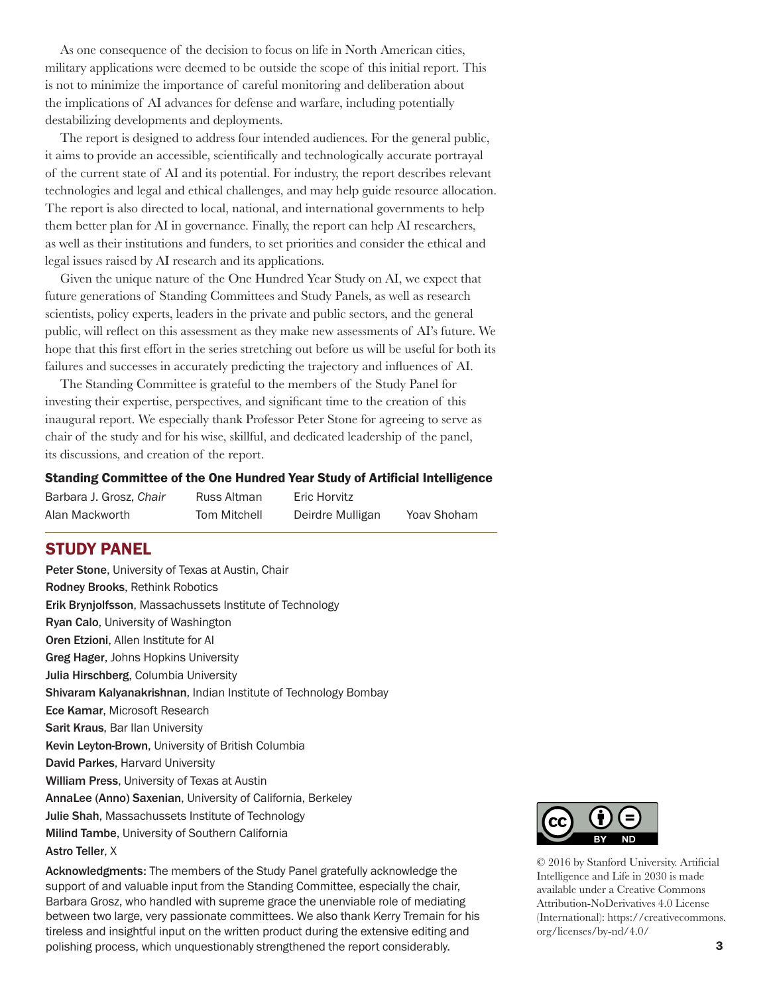As one consequence of the decision to focus on life in North American cities, military applications were deemed to be outside the scope of this initial report. This is not to minimize the importance of careful monitoring and deliberation about the implications of AI advances for defense and warfare, including potentially destabilizing developments and deployments.

The report is designed to address four intended audiences. For the general public, it aims to provide an accessible, scientifically and technologically accurate portrayal of the current state of AI and its potential. For industry, the report describes relevant technologies and legal and ethical challenges, and may help guide resource allocation. The report is also directed to local, national, and international governments to help them better plan for AI in governance. Finally, the report can help AI researchers, as well as their institutions and funders, to set priorities and consider the ethical and legal issues raised by AI research and its applications.

Given the unique nature of the One Hundred Year Study on AI, we expect that future generations of Standing Committees and Study Panels, as well as research scientists, policy experts, leaders in the private and public sectors, and the general public, will reflect on this assessment as they make new assessments of AI's future. We hope that this first effort in the series stretching out before us will be useful for both its failures and successes in accurately predicting the trajectory and influences of AI.

The Standing Committee is grateful to the members of the Study Panel for investing their expertise, perspectives, and significant time to the creation of this inaugural report. We especially thank Professor Peter Stone for agreeing to serve as chair of the study and for his wise, skillful, and dedicated leadership of the panel, its discussions, and creation of the report.

#### Standing Committee of the One Hundred Year Study of Artificial Intelligence

| Barbara J. Grosz, Chair | Russ Altman  | Eric Horvitz     |             |
|-------------------------|--------------|------------------|-------------|
| Alan Mackworth          | Tom Mitchell | Deirdre Mulligan | Yoav Shoham |

# STUDY PANEL

Peter Stone, University of Texas at Austin, Chair Rodney Brooks, Rethink Robotics Erik Brynjolfsson, Massachussets Institute of Technology Ryan Calo, University of Washington Oren Etzioni, Allen Institute for AI Greg Hager, Johns Hopkins University Julia Hirschberg, Columbia University Shivaram Kalyanakrishnan, Indian Institute of Technology Bombay Ece Kamar, Microsoft Research Sarit Kraus, Bar Ilan University Kevin Leyton-Brown, University of British Columbia David Parkes, Harvard University William Press, University of Texas at Austin AnnaLee (Anno) Saxenian, University of California, Berkeley Julie Shah, Massachussets Institute of Technology Milind Tambe, University of Southern California Astro Teller, X

Acknowledgments: The members of the Study Panel gratefully acknowledge the support of and valuable input from the Standing Committee, especially the chair, Barbara Grosz, who handled with supreme grace the unenviable role of mediating between two large, very passionate committees. We also thank Kerry Tremain for his tireless and insightful input on the written product during the extensive editing and polishing process, which unquestionably strengthened the report considerably.



© 2016 by Stanford University. Artificial Intelligence and Life in 2030 is made available under a Creative Commons Attribution-NoDerivatives 4.0 License (International): https://creativecommons. org/licenses/by-nd/4.0/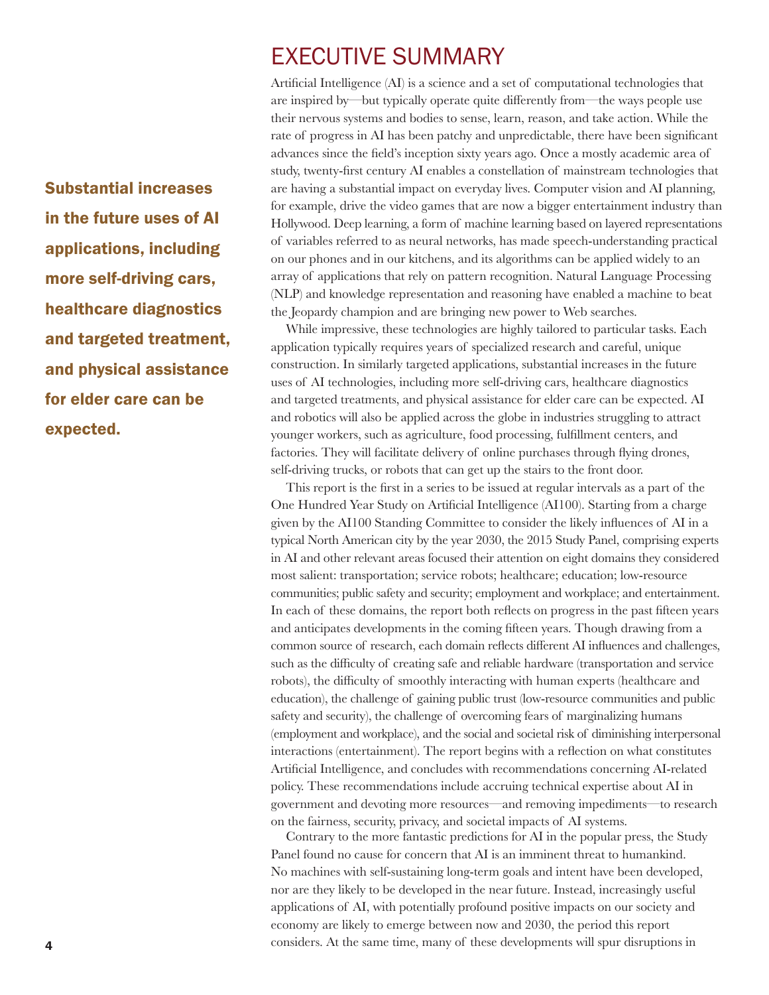# EXECUTIVE SUMMARY

Artificial Intelligence (AI) is a science and a set of computational technologies that are inspired by—but typically operate quite differently from—the ways people use their nervous systems and bodies to sense, learn, reason, and take action. While the rate of progress in AI has been patchy and unpredictable, there have been significant advances since the field's inception sixty years ago. Once a mostly academic area of study, twenty-first century AI enables a constellation of mainstream technologies that are having a substantial impact on everyday lives. Computer vision and AI planning, for example, drive the video games that are now a bigger entertainment industry than Hollywood. Deep learning, a form of machine learning based on layered representations of variables referred to as neural networks, has made speech-understanding practical on our phones and in our kitchens, and its algorithms can be applied widely to an array of applications that rely on pattern recognition. Natural Language Processing (NLP) and knowledge representation and reasoning have enabled a machine to beat the Jeopardy champion and are bringing new power to Web searches.

While impressive, these technologies are highly tailored to particular tasks. Each application typically requires years of specialized research and careful, unique construction. In similarly targeted applications, substantial increases in the future uses of AI technologies, including more self-driving cars, healthcare diagnostics and targeted treatments, and physical assistance for elder care can be expected. AI and robotics will also be applied across the globe in industries struggling to attract younger workers, such as agriculture, food processing, fulfillment centers, and factories. They will facilitate delivery of online purchases through flying drones, self-driving trucks, or robots that can get up the stairs to the front door.

This report is the first in a series to be issued at regular intervals as a part of the One Hundred Year Study on Artificial Intelligence (AI100). Starting from a charge given by the AI100 Standing Committee to consider the likely influences of AI in a typical North American city by the year 2030, the 2015 Study Panel, comprising experts in AI and other relevant areas focused their attention on eight domains they considered most salient: transportation; service robots; healthcare; education; low-resource communities; public safety and security; employment and workplace; and entertainment. In each of these domains, the report both reflects on progress in the past fifteen years and anticipates developments in the coming fifteen years. Though drawing from a common source of research, each domain reflects different AI influences and challenges, such as the difficulty of creating safe and reliable hardware (transportation and service robots), the difficulty of smoothly interacting with human experts (healthcare and education), the challenge of gaining public trust (low-resource communities and public safety and security), the challenge of overcoming fears of marginalizing humans (employment and workplace), and the social and societal risk of diminishing interpersonal interactions (entertainment). The report begins with a reflection on what constitutes Artificial Intelligence, and concludes with recommendations concerning AI-related policy. These recommendations include accruing technical expertise about AI in government and devoting more resources—and removing impediments—to research on the fairness, security, privacy, and societal impacts of AI systems.

Contrary to the more fantastic predictions for AI in the popular press, the Study Panel found no cause for concern that AI is an imminent threat to humankind. No machines with self-sustaining long-term goals and intent have been developed, nor are they likely to be developed in the near future. Instead, increasingly useful applications of AI, with potentially profound positive impacts on our society and economy are likely to emerge between now and 2030, the period this report considers. At the same time, many of these developments will spur disruptions in

Substantial increases in the future uses of AI applications, including more self-driving cars, healthcare diagnostics and targeted treatment, and physical assistance for elder care can be expected.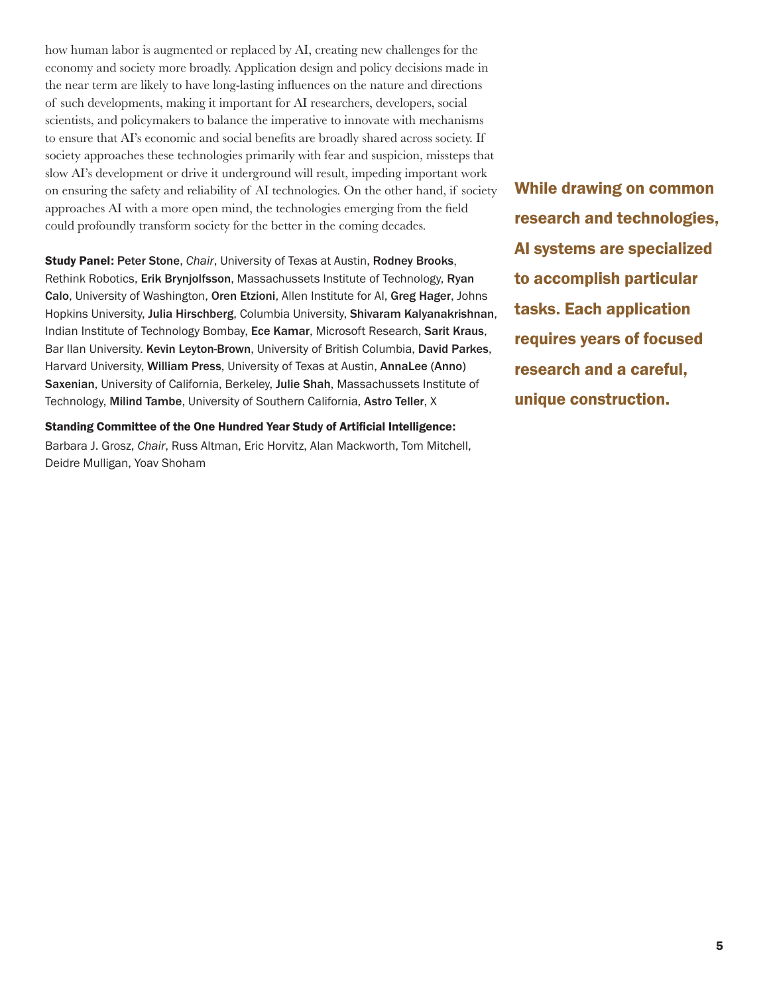how human labor is augmented or replaced by AI, creating new challenges for the economy and society more broadly. Application design and policy decisions made in the near term are likely to have long-lasting influences on the nature and directions of such developments, making it important for AI researchers, developers, social scientists, and policymakers to balance the imperative to innovate with mechanisms to ensure that AI's economic and social benefits are broadly shared across society. If society approaches these technologies primarily with fear and suspicion, missteps that slow AI's development or drive it underground will result, impeding important work on ensuring the safety and reliability of AI technologies. On the other hand, if society approaches AI with a more open mind, the technologies emerging from the field could profoundly transform society for the better in the coming decades.

Study Panel: Peter Stone, *Chair*, University of Texas at Austin, Rodney Brooks, Rethink Robotics, Erik Brynjolfsson, Massachussets Institute of Technology, Ryan Calo, University of Washington, Oren Etzioni, Allen Institute for AI, Greg Hager, Johns Hopkins University, Julia Hirschberg, Columbia University, Shivaram Kalyanakrishnan, Indian Institute of Technology Bombay, Ece Kamar, Microsoft Research, Sarit Kraus, Bar Ilan University. Kevin Leyton-Brown, University of British Columbia, David Parkes, Harvard University, William Press, University of Texas at Austin, AnnaLee (Anno) Saxenian, University of California, Berkeley, Julie Shah, Massachussets Institute of Technology, Milind Tambe, University of Southern California, Astro Teller, X

Standing Committee of the One Hundred Year Study of Artificial Intelligence: Barbara J. Grosz, *Chair*, Russ Altman, Eric Horvitz, Alan Mackworth, Tom Mitchell, Deidre Mulligan, Yoav Shoham

While drawing on common research and technologies, AI systems are specialized to accomplish particular tasks. Each application requires years of focused research and a careful, unique construction.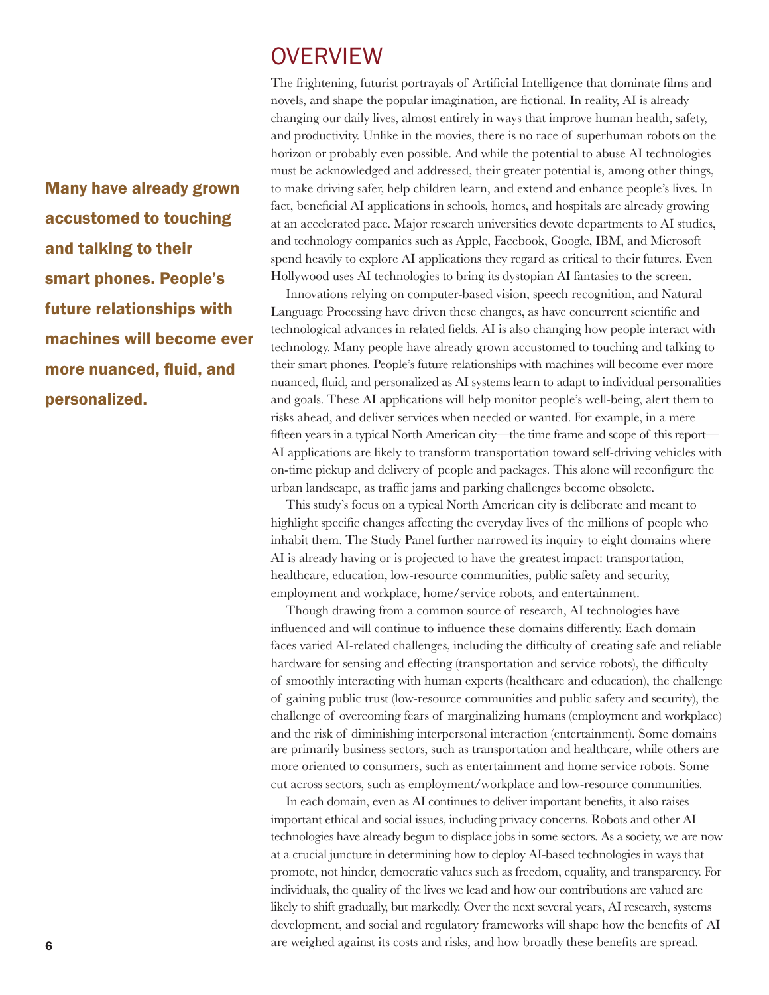# **OVERVIEW**

The frightening, futurist portrayals of Artificial Intelligence that dominate films and novels, and shape the popular imagination, are fictional. In reality, AI is already changing our daily lives, almost entirely in ways that improve human health, safety, and productivity. Unlike in the movies, there is no race of superhuman robots on the horizon or probably even possible. And while the potential to abuse AI technologies must be acknowledged and addressed, their greater potential is, among other things, to make driving safer, help children learn, and extend and enhance people's lives. In fact, beneficial AI applications in schools, homes, and hospitals are already growing at an accelerated pace. Major research universities devote departments to AI studies, and technology companies such as Apple, Facebook, Google, IBM, and Microsoft spend heavily to explore AI applications they regard as critical to their futures. Even Hollywood uses AI technologies to bring its dystopian AI fantasies to the screen.

Innovations relying on computer-based vision, speech recognition, and Natural Language Processing have driven these changes, as have concurrent scientific and technological advances in related fields. AI is also changing how people interact with technology. Many people have already grown accustomed to touching and talking to their smart phones. People's future relationships with machines will become ever more nuanced, fluid, and personalized as AI systems learn to adapt to individual personalities and goals. These AI applications will help monitor people's well-being, alert them to risks ahead, and deliver services when needed or wanted. For example, in a mere fifteen years in a typical North American city—the time frame and scope of this report— AI applications are likely to transform transportation toward self-driving vehicles with on-time pickup and delivery of people and packages. This alone will reconfigure the urban landscape, as traffic jams and parking challenges become obsolete.

This study's focus on a typical North American city is deliberate and meant to highlight specific changes affecting the everyday lives of the millions of people who inhabit them. The Study Panel further narrowed its inquiry to eight domains where AI is already having or is projected to have the greatest impact: transportation, healthcare, education, low-resource communities, public safety and security, employment and workplace, home/service robots, and entertainment.

Though drawing from a common source of research, AI technologies have influenced and will continue to influence these domains differently. Each domain faces varied AI-related challenges, including the difficulty of creating safe and reliable hardware for sensing and effecting (transportation and service robots), the difficulty of smoothly interacting with human experts (healthcare and education), the challenge of gaining public trust (low-resource communities and public safety and security), the challenge of overcoming fears of marginalizing humans (employment and workplace) and the risk of diminishing interpersonal interaction (entertainment). Some domains are primarily business sectors, such as transportation and healthcare, while others are more oriented to consumers, such as entertainment and home service robots. Some cut across sectors, such as employment/workplace and low-resource communities.

In each domain, even as AI continues to deliver important benefits, it also raises important ethical and social issues, including privacy concerns. Robots and other AI technologies have already begun to displace jobs in some sectors. As a society, we are now at a crucial juncture in determining how to deploy AI-based technologies in ways that promote, not hinder, democratic values such as freedom, equality, and transparency. For individuals, the quality of the lives we lead and how our contributions are valued are likely to shift gradually, but markedly. Over the next several years, AI research, systems development, and social and regulatory frameworks will shape how the benefits of AI are weighed against its costs and risks, and how broadly these benefits are spread.

Many have already grown accustomed to touching and talking to their smart phones. People's future relationships with machines will become ever more nuanced, fluid, and personalized.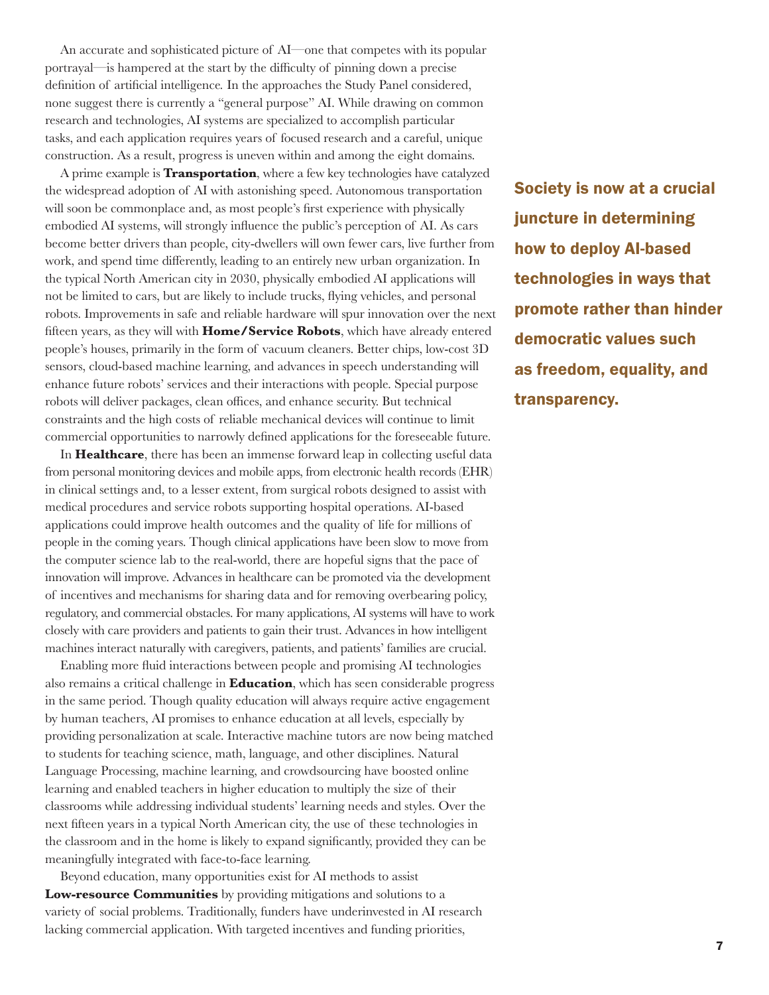An accurate and sophisticated picture of AI—one that competes with its popular portrayal—is hampered at the start by the difficulty of pinning down a precise definition of artificial intelligence*.* In the approaches the Study Panel considered, none suggest there is currently a "general purpose" AI. While drawing on common research and technologies, AI systems are specialized to accomplish particular tasks, and each application requires years of focused research and a careful, unique construction. As a result, progress is uneven within and among the eight domains.

A prime example is **Transportation**, where a few key technologies have catalyzed the widespread adoption of AI with astonishing speed. Autonomous transportation will soon be commonplace and, as most people's first experience with physically embodied AI systems, will strongly influence the public's perception of AI. As cars become better drivers than people, city-dwellers will own fewer cars, live further from work, and spend time differently, leading to an entirely new urban organization. In the typical North American city in 2030, physically embodied AI applications will not be limited to cars, but are likely to include trucks, flying vehicles, and personal robots. Improvements in safe and reliable hardware will spur innovation over the next fifteen years, as they will with **Home/Service Robots**, which have already entered people's houses, primarily in the form of vacuum cleaners. Better chips, low-cost 3D sensors, cloud-based machine learning, and advances in speech understanding will enhance future robots' services and their interactions with people. Special purpose robots will deliver packages, clean offices, and enhance security. But technical constraints and the high costs of reliable mechanical devices will continue to limit commercial opportunities to narrowly defined applications for the foreseeable future.

In **Healthcare**, there has been an immense forward leap in collecting useful data from personal monitoring devices and mobile apps, from electronic health records (EHR) in clinical settings and, to a lesser extent, from surgical robots designed to assist with medical procedures and service robots supporting hospital operations. AI-based applications could improve health outcomes and the quality of life for millions of people in the coming years. Though clinical applications have been slow to move from the computer science lab to the real-world, there are hopeful signs that the pace of innovation will improve. Advances in healthcare can be promoted via the development of incentives and mechanisms for sharing data and for removing overbearing policy, regulatory, and commercial obstacles. For many applications, AI systems will have to work closely with care providers and patients to gain their trust. Advances in how intelligent machines interact naturally with caregivers, patients, and patients' families are crucial.

Enabling more fluid interactions between people and promising AI technologies also remains a critical challenge in **Education**, which has seen considerable progress in the same period. Though quality education will always require active engagement by human teachers, AI promises to enhance education at all levels, especially by providing personalization at scale. Interactive machine tutors are now being matched to students for teaching science, math, language, and other disciplines. Natural Language Processing, machine learning, and crowdsourcing have boosted online learning and enabled teachers in higher education to multiply the size of their classrooms while addressing individual students' learning needs and styles. Over the next fifteen years in a typical North American city, the use of these technologies in the classroom and in the home is likely to expand significantly, provided they can be meaningfully integrated with face-to-face learning.

Beyond education, many opportunities exist for AI methods to assist **Low-resource Communities** by providing mitigations and solutions to a variety of social problems. Traditionally, funders have underinvested in AI research lacking commercial application. With targeted incentives and funding priorities,

Society is now at a crucial juncture in determining how to deploy AI-based technologies in ways that promote rather than hinder democratic values such as freedom, equality, and transparency.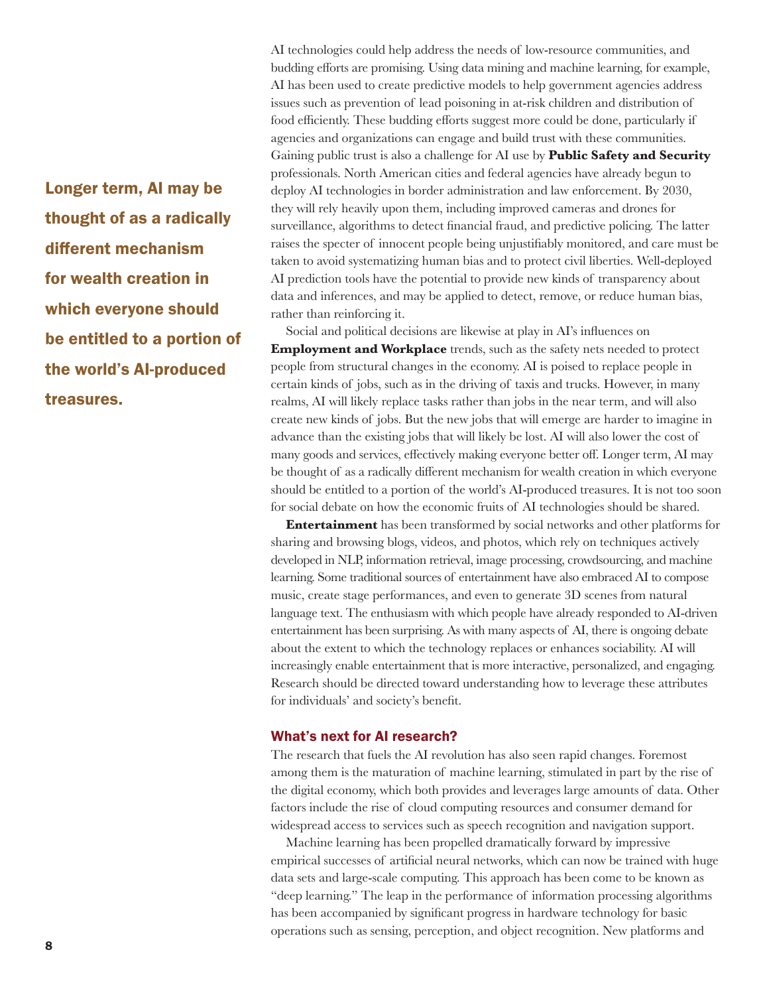Longer term, AI may be thought of as a radically different mechanism for wealth creation in which everyone should be entitled to a portion of the world's AI-produced treasures.

AI technologies could help address the needs of low-resource communities, and budding efforts are promising. Using data mining and machine learning, for example, AI has been used to create predictive models to help government agencies address issues such as prevention of lead poisoning in at-risk children and distribution of food efficiently. These budding efforts suggest more could be done, particularly if agencies and organizations can engage and build trust with these communities. Gaining public trust is also a challenge for AI use by **Public Safety and Security** professionals. North American cities and federal agencies have already begun to deploy AI technologies in border administration and law enforcement. By 2030, they will rely heavily upon them, including improved cameras and drones for surveillance, algorithms to detect financial fraud, and predictive policing. The latter raises the specter of innocent people being unjustifiably monitored, and care must be taken to avoid systematizing human bias and to protect civil liberties. Well-deployed AI prediction tools have the potential to provide new kinds of transparency about data and inferences, and may be applied to detect, remove, or reduce human bias, rather than reinforcing it.

Social and political decisions are likewise at play in AI's influences on **Employment and Workplace** trends, such as the safety nets needed to protect people from structural changes in the economy. AI is poised to replace people in certain kinds of jobs, such as in the driving of taxis and trucks. However, in many realms, AI will likely replace tasks rather than jobs in the near term, and will also create new kinds of jobs. But the new jobs that will emerge are harder to imagine in advance than the existing jobs that will likely be lost. AI will also lower the cost of many goods and services, effectively making everyone better off. Longer term, AI may be thought of as a radically different mechanism for wealth creation in which everyone should be entitled to a portion of the world's AI-produced treasures. It is not too soon for social debate on how the economic fruits of AI technologies should be shared.

**Entertainment** has been transformed by social networks and other platforms for sharing and browsing blogs, videos, and photos, which rely on techniques actively developed in NLP, information retrieval, image processing, crowdsourcing, and machine learning. Some traditional sources of entertainment have also embraced AI to compose music, create stage performances, and even to generate 3D scenes from natural language text. The enthusiasm with which people have already responded to AI-driven entertainment has been surprising. As with many aspects of AI, there is ongoing debate about the extent to which the technology replaces or enhances sociability. AI will increasingly enable entertainment that is more interactive, personalized, and engaging. Research should be directed toward understanding how to leverage these attributes for individuals' and society's benefit.

#### What's next for AI research?

The research that fuels the AI revolution has also seen rapid changes. Foremost among them is the maturation of machine learning, stimulated in part by the rise of the digital economy, which both provides and leverages large amounts of data. Other factors include the rise of cloud computing resources and consumer demand for widespread access to services such as speech recognition and navigation support.

Machine learning has been propelled dramatically forward by impressive empirical successes of artificial neural networks, which can now be trained with huge data sets and large-scale computing. This approach has been come to be known as "deep learning." The leap in the performance of information processing algorithms has been accompanied by significant progress in hardware technology for basic operations such as sensing, perception, and object recognition. New platforms and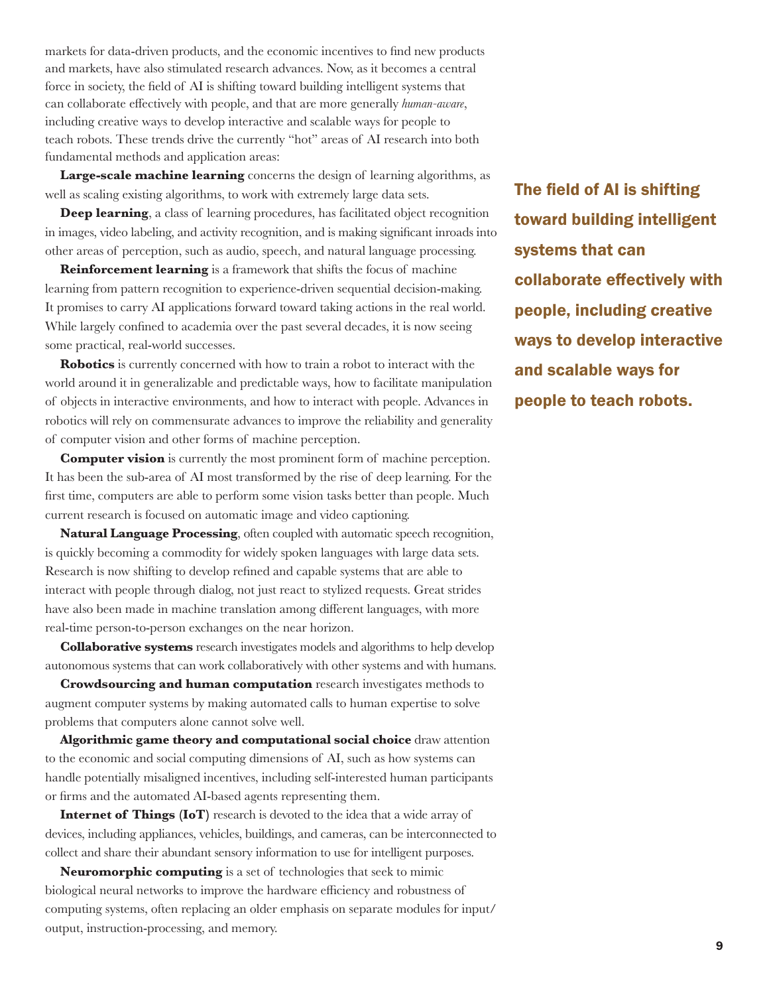markets for data-driven products, and the economic incentives to find new products and markets, have also stimulated research advances. Now, as it becomes a central force in society, the field of AI is shifting toward building intelligent systems that can collaborate effectively with people, and that are more generally *human-aware*, including creative ways to develop interactive and scalable ways for people to teach robots. These trends drive the currently "hot" areas of AI research into both fundamental methods and application areas:

**Large-scale machine learning** concerns the design of learning algorithms, as well as scaling existing algorithms, to work with extremely large data sets.

**Deep learning**, a class of learning procedures, has facilitated object recognition in images, video labeling, and activity recognition, and is making significant inroads into other areas of perception, such as audio, speech, and natural language processing.

**Reinforcement learning** is a framework that shifts the focus of machine learning from pattern recognition to experience-driven sequential decision-making. It promises to carry AI applications forward toward taking actions in the real world. While largely confined to academia over the past several decades, it is now seeing some practical, real-world successes.

**Robotics** is currently concerned with how to train a robot to interact with the world around it in generalizable and predictable ways, how to facilitate manipulation of objects in interactive environments, and how to interact with people. Advances in robotics will rely on commensurate advances to improve the reliability and generality of computer vision and other forms of machine perception.

**Computer vision** is currently the most prominent form of machine perception. It has been the sub-area of AI most transformed by the rise of deep learning. For the first time, computers are able to perform some vision tasks better than people. Much current research is focused on automatic image and video captioning.

**Natural Language Processing**, often coupled with automatic speech recognition, is quickly becoming a commodity for widely spoken languages with large data sets. Research is now shifting to develop refined and capable systems that are able to interact with people through dialog, not just react to stylized requests. Great strides have also been made in machine translation among different languages, with more real-time person-to-person exchanges on the near horizon.

**Collaborative systems** research investigates models and algorithms to help develop autonomous systems that can work collaboratively with other systems and with humans.

**Crowdsourcing and human computation** research investigates methods to augment computer systems by making automated calls to human expertise to solve problems that computers alone cannot solve well.

**Algorithmic game theory and computational social choice** draw attention to the economic and social computing dimensions of AI, such as how systems can handle potentially misaligned incentives, including self-interested human participants or firms and the automated AI-based agents representing them.

**Internet of Things (IoT)** research is devoted to the idea that a wide array of devices, including appliances, vehicles, buildings, and cameras, can be interconnected to collect and share their abundant sensory information to use for intelligent purposes.

**Neuromorphic computing** is a set of technologies that seek to mimic biological neural networks to improve the hardware efficiency and robustness of computing systems, often replacing an older emphasis on separate modules for input/ output, instruction-processing, and memory.

The field of AI is shifting toward building intelligent systems that can collaborate effectively with people, including creative ways to develop interactive and scalable ways for people to teach robots.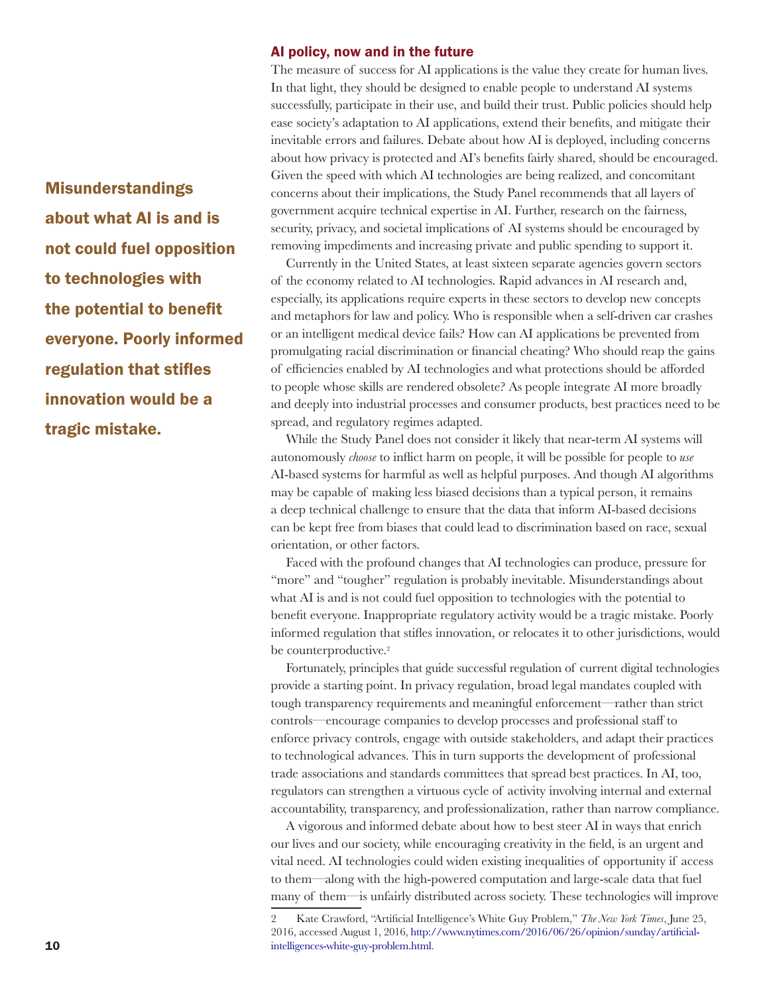Misunderstandings about what AI is and is not could fuel opposition to technologies with the potential to benefit everyone. Poorly informed regulation that stifles innovation would be a tragic mistake.

#### AI policy, now and in the future

The measure of success for AI applications is the value they create for human lives. In that light, they should be designed to enable people to understand AI systems successfully, participate in their use, and build their trust. Public policies should help ease society's adaptation to AI applications, extend their benefits, and mitigate their inevitable errors and failures. Debate about how AI is deployed, including concerns about how privacy is protected and AI's benefits fairly shared, should be encouraged. Given the speed with which AI technologies are being realized, and concomitant concerns about their implications, the Study Panel recommends that all layers of government acquire technical expertise in AI. Further, research on the fairness, security, privacy, and societal implications of AI systems should be encouraged by removing impediments and increasing private and public spending to support it.

Currently in the United States, at least sixteen separate agencies govern sectors of the economy related to AI technologies. Rapid advances in AI research and, especially, its applications require experts in these sectors to develop new concepts and metaphors for law and policy. Who is responsible when a self-driven car crashes or an intelligent medical device fails? How can AI applications be prevented from promulgating racial discrimination or financial cheating? Who should reap the gains of efficiencies enabled by AI technologies and what protections should be afforded to people whose skills are rendered obsolete? As people integrate AI more broadly and deeply into industrial processes and consumer products, best practices need to be spread, and regulatory regimes adapted.

While the Study Panel does not consider it likely that near-term AI systems will autonomously *choose* to inflict harm on people, it will be possible for people to *use* AI-based systems for harmful as well as helpful purposes. And though AI algorithms may be capable of making less biased decisions than a typical person, it remains a deep technical challenge to ensure that the data that inform AI-based decisions can be kept free from biases that could lead to discrimination based on race, sexual orientation, or other factors.

Faced with the profound changes that AI technologies can produce, pressure for "more" and "tougher" regulation is probably inevitable. Misunderstandings about what AI is and is not could fuel opposition to technologies with the potential to benefit everyone. Inappropriate regulatory activity would be a tragic mistake. Poorly informed regulation that stifles innovation, or relocates it to other jurisdictions, would be counterproductive.<sup>2</sup>

Fortunately, principles that guide successful regulation of current digital technologies provide a starting point. In privacy regulation, broad legal mandates coupled with tough transparency requirements and meaningful enforcement—rather than strict controls—encourage companies to develop processes and professional staff to enforce privacy controls, engage with outside stakeholders, and adapt their practices to technological advances. This in turn supports the development of professional trade associations and standards committees that spread best practices. In AI, too, regulators can strengthen a virtuous cycle of activity involving internal and external accountability, transparency, and professionalization, rather than narrow compliance.

A vigorous and informed debate about how to best steer AI in ways that enrich our lives and our society, while encouraging creativity in the field, is an urgent and vital need. AI technologies could widen existing inequalities of opportunity if access to them—along with the high-powered computation and large-scale data that fuel many of them—is unfairly distributed across society. These technologies will improve

<sup>2</sup> Kate Crawford, "Artificial Intelligence's White Guy Problem," *The New York Times*, June 25, 2016, accessed August 1, 2016, http://www.nytimes.com/2016/06/26/opinion/sunday/artificialintelligences-white-guy-problem.html.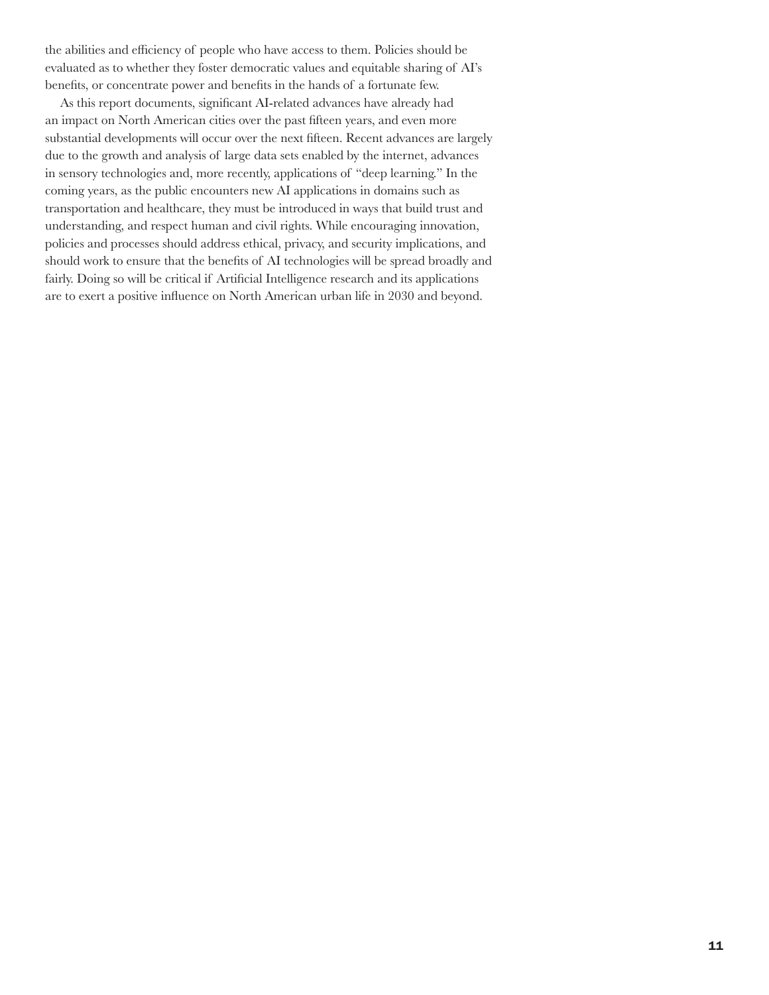the abilities and efficiency of people who have access to them. Policies should be evaluated as to whether they foster democratic values and equitable sharing of AI's benefits, or concentrate power and benefits in the hands of a fortunate few.

As this report documents, significant AI-related advances have already had an impact on North American cities over the past fifteen years, and even more substantial developments will occur over the next fifteen. Recent advances are largely due to the growth and analysis of large data sets enabled by the internet, advances in sensory technologies and, more recently, applications of "deep learning." In the coming years, as the public encounters new AI applications in domains such as transportation and healthcare, they must be introduced in ways that build trust and understanding, and respect human and civil rights. While encouraging innovation, policies and processes should address ethical, privacy, and security implications, and should work to ensure that the benefits of AI technologies will be spread broadly and fairly. Doing so will be critical if Artificial Intelligence research and its applications are to exert a positive influence on North American urban life in 2030 and beyond.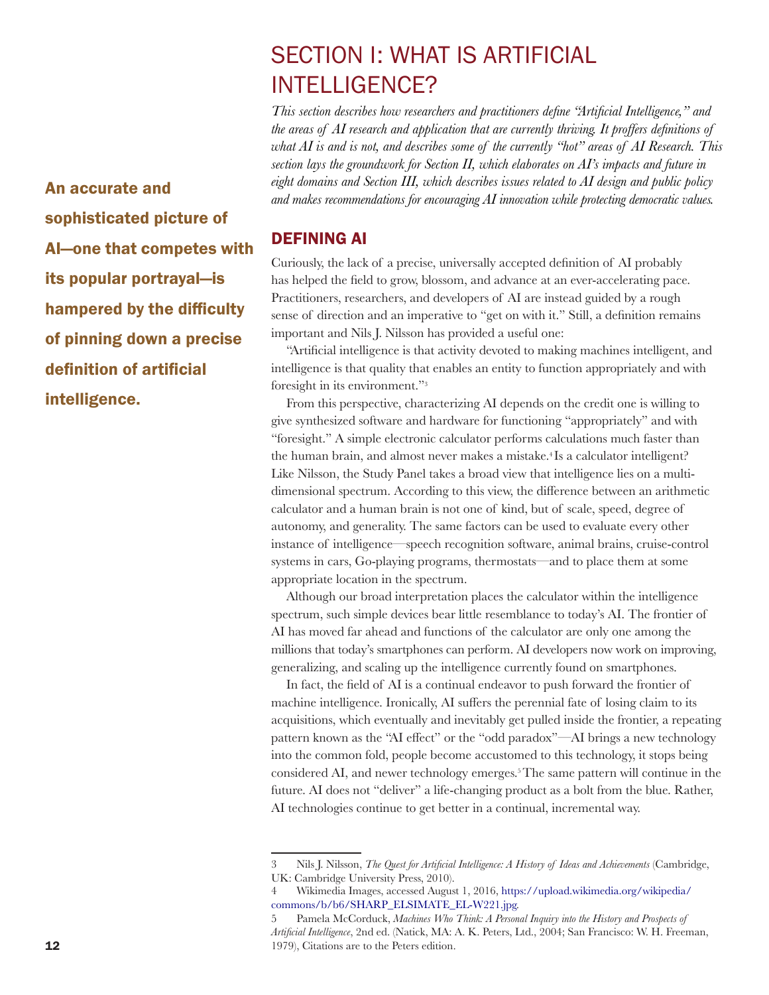# SECTION I: WHAT IS ARTIFICIAL INTELLIGENCE?

*This section describes how researchers and practitioners define "Artificial Intelligence," and the areas of AI research and application that are currently thriving. It proffers definitions of what AI is and is not, and describes some of the currently "hot" areas of AI Research. This section lays the groundwork for Section II, which elaborates on AI's impacts and future in eight domains and Section III, which describes issues related to AI design and public policy and makes recommendations for encouraging AI innovation while protecting democratic values.*

# DEFINING AI

Curiously, the lack of a precise, universally accepted definition of AI probably has helped the field to grow, blossom, and advance at an ever-accelerating pace. Practitioners, researchers, and developers of AI are instead guided by a rough sense of direction and an imperative to "get on with it." Still, a definition remains important and Nils J. Nilsson has provided a useful one:

"Artificial intelligence is that activity devoted to making machines intelligent, and intelligence is that quality that enables an entity to function appropriately and with foresight in its environment."3

From this perspective, characterizing AI depends on the credit one is willing to give synthesized software and hardware for functioning "appropriately" and with "foresight." A simple electronic calculator performs calculations much faster than the human brain, and almost never makes a mistake.<sup>4</sup> Is a calculator intelligent? Like Nilsson, the Study Panel takes a broad view that intelligence lies on a multidimensional spectrum. According to this view, the difference between an arithmetic calculator and a human brain is not one of kind, but of scale, speed, degree of autonomy, and generality. The same factors can be used to evaluate every other instance of intelligence—speech recognition software, animal brains, cruise-control systems in cars, Go-playing programs, thermostats—and to place them at some appropriate location in the spectrum.

Although our broad interpretation places the calculator within the intelligence spectrum, such simple devices bear little resemblance to today's AI. The frontier of AI has moved far ahead and functions of the calculator are only one among the millions that today's smartphones can perform. AI developers now work on improving, generalizing, and scaling up the intelligence currently found on smartphones.

In fact, the field of AI is a continual endeavor to push forward the frontier of machine intelligence. Ironically, AI suffers the perennial fate of losing claim to its acquisitions, which eventually and inevitably get pulled inside the frontier, a repeating pattern known as the "AI effect" or the "odd paradox"—AI brings a new technology into the common fold, people become accustomed to this technology, it stops being considered AI, and newer technology emerges.5The same pattern will continue in the future. AI does not "deliver" a life-changing product as a bolt from the blue. Rather, AI technologies continue to get better in a continual, incremental way.

An accurate and sophisticated picture of AI—one that competes with its popular portrayal—is hampered by the difficulty of pinning down a precise definition of artificial intelligence.

<sup>3</sup> Nils J. Nilsson, *The Quest for Artificial Intelligence: A History of Ideas and Achievements* (Cambridge, UK: Cambridge University Press, 2010).

<sup>4</sup> Wikimedia Images, accessed August 1, 2016, https://upload.wikimedia.org/wikipedia/ commons/b/b6/SHARP\_ELSIMATE\_EL-W221.jpg.

<sup>5</sup> Pamela McCorduck, *Machines Who Think: A Personal Inquiry into the History and Prospects of Artificial Intelligence*, 2nd ed. (Natick, MA: A. K. Peters, Ltd., 2004; San Francisco: W. H. Freeman, 1979), Citations are to the Peters edition.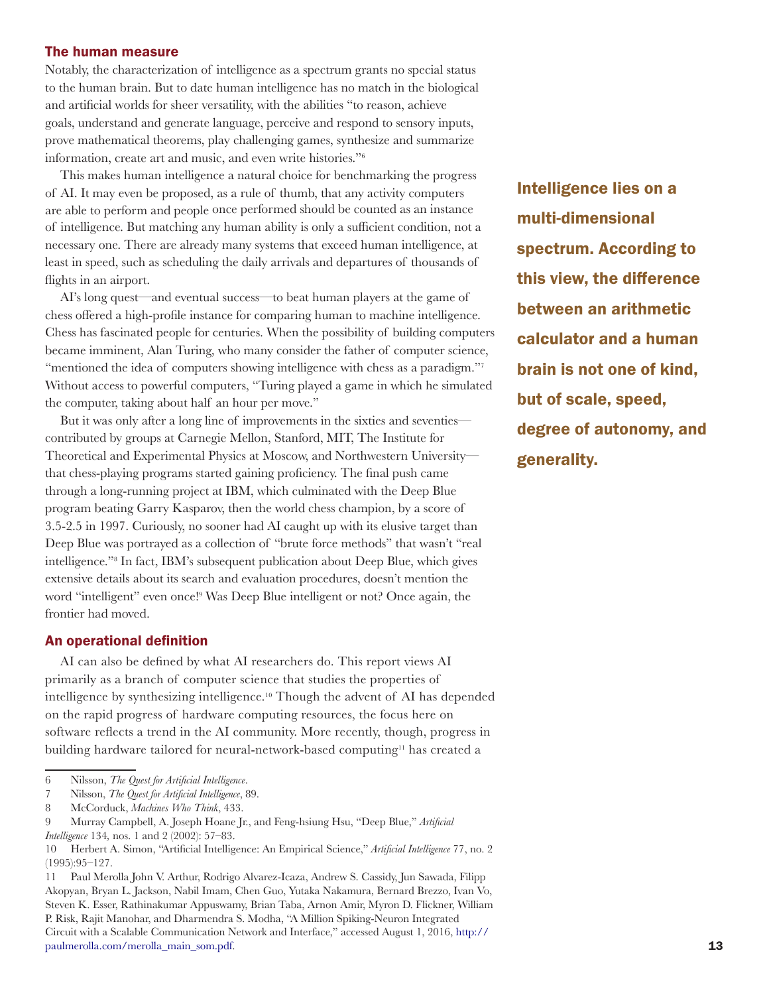#### The human measure

Notably, the characterization of intelligence as a spectrum grants no special status to the human brain. But to date human intelligence has no match in the biological and artificial worlds for sheer versatility, with the abilities "to reason, achieve goals, understand and generate language, perceive and respond to sensory inputs, prove mathematical theorems, play challenging games, synthesize and summarize information, create art and music, and even write histories."6

This makes human intelligence a natural choice for benchmarking the progress of AI. It may even be proposed, as a rule of thumb, that any activity computers are able to perform and people once performed should be counted as an instance of intelligence. But matching any human ability is only a sufficient condition, not a necessary one. There are already many systems that exceed human intelligence, at least in speed, such as scheduling the daily arrivals and departures of thousands of flights in an airport.

AI's long quest—and eventual success—to beat human players at the game of chess offered a high-profile instance for comparing human to machine intelligence. Chess has fascinated people for centuries. When the possibility of building computers became imminent, Alan Turing, who many consider the father of computer science, "mentioned the idea of computers showing intelligence with chess as a paradigm."7 Without access to powerful computers, "Turing played a game in which he simulated the computer, taking about half an hour per move."

But it was only after a long line of improvements in the sixties and seventies contributed by groups at Carnegie Mellon, Stanford, MIT, The Institute for Theoretical and Experimental Physics at Moscow, and Northwestern University that chess-playing programs started gaining proficiency. The final push came through a long-running project at IBM, which culminated with the Deep Blue program beating Garry Kasparov, then the world chess champion, by a score of 3.5-2.5 in 1997. Curiously, no sooner had AI caught up with its elusive target than Deep Blue was portrayed as a collection of "brute force methods" that wasn't "real intelligence."8 In fact, IBM's subsequent publication about Deep Blue, which gives extensive details about its search and evaluation procedures, doesn't mention the word "intelligent" even once!9 Was Deep Blue intelligent or not? Once again, the frontier had moved.

#### An operational definition

AI can also be defined by what AI researchers do. This report views AI primarily as a branch of computer science that studies the properties of intelligence by synthesizing intelligence.10 Though the advent of AI has depended on the rapid progress of hardware computing resources, the focus here on software reflects a trend in the AI community. More recently, though, progress in building hardware tailored for neural-network-based computing<sup>11</sup> has created a

Intelligence lies on a multi-dimensional spectrum. According to this view, the difference between an arithmetic calculator and a human brain is not one of kind, but of scale, speed, degree of autonomy, and generality.

<sup>6</sup> Nilsson, *The Quest for Artificial Intelligence*.

<sup>7</sup> Nilsson, *The Quest for Artificial Intelligence*, 89.

<sup>8</sup> McCorduck, *Machines Who Think*, 433.

<sup>9</sup> Murray Campbell, A. Joseph Hoane Jr., and Feng-hsiung Hsu, "Deep Blue," *Artificial Intelligence* 134*,* nos. 1 and 2 (2002): 57–83.

<sup>10</sup> Herbert A. Simon, "Artificial Intelligence: An Empirical Science," *Artificial Intelligence* 77, no. 2 (1995):95–127.

<sup>11</sup> Paul Merolla John V. Arthur, Rodrigo Alvarez-Icaza, Andrew S. Cassidy, Jun Sawada, Filipp Akopyan, Bryan L. Jackson, Nabil Imam, Chen Guo, Yutaka Nakamura, Bernard Brezzo, Ivan Vo, Steven K. Esser, Rathinakumar Appuswamy, Brian Taba, Arnon Amir, Myron D. Flickner, William P. Risk, Rajit Manohar, and Dharmendra S. Modha, "A Million Spiking-Neuron Integrated Circuit with a Scalable Communication Network and Interface," accessed August 1, 2016, http:// paulmerolla.com/merolla\_main\_som.pdf.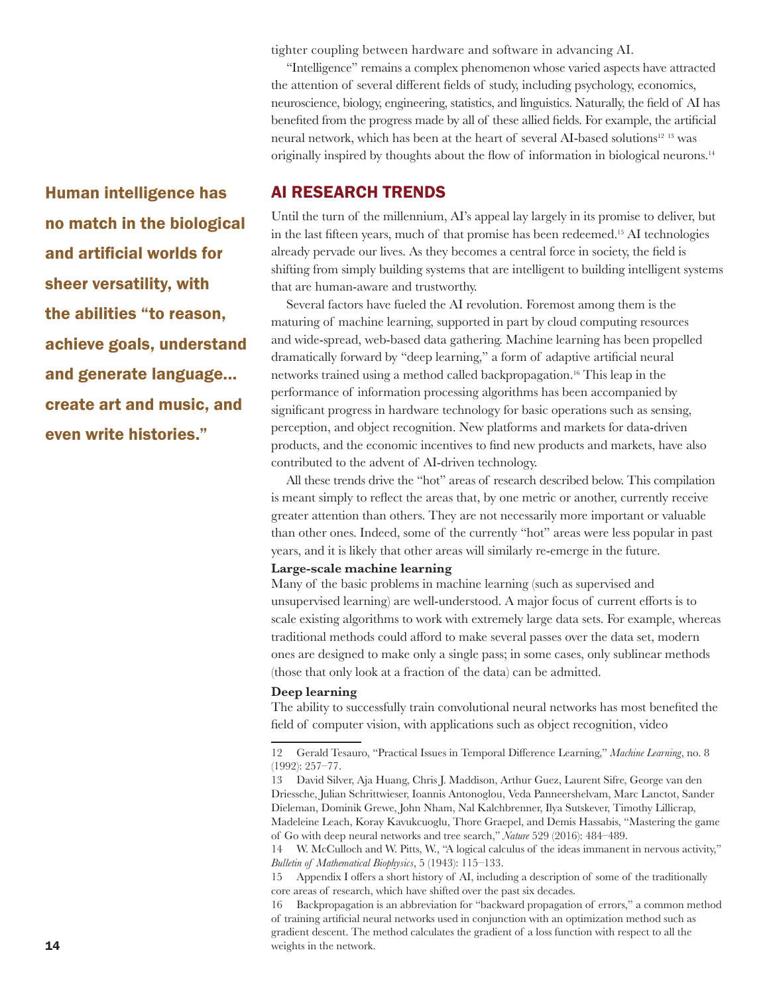tighter coupling between hardware and software in advancing AI.

"Intelligence" remains a complex phenomenon whose varied aspects have attracted the attention of several different fields of study, including psychology, economics, neuroscience, biology, engineering, statistics, and linguistics. Naturally, the field of AI has benefited from the progress made by all of these allied fields. For example, the artificial neural network, which has been at the heart of several AI-based solutions<sup>12 13</sup> was originally inspired by thoughts about the flow of information in biological neurons.14

# AI RESEARCH TRENDS

Until the turn of the millennium, AI's appeal lay largely in its promise to deliver, but in the last fifteen years, much of that promise has been redeemed.15 AI technologies already pervade our lives. As they becomes a central force in society, the field is shifting from simply building systems that are intelligent to building intelligent systems that are human-aware and trustworthy.

Several factors have fueled the AI revolution. Foremost among them is the maturing of machine learning, supported in part by cloud computing resources and wide-spread, web-based data gathering. Machine learning has been propelled dramatically forward by "deep learning," a form of adaptive artificial neural networks trained using a method called backpropagation.16 This leap in the performance of information processing algorithms has been accompanied by significant progress in hardware technology for basic operations such as sensing, perception, and object recognition. New platforms and markets for data-driven products, and the economic incentives to find new products and markets, have also contributed to the advent of AI-driven technology.

All these trends drive the "hot" areas of research described below. This compilation is meant simply to reflect the areas that, by one metric or another, currently receive greater attention than others. They are not necessarily more important or valuable than other ones. Indeed, some of the currently "hot" areas were less popular in past years, and it is likely that other areas will similarly re-emerge in the future.

#### **Large-scale machine learning**

Many of the basic problems in machine learning (such as supervised and unsupervised learning) are well-understood. A major focus of current efforts is to scale existing algorithms to work with extremely large data sets. For example, whereas traditional methods could afford to make several passes over the data set, modern ones are designed to make only a single pass; in some cases, only sublinear methods (those that only look at a fraction of the data) can be admitted.

#### **Deep learning**

The ability to successfully train convolutional neural networks has most benefited the field of computer vision, with applications such as object recognition, video

13 David Silver, Aja Huang, Chris J. Maddison, Arthur Guez, Laurent Sifre, George van den Driessche, Julian Schrittwieser, Ioannis Antonoglou, Veda Panneershelvam, Marc Lanctot, Sander Dieleman, Dominik Grewe, John Nham, Nal Kalchbrenner, Ilya Sutskever, Timothy Lillicrap, Madeleine Leach, Koray Kavukcuoglu, Thore Graepel, and Demis Hassabis, "Mastering the game of Go with deep neural networks and tree search," *Nature* 529 (2016): 484–489.

16 Backpropagation is an abbreviation for "backward propagation of errors," a common method of training artificial neural networks used in conjunction with an optimization method such as gradient descent. The method calculates the gradient of a loss function with respect to all the weights in the network.

Human intelligence has no match in the biological and artificial worlds for sheer versatility, with the abilities "to reason, achieve goals, understand and generate language... create art and music, and even write histories."

<sup>12</sup> Gerald Tesauro, "Practical Issues in Temporal Difference Learning," *Machine Learning*, no. 8 (1992): 257–77.

<sup>14</sup> W. McCulloch and W. Pitts, W., "A logical calculus of the ideas immanent in nervous activity," *Bulletin of Mathematical Biophysics*, 5 (1943): 115–133.

<sup>15</sup> Appendix I offers a short history of AI, including a description of some of the traditionally core areas of research, which have shifted over the past six decades.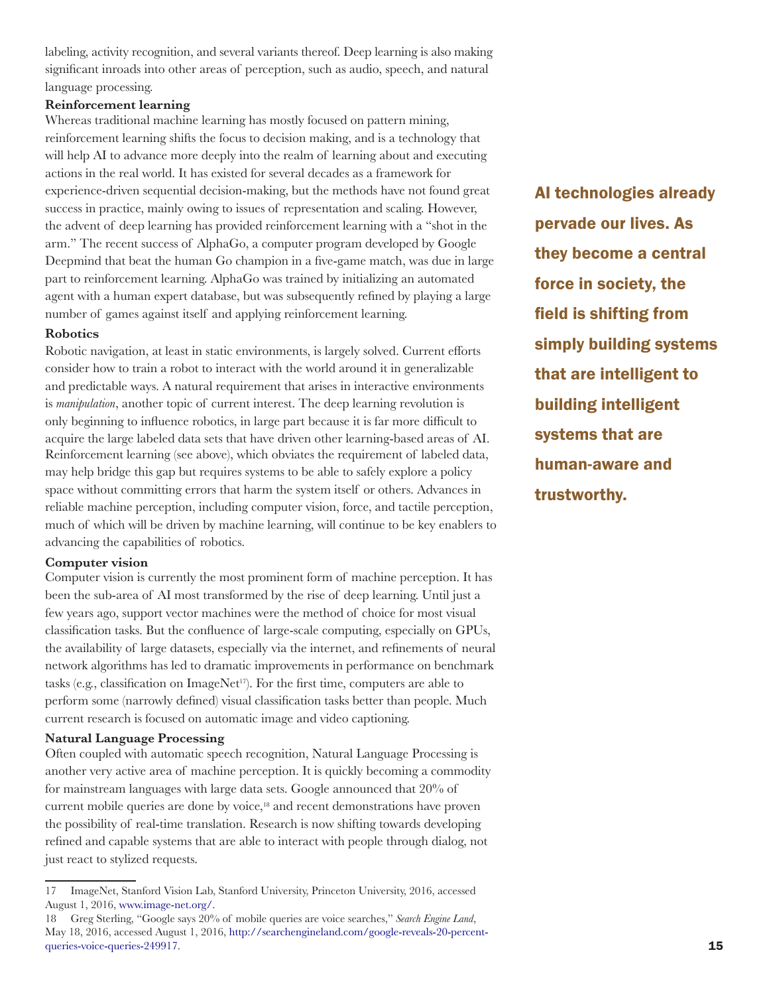labeling, activity recognition, and several variants thereof. Deep learning is also making significant inroads into other areas of perception, such as audio, speech, and natural language processing.

## **Reinforcement learning**

Whereas traditional machine learning has mostly focused on pattern mining, reinforcement learning shifts the focus to decision making, and is a technology that will help AI to advance more deeply into the realm of learning about and executing actions in the real world. It has existed for several decades as a framework for experience-driven sequential decision-making, but the methods have not found great success in practice, mainly owing to issues of representation and scaling. However, the advent of deep learning has provided reinforcement learning with a "shot in the arm." The recent success of AlphaGo, a computer program developed by Google Deepmind that beat the human Go champion in a five-game match, was due in large part to reinforcement learning. AlphaGo was trained by initializing an automated agent with a human expert database, but was subsequently refined by playing a large number of games against itself and applying reinforcement learning.

#### **Robotics**

Robotic navigation, at least in static environments, is largely solved. Current efforts consider how to train a robot to interact with the world around it in generalizable and predictable ways. A natural requirement that arises in interactive environments is *manipulation*, another topic of current interest. The deep learning revolution is only beginning to influence robotics, in large part because it is far more difficult to acquire the large labeled data sets that have driven other learning-based areas of AI. Reinforcement learning (see above), which obviates the requirement of labeled data, may help bridge this gap but requires systems to be able to safely explore a policy space without committing errors that harm the system itself or others. Advances in reliable machine perception, including computer vision, force, and tactile perception, much of which will be driven by machine learning, will continue to be key enablers to advancing the capabilities of robotics.

#### **Computer vision**

Computer vision is currently the most prominent form of machine perception. It has been the sub-area of AI most transformed by the rise of deep learning. Until just a few years ago, support vector machines were the method of choice for most visual classification tasks. But the confluence of large-scale computing, especially on GPUs, the availability of large datasets, especially via the internet, and refinements of neural network algorithms has led to dramatic improvements in performance on benchmark tasks (e.g., classification on ImageNet<sup>17</sup>). For the first time, computers are able to perform some (narrowly defined) visual classification tasks better than people. Much current research is focused on automatic image and video captioning.

#### **Natural Language Processing**

Often coupled with automatic speech recognition, Natural Language Processing is another very active area of machine perception. It is quickly becoming a commodity for mainstream languages with large data sets. Google announced that 20% of current mobile queries are done by voice,18 and recent demonstrations have proven the possibility of real-time translation. Research is now shifting towards developing refined and capable systems that are able to interact with people through dialog, not just react to stylized requests.

AI technologies already pervade our lives. As they become a central force in society, the field is shifting from simply building systems that are intelligent to building intelligent systems that are human-aware and trustworthy.

<sup>17</sup> ImageNet, Stanford Vision Lab, Stanford University, Princeton University, 2016, accessed August 1, 2016, www.image-net.org/.

<sup>18</sup> Greg Sterling, "Google says 20% of mobile queries are voice searches," *Search Engine Land*, May 18, 2016, accessed August 1, 2016, http://searchengineland.com/google-reveals-20-percentqueries-voice-queries-249917.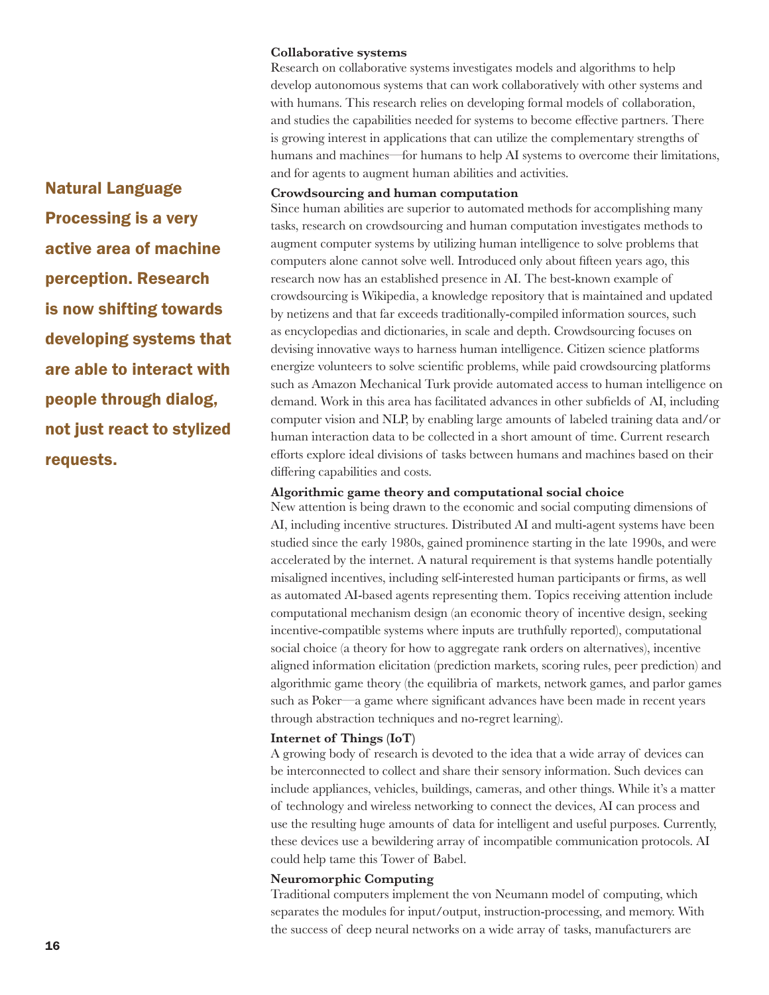#### **Collaborative systems**

Research on collaborative systems investigates models and algorithms to help develop autonomous systems that can work collaboratively with other systems and with humans. This research relies on developing formal models of collaboration, and studies the capabilities needed for systems to become effective partners. There is growing interest in applications that can utilize the complementary strengths of humans and machines—for humans to help AI systems to overcome their limitations, and for agents to augment human abilities and activities.

#### **Crowdsourcing and human computation**

Since human abilities are superior to automated methods for accomplishing many tasks, research on crowdsourcing and human computation investigates methods to augment computer systems by utilizing human intelligence to solve problems that computers alone cannot solve well. Introduced only about fifteen years ago, this research now has an established presence in AI. The best-known example of crowdsourcing is Wikipedia, a knowledge repository that is maintained and updated by netizens and that far exceeds traditionally-compiled information sources, such as encyclopedias and dictionaries, in scale and depth. Crowdsourcing focuses on devising innovative ways to harness human intelligence. Citizen science platforms energize volunteers to solve scientific problems, while paid crowdsourcing platforms such as Amazon Mechanical Turk provide automated access to human intelligence on demand. Work in this area has facilitated advances in other subfields of AI, including computer vision and NLP, by enabling large amounts of labeled training data and/or human interaction data to be collected in a short amount of time. Current research efforts explore ideal divisions of tasks between humans and machines based on their differing capabilities and costs.

#### **Algorithmic game theory and computational social choice**

New attention is being drawn to the economic and social computing dimensions of AI, including incentive structures. Distributed AI and multi-agent systems have been studied since the early 1980s, gained prominence starting in the late 1990s, and were accelerated by the internet. A natural requirement is that systems handle potentially misaligned incentives, including self-interested human participants or firms, as well as automated AI-based agents representing them. Topics receiving attention include computational mechanism design (an economic theory of incentive design, seeking incentive-compatible systems where inputs are truthfully reported), computational social choice (a theory for how to aggregate rank orders on alternatives), incentive aligned information elicitation (prediction markets, scoring rules, peer prediction) and algorithmic game theory (the equilibria of markets, network games, and parlor games such as Poker—a game where significant advances have been made in recent years through abstraction techniques and no-regret learning).

#### **Internet of Things (IoT)**

A growing body of research is devoted to the idea that a wide array of devices can be interconnected to collect and share their sensory information. Such devices can include appliances, vehicles, buildings, cameras, and other things. While it's a matter of technology and wireless networking to connect the devices, AI can process and use the resulting huge amounts of data for intelligent and useful purposes. Currently, these devices use a bewildering array of incompatible communication protocols. AI could help tame this Tower of Babel.

#### **Neuromorphic Computing**

Traditional computers implement the von Neumann model of computing, which separates the modules for input/output, instruction-processing, and memory. With the success of deep neural networks on a wide array of tasks, manufacturers are

Natural Language Processing is a very active area of machine perception. Research is now shifting towards developing systems that are able to interact with people through dialog, not just react to stylized requests.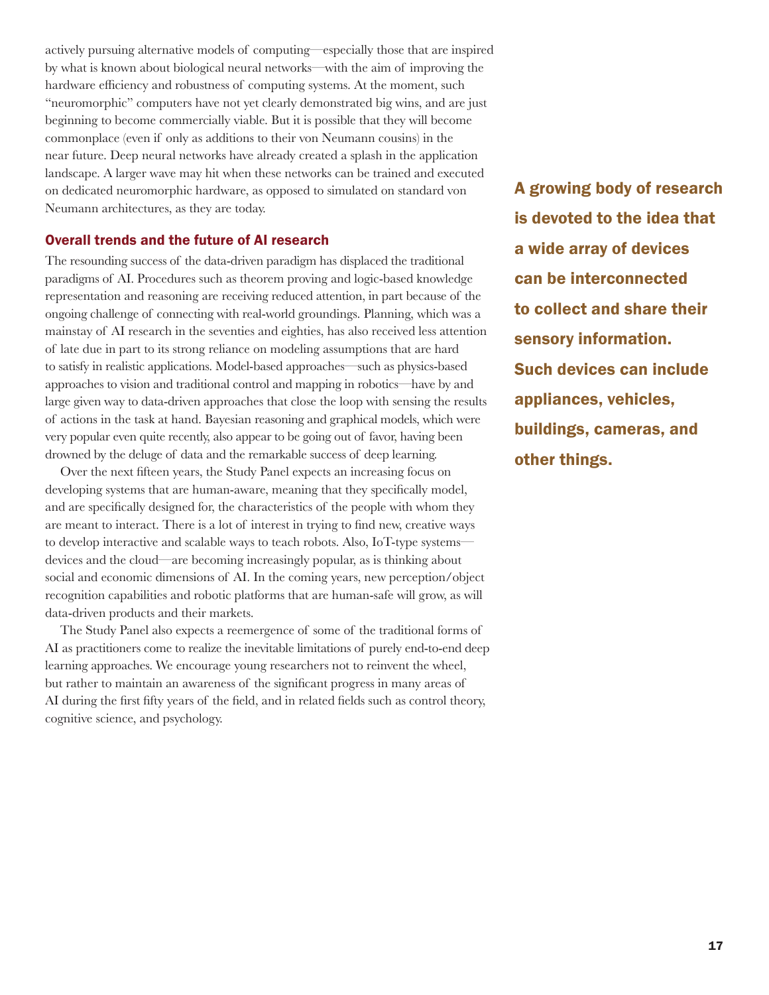actively pursuing alternative models of computing—especially those that are inspired by what is known about biological neural networks—with the aim of improving the hardware efficiency and robustness of computing systems. At the moment, such "neuromorphic" computers have not yet clearly demonstrated big wins, and are just beginning to become commercially viable. But it is possible that they will become commonplace (even if only as additions to their von Neumann cousins) in the near future. Deep neural networks have already created a splash in the application landscape. A larger wave may hit when these networks can be trained and executed on dedicated neuromorphic hardware, as opposed to simulated on standard von Neumann architectures, as they are today.

# Overall trends and the future of AI research

The resounding success of the data-driven paradigm has displaced the traditional paradigms of AI. Procedures such as theorem proving and logic-based knowledge representation and reasoning are receiving reduced attention, in part because of the ongoing challenge of connecting with real-world groundings. Planning, which was a mainstay of AI research in the seventies and eighties, has also received less attention of late due in part to its strong reliance on modeling assumptions that are hard to satisfy in realistic applications. Model-based approaches—such as physics-based approaches to vision and traditional control and mapping in robotics—have by and large given way to data-driven approaches that close the loop with sensing the results of actions in the task at hand. Bayesian reasoning and graphical models, which were very popular even quite recently, also appear to be going out of favor, having been drowned by the deluge of data and the remarkable success of deep learning.

Over the next fifteen years, the Study Panel expects an increasing focus on developing systems that are human-aware, meaning that they specifically model, and are specifically designed for, the characteristics of the people with whom they are meant to interact. There is a lot of interest in trying to find new, creative ways to develop interactive and scalable ways to teach robots. Also, IoT-type systems devices and the cloud—are becoming increasingly popular, as is thinking about social and economic dimensions of AI. In the coming years, new perception/object recognition capabilities and robotic platforms that are human-safe will grow, as will data-driven products and their markets.

The Study Panel also expects a reemergence of some of the traditional forms of AI as practitioners come to realize the inevitable limitations of purely end-to-end deep learning approaches. We encourage young researchers not to reinvent the wheel, but rather to maintain an awareness of the significant progress in many areas of AI during the first fifty years of the field, and in related fields such as control theory, cognitive science, and psychology.

A growing body of research is devoted to the idea that a wide array of devices can be interconnected to collect and share their sensory information. Such devices can include appliances, vehicles, buildings, cameras, and other things.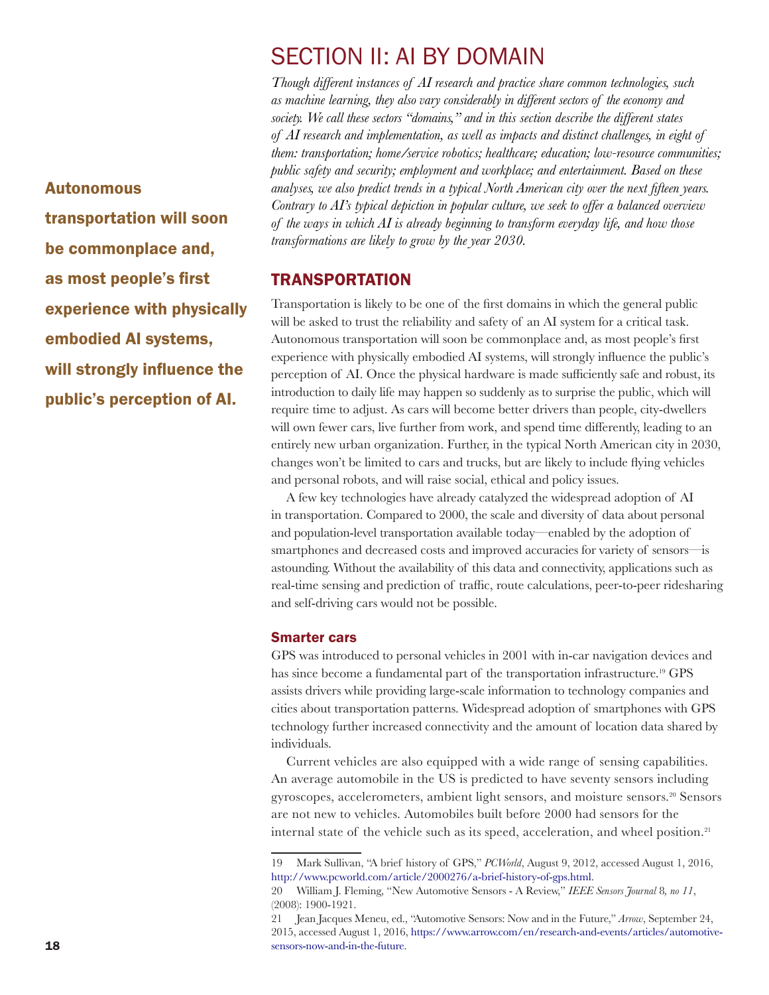# SECTION II: AI BY DOMAIN

*Though different instances of AI research and practice share common technologies, such as machine learning, they also vary considerably in different sectors of the economy and society. We call these sectors "domains," and in this section describe the different states of AI research and implementation, as well as impacts and distinct challenges, in eight of them: transportation; home/service robotics; healthcare; education; low-resource communities; public safety and security; employment and workplace; and entertainment. Based on these analyses, we also predict trends in a typical North American city over the next fifteen years. Contrary to AI's typical depiction in popular culture, we seek to offer a balanced overview of the ways in which AI is already beginning to transform everyday life, and how those transformations are likely to grow by the year 2030.*

# **TRANSPORTATION**

Transportation is likely to be one of the first domains in which the general public will be asked to trust the reliability and safety of an AI system for a critical task. Autonomous transportation will soon be commonplace and, as most people's first experience with physically embodied AI systems, will strongly influence the public's perception of AI. Once the physical hardware is made sufficiently safe and robust, its introduction to daily life may happen so suddenly as to surprise the public, which will require time to adjust. As cars will become better drivers than people, city-dwellers will own fewer cars, live further from work, and spend time differently, leading to an entirely new urban organization. Further, in the typical North American city in 2030, changes won't be limited to cars and trucks, but are likely to include flying vehicles and personal robots, and will raise social, ethical and policy issues.

A few key technologies have already catalyzed the widespread adoption of AI in transportation. Compared to 2000, the scale and diversity of data about personal and population-level transportation available today—enabled by the adoption of smartphones and decreased costs and improved accuracies for variety of sensors—is astounding. Without the availability of this data and connectivity, applications such as real-time sensing and prediction of traffic, route calculations, peer-to-peer ridesharing and self-driving cars would not be possible.

# Smarter cars

GPS was introduced to personal vehicles in 2001 with in-car navigation devices and has since become a fundamental part of the transportation infrastructure.<sup>19</sup> GPS assists drivers while providing large-scale information to technology companies and cities about transportation patterns. Widespread adoption of smartphones with GPS technology further increased connectivity and the amount of location data shared by individuals.

Current vehicles are also equipped with a wide range of sensing capabilities. An average automobile in the US is predicted to have seventy sensors including gyroscopes, accelerometers, ambient light sensors, and moisture sensors.20 Sensors are not new to vehicles. Automobiles built before 2000 had sensors for the internal state of the vehicle such as its speed, acceleration, and wheel position.<sup>21</sup>

Autonomous transportation will soon be commonplace and, as most people's first experience with physically embodied AI systems, will strongly influence the public's perception of AI.

<sup>19</sup> Mark Sullivan, "A brief history of GPS," *PCWorld*, August 9, 2012, accessed August 1, 2016, http://www.pcworld.com/article/2000276/a-brief-history-of-gps.html.

<sup>20</sup> William J. Fleming, "New Automotive Sensors - A Review," *IEEE Sensors Journal* 8*, no 11*, (2008): 1900-1921.

<sup>21</sup> Jean Jacques Meneu, ed., "Automotive Sensors: Now and in the Future," *Arrow*, September 24, 2015, accessed August 1, 2016, https://www.arrow.com/en/research-and-events/articles/automotivesensors-now-and-in-the-future.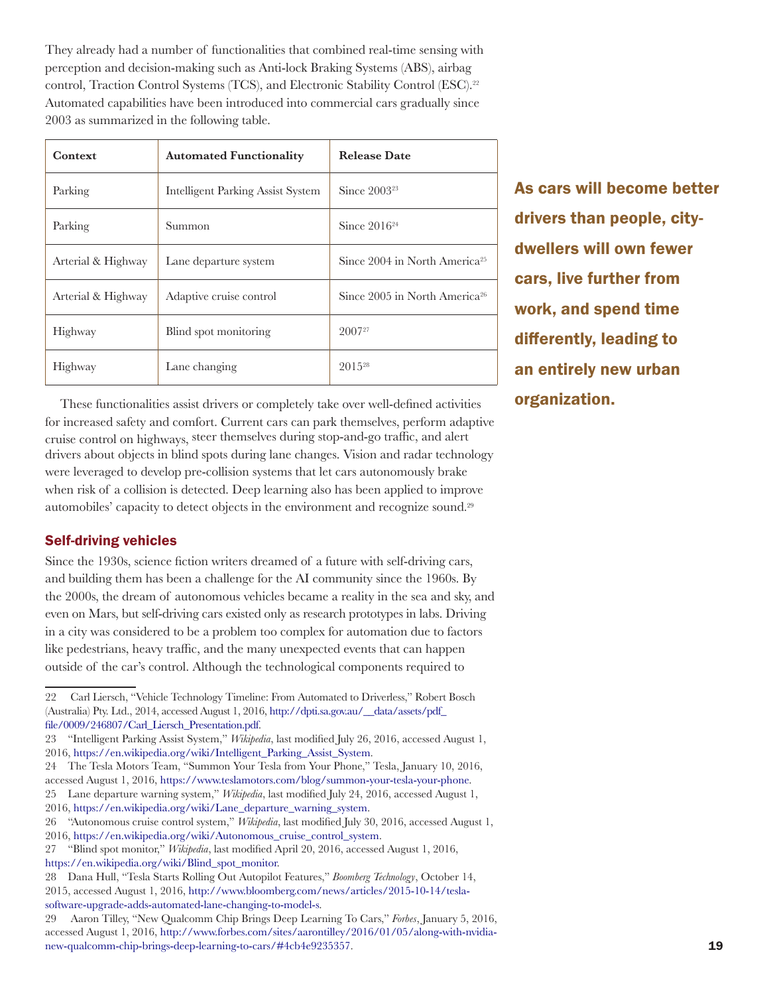They already had a number of functionalities that combined real-time sensing with perception and decision-making such as Anti-lock Braking Systems (ABS), airbag control, Traction Control Systems (TCS), and Electronic Stability Control (ESC).<sup>22</sup> Automated capabilities have been introduced into commercial cars gradually since 2003 as summarized in the following table.

| Context            | <b>Automated Functionality</b>           | <b>Release Date</b>                         |
|--------------------|------------------------------------------|---------------------------------------------|
| Parking            | <b>Intelligent Parking Assist System</b> | Since $2003^{23}$                           |
| Parking            | Summon                                   | Since $2016^{24}$                           |
| Arterial & Highway | Lane departure system                    | Since $2004$ in North America <sup>25</sup> |
| Arterial & Highway | Adaptive cruise control                  | Since $2005$ in North America <sup>26</sup> |
| Highway            | Blind spot monitoring                    | $2007^{27}$                                 |
| Highway            | Lane changing                            | 2015 <sup>28</sup>                          |

These functionalities assist drivers or completely take over well-defined activities for increased safety and comfort. Current cars can park themselves, perform adaptive cruise control on highways, steer themselves during stop-and-go traffic, and alert drivers about objects in blind spots during lane changes. Vision and radar technology were leveraged to develop pre-collision systems that let cars autonomously brake when risk of a collision is detected. Deep learning also has been applied to improve automobiles' capacity to detect objects in the environment and recognize sound. 29

# Self-driving vehicles

Since the 1930s, science fiction writers dreamed of a future with self-driving cars, and building them has been a challenge for the AI community since the 1960s. By the 2000s, the dream of autonomous vehicles became a reality in the sea and sky, and even on Mars, but self-driving cars existed only as research prototypes in labs. Driving in a city was considered to be a problem too complex for automation due to factors like pedestrians, heavy traffic, and the many unexpected events that can happen outside of the car's control. Although the technological components required to

As cars will become better drivers than people, citydwellers will own fewer cars, live further from work, and spend time differently, leading to an entirely new urban organization.

<sup>22</sup> Carl Liersch, "Vehicle Technology Timeline: From Automated to Driverless," Robert Bosch (Australia) Pty. Ltd., 2014, accessed August 1, 2016, http://dpti.sa.gov.au/\_\_data/assets/pdf\_ file/0009/246807/Carl\_Liersch\_Presentation.pdf.

<sup>23</sup> "Intelligent Parking Assist System," *Wikipedia*, last modified July 26, 2016, accessed August 1, 2016, https://en.wikipedia.org/wiki/Intelligent\_Parking\_Assist\_System.

<sup>24</sup> The Tesla Motors Team, "Summon Your Tesla from Your Phone," Tesla, January 10, 2016, accessed August 1, 2016, https://www.teslamotors.com/blog/summon-your-tesla-your-phone. 25 Lane departure warning system," *Wikipedia*, last modified July 24, 2016, accessed August 1,

<sup>2016,</sup> https://en.wikipedia.org/wiki/Lane\_departure\_warning\_system.

<sup>26</sup> "Autonomous cruise control system," *Wikipedia*, last modified July 30, 2016, accessed August 1, 2016, https://en.wikipedia.org/wiki/Autonomous\_cruise\_control\_system.

<sup>27</sup> "Blind spot monitor," *Wikipedia*, last modified April 20, 2016, accessed August 1, 2016, https://en.wikipedia.org/wiki/Blind\_spot\_monitor.

<sup>28</sup> Dana Hull, "Tesla Starts Rolling Out Autopilot Features," *Boomberg Technology*, October 14, 2015, accessed August 1, 2016, http://www.bloomberg.com/news/articles/2015-10-14/teslasoftware-upgrade-adds-automated-lane-changing-to-model-s.

<sup>29</sup> Aaron Tilley, "New Qualcomm Chip Brings Deep Learning To Cars," *Forbes*, January 5, 2016, accessed August 1, 2016, http://www.forbes.com/sites/aarontilley/2016/01/05/along-with-nvidianew-qualcomm-chip-brings-deep-learning-to-cars/#4cb4e9235357.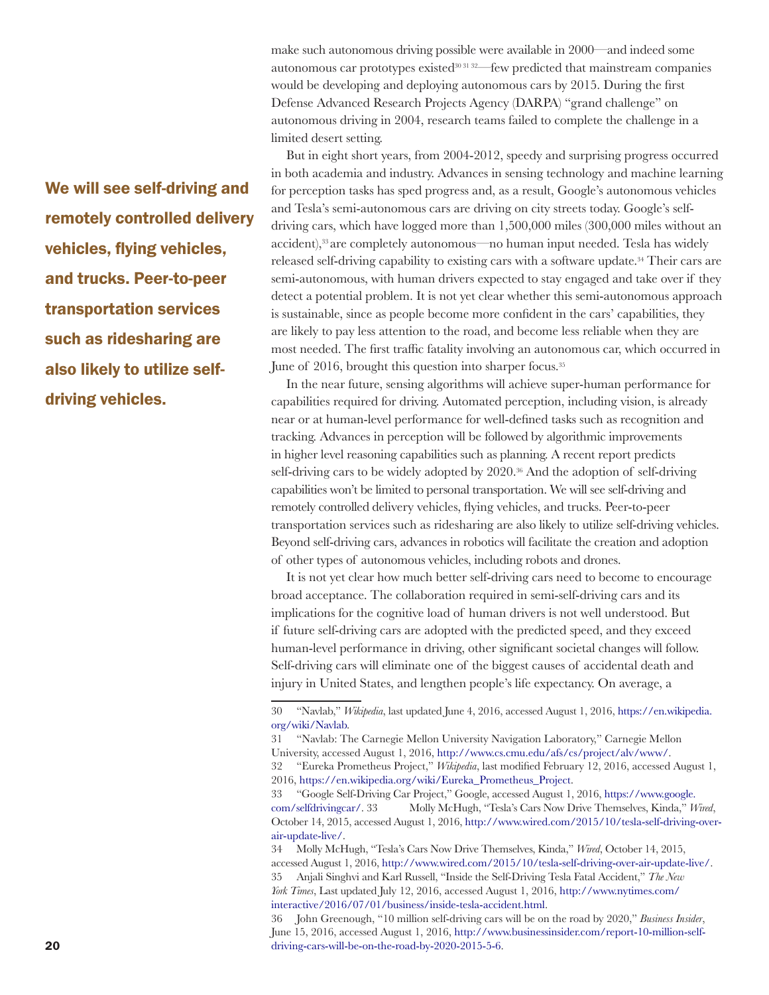make such autonomous driving possible were available in 2000—and indeed some autonomous car prototypes existed<sup>30 31</sup> 32—few predicted that mainstream companies would be developing and deploying autonomous cars by 2015. During the first Defense Advanced Research Projects Agency (DARPA) "grand challenge" on autonomous driving in 2004, research teams failed to complete the challenge in a limited desert setting.

But in eight short years, from 2004-2012, speedy and surprising progress occurred in both academia and industry. Advances in sensing technology and machine learning for perception tasks has sped progress and, as a result, Google's autonomous vehicles and Tesla's semi-autonomous cars are driving on city streets today. Google's selfdriving cars, which have logged more than 1,500,000 miles (300,000 miles without an accident),<sup>33</sup> are completely autonomous—no human input needed. Tesla has widely released self-driving capability to existing cars with a software update.34 Their cars are semi-autonomous, with human drivers expected to stay engaged and take over if they detect a potential problem. It is not yet clear whether this semi-autonomous approach is sustainable, since as people become more confident in the cars' capabilities, they are likely to pay less attention to the road, and become less reliable when they are most needed. The first traffic fatality involving an autonomous car, which occurred in June of 2016, brought this question into sharper focus.35

In the near future, sensing algorithms will achieve super-human performance for capabilities required for driving. Automated perception, including vision, is already near or at human-level performance for well-defined tasks such as recognition and tracking. Advances in perception will be followed by algorithmic improvements in higher level reasoning capabilities such as planning. A recent report predicts self-driving cars to be widely adopted by 2020.<sup>36</sup> And the adoption of self-driving capabilities won't be limited to personal transportation. We will see self-driving and remotely controlled delivery vehicles, flying vehicles, and trucks. Peer-to-peer transportation services such as ridesharing are also likely to utilize self-driving vehicles. Beyond self-driving cars, advances in robotics will facilitate the creation and adoption of other types of autonomous vehicles, including robots and drones.

It is not yet clear how much better self-driving cars need to become to encourage broad acceptance. The collaboration required in semi-self-driving cars and its implications for the cognitive load of human drivers is not well understood. But if future self-driving cars are adopted with the predicted speed, and they exceed human-level performance in driving, other significant societal changes will follow. Self-driving cars will eliminate one of the biggest causes of accidental death and injury in United States, and lengthen people's life expectancy. On average, a

36 John Greenough, "10 million self-driving cars will be on the road by 2020," *Business Insider*, June 15, 2016, accessed August 1, 2016, http://www.businessinsider.com/report-10-million-selfdriving-cars-will-be-on-the-road-by-2020-2015-5-6.

We will see self-driving and remotely controlled delivery vehicles, flying vehicles, and trucks. Peer-to-peer transportation services such as ridesharing are also likely to utilize selfdriving vehicles.

<sup>30 &</sup>quot;Navlab," *Wikipedia*, last updated June 4, 2016, accessed August 1, 2016, https://en.wikipedia. org/wiki/Navlab.

<sup>31 &</sup>quot;Navlab: The Carnegie Mellon University Navigation Laboratory," Carnegie Mellon University, accessed August 1, 2016, http://www.cs.cmu.edu/afs/cs/project/alv/www/. 32 "Eureka Prometheus Project," *Wikipedia*, last modified February 12, 2016, accessed August 1, 2016, https://en.wikipedia.org/wiki/Eureka\_Prometheus\_Project.

<sup>33 &</sup>quot;Google Self-Driving Car Project," Google, accessed August 1, 2016, https://www.google. com/selfdrivingcar/. 33 Molly McHugh, "Tesla's Cars Now Drive Themselves, Kinda," *Wired*, October 14, 2015, accessed August 1, 2016, http://www.wired.com/2015/10/tesla-self-driving-overair-update-live/.

<sup>34</sup> Molly McHugh, "Tesla's Cars Now Drive Themselves, Kinda," *Wired*, October 14, 2015, accessed August 1, 2016, http://www.wired.com/2015/10/tesla-self-driving-over-air-update-live/. 35 Anjali Singhvi and Karl Russell, "Inside the Self-Driving Tesla Fatal Accident," *The New York Times*, Last updated July 12, 2016, accessed August 1, 2016, http://www.nytimes.com/ interactive/2016/07/01/business/inside-tesla-accident.html.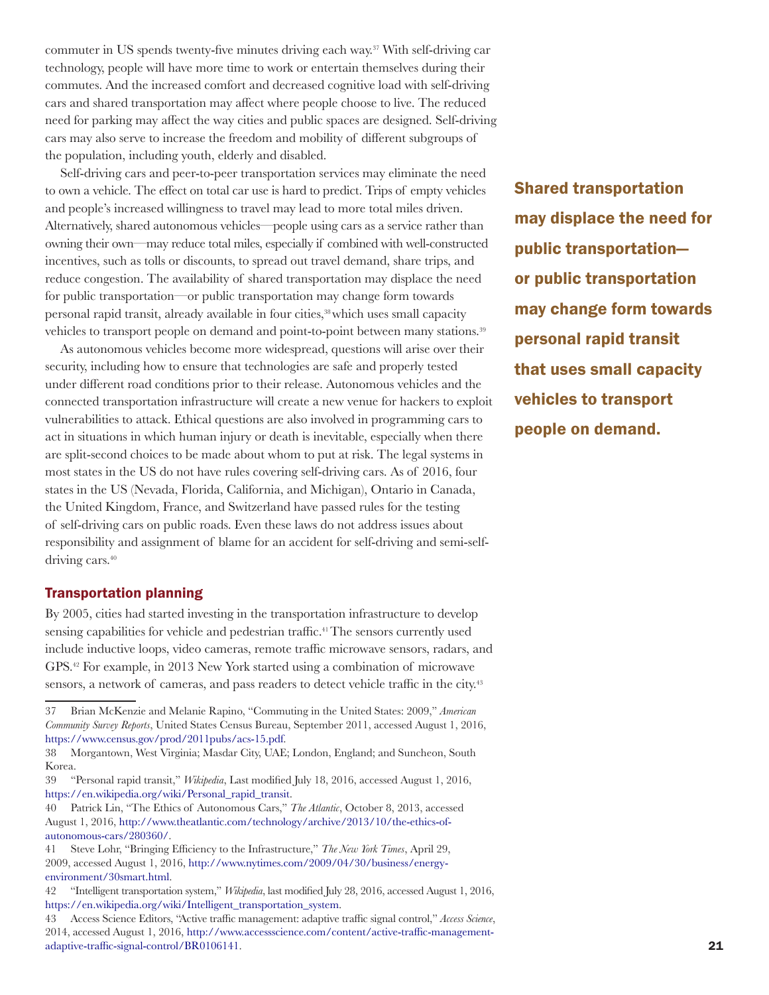commuter in US spends twenty-five minutes driving each way.37 With self-driving car technology, people will have more time to work or entertain themselves during their commutes. And the increased comfort and decreased cognitive load with self-driving cars and shared transportation may affect where people choose to live. The reduced need for parking may affect the way cities and public spaces are designed. Self-driving cars may also serve to increase the freedom and mobility of different subgroups of the population, including youth, elderly and disabled.

Self-driving cars and peer-to-peer transportation services may eliminate the need to own a vehicle. The effect on total car use is hard to predict. Trips of empty vehicles and people's increased willingness to travel may lead to more total miles driven. Alternatively, shared autonomous vehicles—people using cars as a service rather than owning their own—may reduce total miles, especially if combined with well-constructed incentives, such as tolls or discounts, to spread out travel demand, share trips, and reduce congestion. The availability of shared transportation may displace the need for public transportation—or public transportation may change form towards personal rapid transit, already available in four cities,38which uses small capacity vehicles to transport people on demand and point-to-point between many stations.39

As autonomous vehicles become more widespread, questions will arise over their security, including how to ensure that technologies are safe and properly tested under different road conditions prior to their release. Autonomous vehicles and the connected transportation infrastructure will create a new venue for hackers to exploit vulnerabilities to attack. Ethical questions are also involved in programming cars to act in situations in which human injury or death is inevitable, especially when there are split-second choices to be made about whom to put at risk. The legal systems in most states in the US do not have rules covering self-driving cars. As of 2016, four states in the US (Nevada, Florida, California, and Michigan), Ontario in Canada, the United Kingdom, France, and Switzerland have passed rules for the testing of self-driving cars on public roads. Even these laws do not address issues about responsibility and assignment of blame for an accident for self-driving and semi-selfdriving cars.<sup>40</sup>

#### Transportation planning

By 2005, cities had started investing in the transportation infrastructure to develop sensing capabilities for vehicle and pedestrian traffic.<sup>41</sup> The sensors currently used include inductive loops, video cameras, remote traffic microwave sensors, radars, and GPS.42 For example, in 2013 New York started using a combination of microwave sensors, a network of cameras, and pass readers to detect vehicle traffic in the city.<sup>43</sup>

Shared transportation may displace the need for public transportation or public transportation may change form towards personal rapid transit that uses small capacity vehicles to transport people on demand.

<sup>37</sup> Brian McKenzie and Melanie Rapino, "Commuting in the United States: 2009," *American Community Survey Reports*, United States Census Bureau, September 2011, accessed August 1, 2016, https://www.census.gov/prod/2011pubs/acs-15.pdf.

<sup>38</sup> Morgantown, West Virginia; Masdar City, UAE; London, England; and Suncheon, South Korea.

<sup>39 &</sup>quot;Personal rapid transit," *Wikipedia*, Last modified July 18, 2016, accessed August 1, 2016, https://en.wikipedia.org/wiki/Personal\_rapid\_transit.

<sup>40</sup> Patrick Lin, "The Ethics of Autonomous Cars," *The Atlantic*, October 8, 2013, accessed August 1, 2016, http://www.theatlantic.com/technology/archive/2013/10/the-ethics-ofautonomous-cars/280360/.

<sup>41</sup> Steve Lohr, "Bringing Efficiency to the Infrastructure," *The New York Times*, April 29, 2009, accessed August 1, 2016, http://www.nytimes.com/2009/04/30/business/energyenvironment/30smart.html.

<sup>42 &</sup>quot;Intelligent transportation system," *Wikipedia*, last modified July 28, 2016, accessed August 1, 2016, https://en.wikipedia.org/wiki/Intelligent\_transportation\_system.

<sup>43</sup> Access Science Editors, "Active traffic management: adaptive traffic signal control," *Access Science*, 2014, accessed August 1, 2016, http://www.accessscience.com/content/active-traffic-managementadaptive-traffic-signal-control/BR0106141.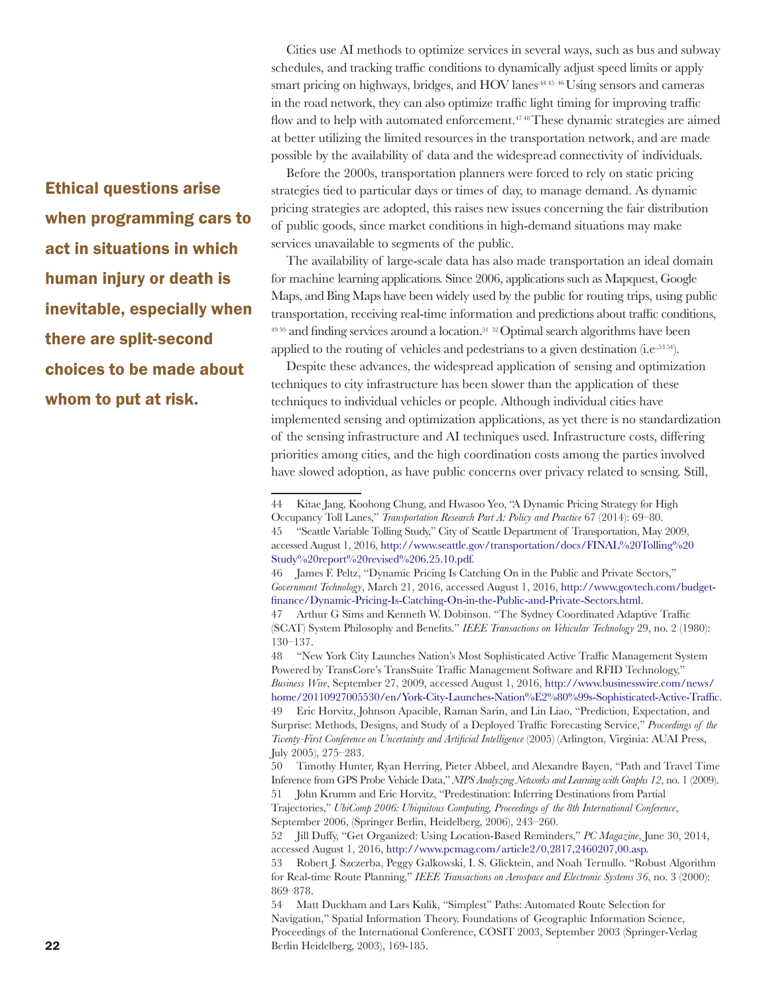Cities use AI methods to optimize services in several ways, such as bus and subway schedules, and tracking traffic conditions to dynamically adjust speed limits or apply smart pricing on highways, bridges, and HOV lanes<sup>44 45</sup> 46 Using sensors and cameras in the road network, they can also optimize traffic light timing for improving traffic flow and to help with automated enforcement.<sup>4748</sup>These dynamic strategies are aimed at better utilizing the limited resources in the transportation network, and are made possible by the availability of data and the widespread connectivity of individuals.

Before the 2000s, transportation planners were forced to rely on static pricing strategies tied to particular days or times of day, to manage demand. As dynamic pricing strategies are adopted, this raises new issues concerning the fair distribution of public goods, since market conditions in high-demand situations may make services unavailable to segments of the public.

The availability of large-scale data has also made transportation an ideal domain for machine learning applications. Since 2006, applications such as Mapquest, Google Maps, and Bing Maps have been widely used by the public for routing trips, using public transportation, receiving real-time information and predictions about traffic conditions, 4950 and finding services around a location.<sup>51 52</sup> Optimal search algorithms have been applied to the routing of vehicles and pedestrians to a given destination  $(i.e., 53.54)$ .

Despite these advances, the widespread application of sensing and optimization techniques to city infrastructure has been slower than the application of these techniques to individual vehicles or people. Although individual cities have implemented sensing and optimization applications, as yet there is no standardization of the sensing infrastructure and AI techniques used. Infrastructure costs, differing priorities among cities, and the high coordination costs among the parties involved have slowed adoption, as have public concerns over privacy related to sensing. Still,

Study%20report%20revised%206.25.10.pdf.

48 "New York City Launches Nation's Most Sophisticated Active Traffic Management System Powered by TransCore's TransSuite Traffic Management Software and RFID Technology," *Business Wire*, September 27, 2009, accessed August 1, 2016, http://www.businesswire.com/news/ home/20110927005530/en/York-City-Launches-Nation%E2%80%99s-Sophisticated-Active-Traffic. 49 Eric Horvitz, Johnson Apacible, Raman Sarin, and Lin Liao, "Prediction, Expectation, and

54 Matt Duckham and Lars Kulik, "Simplest" Paths: Automated Route Selection for Navigation," Spatial Information Theory. Foundations of Geographic Information Science, Proceedings of the International Conference, COSIT 2003, September 2003 (Springer-Verlag Berlin Heidelberg, 2003), 169-185.

Ethical questions arise when programming cars to act in situations in which human injury or death is inevitable, especially when there are split-second choices to be made about whom to put at risk.

<sup>44</sup> Kitae Jang, Koohong Chung, and Hwasoo Yeo, "A Dynamic Pricing Strategy for High Occupancy Toll Lanes," *Transportation Research Part A: Policy and Practice* 67 (2014): 69–80. 45 "Seattle Variable Tolling Study," City of Seattle Department of Transportation, May 2009, accessed August 1, 2016, http://www.seattle.gov/transportation/docs/FINAL%20Tolling%20

<sup>46</sup> James F. Peltz, "Dynamic Pricing Is Catching On in the Public and Private Sectors," *Government Technology*, March 21, 2016, accessed August 1, 2016, http://www.govtech.com/budgetfinance/Dynamic-Pricing-Is-Catching-On-in-the-Public-and-Private-Sectors.html.

<sup>47</sup> Arthur G Sims and Kenneth W. Dobinson. "The Sydney Coordinated Adaptive Traffic (SCAT) System Philosophy and Benefits." *IEEE Transactions on Vehicular Technology* 29, no. 2 (1980): 130–137.

Surprise: Methods, Designs, and Study of a Deployed Traffic Forecasting Service," *Proceedings of the Twenty-First Conference on Uncertainty and Artificial Intelligence* (2005) (Arlington, Virginia: AUAI Press, July 2005), 275–283.

<sup>50</sup> Timothy Hunter, Ryan Herring, Pieter Abbeel, and Alexandre Bayen, "Path and Travel Time Inference from GPS Probe Vehicle Data," *NIPS Analyzing Networks and Learning with Graphs 12*, no. 1 (2009). 51 John Krumm and Eric Horvitz, "Predestination: Inferring Destinations from Partial Trajectories," *UbiComp 2006: Ubiquitous Computing, Proceedings of the 8th International Conference*, September 2006, (Springer Berlin, Heidelberg, 2006), 243–260.

<sup>52</sup> Jill Duffy, "Get Organized: Using Location-Based Reminders," *PC Magazine*, June 30, 2014, accessed August 1, 2016, http://www.pcmag.com/article2/0,2817,2460207,00.asp.

<sup>53</sup> Robert J. Szczerba, Peggy Galkowski, I. S. Glicktein, and Noah Ternullo. "Robust Algorithm for Real-time Route Planning," *IEEE Transactions on Aerospace and Electronic Systems 36*, no. 3 (2000): 869–878.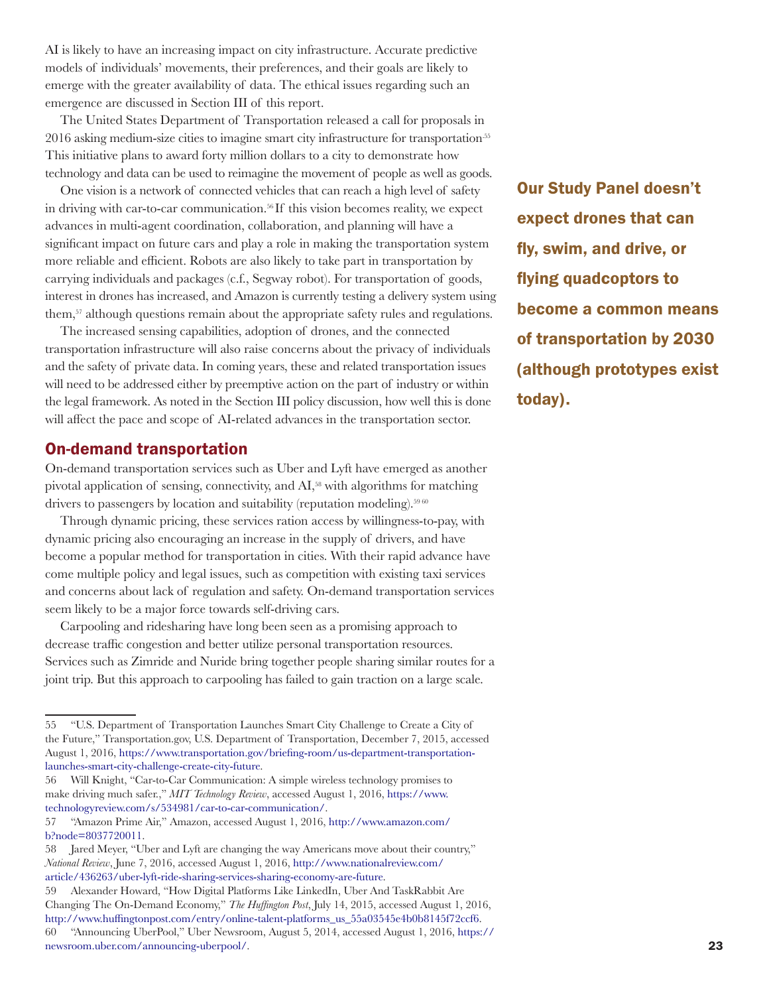AI is likely to have an increasing impact on city infrastructure. Accurate predictive models of individuals' movements, their preferences, and their goals are likely to emerge with the greater availability of data. The ethical issues regarding such an emergence are discussed in Section III of this report.

The United States Department of Transportation released a call for proposals in 2016 asking medium-size cities to imagine smart city infrastructure for transportation<sup>55</sup> This initiative plans to award forty million dollars to a city to demonstrate how technology and data can be used to reimagine the movement of people as well as goods.

One vision is a network of connected vehicles that can reach a high level of safety in driving with car-to-car communication.<sup>56</sup> If this vision becomes reality, we expect advances in multi-agent coordination, collaboration, and planning will have a significant impact on future cars and play a role in making the transportation system more reliable and efficient. Robots are also likely to take part in transportation by carrying individuals and packages (c.f., Segway robot). For transportation of goods, interest in drones has increased, and Amazon is currently testing a delivery system using them,57 although questions remain about the appropriate safety rules and regulations.

The increased sensing capabilities, adoption of drones, and the connected transportation infrastructure will also raise concerns about the privacy of individuals and the safety of private data. In coming years, these and related transportation issues will need to be addressed either by preemptive action on the part of industry or within the legal framework. As noted in the Section III policy discussion, how well this is done will affect the pace and scope of AI-related advances in the transportation sector.

# On-demand transportation

On-demand transportation services such as Uber and Lyft have emerged as another pivotal application of sensing, connectivity, and AI,58 with algorithms for matching drivers to passengers by location and suitability (reputation modeling).<sup>5960</sup>

Through dynamic pricing, these services ration access by willingness-to-pay, with dynamic pricing also encouraging an increase in the supply of drivers, and have become a popular method for transportation in cities. With their rapid advance have come multiple policy and legal issues, such as competition with existing taxi services and concerns about lack of regulation and safety. On-demand transportation services seem likely to be a major force towards self-driving cars.

Carpooling and ridesharing have long been seen as a promising approach to decrease traffic congestion and better utilize personal transportation resources. Services such as Zimride and Nuride bring together people sharing similar routes for a joint trip. But this approach to carpooling has failed to gain traction on a large scale.

Our Study Panel doesn't expect drones that can fly, swim, and drive, or flying quadcoptors to become a common means of transportation by 2030 (although prototypes exist today).

<sup>55 &</sup>quot;U.S. Department of Transportation Launches Smart City Challenge to Create a City of the Future," Transportation.gov, U.S. Department of Transportation, December 7, 2015, accessed August 1, 2016, https://www.transportation.gov/briefing-room/us-department-transportationlaunches-smart-city-challenge-create-city-future.

<sup>56</sup> Will Knight, "Car-to-Car Communication: A simple wireless technology promises to make driving much safer.," *MIT Technology Review*, accessed August 1, 2016, https://www. technologyreview.com/s/534981/car-to-car-communication/.

<sup>57 &</sup>quot;Amazon Prime Air," Amazon, accessed August 1, 2016, http://www.amazon.com/ b?node=8037720011.

<sup>58</sup> Jared Meyer, "Uber and Lyft are changing the way Americans move about their country," *National Review*, June 7, 2016, accessed August 1, 2016, http://www.nationalreview.com/ article/436263/uber-lyft-ride-sharing-services-sharing-economy-are-future.

<sup>59</sup> Alexander Howard, "How Digital Platforms Like LinkedIn, Uber And TaskRabbit Are Changing The On-Demand Economy," *The Huffington Post*, July 14, 2015, accessed August 1, 2016, http://www.huffingtonpost.com/entry/online-talent-platforms\_us\_55a03545e4b0b8145f72ccf6. 60 "Announcing UberPool," Uber Newsroom, August 5, 2014, accessed August 1, 2016, https:// newsroom.uber.com/announcing-uberpool/.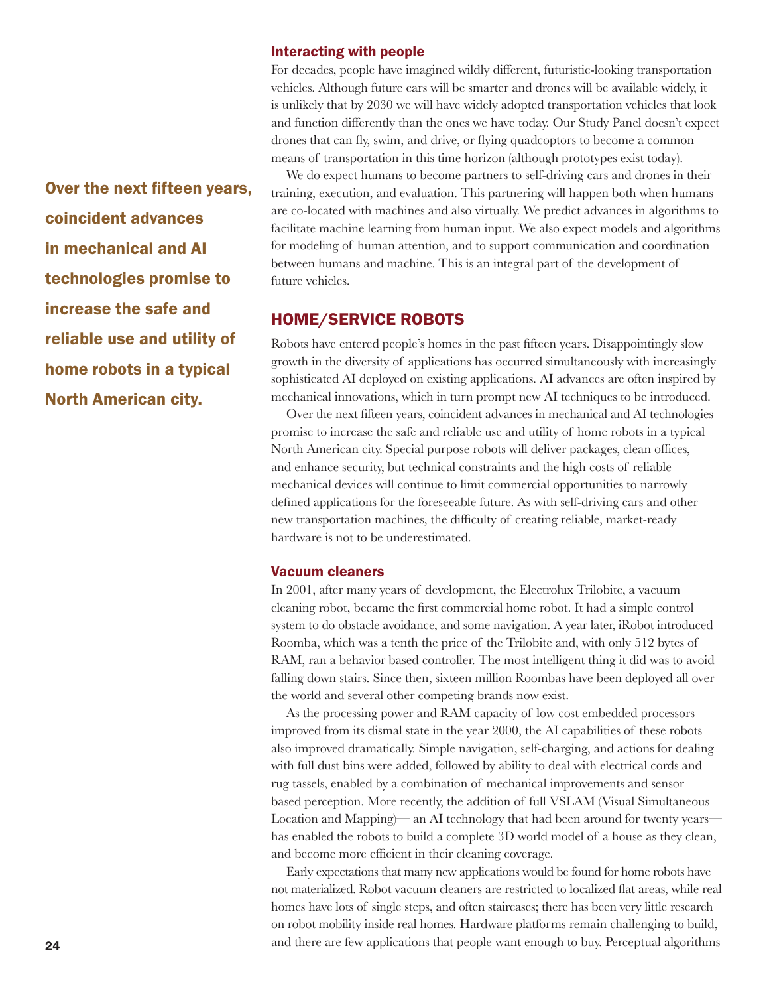Over the next fifteen years, coincident advances in mechanical and AI technologies promise to increase the safe and reliable use and utility of home robots in a typical North American city.

#### Interacting with people

For decades, people have imagined wildly different, futuristic-looking transportation vehicles. Although future cars will be smarter and drones will be available widely, it is unlikely that by 2030 we will have widely adopted transportation vehicles that look and function differently than the ones we have today. Our Study Panel doesn't expect drones that can fly, swim, and drive, or flying quadcoptors to become a common means of transportation in this time horizon (although prototypes exist today).

We do expect humans to become partners to self-driving cars and drones in their training, execution, and evaluation. This partnering will happen both when humans are co-located with machines and also virtually. We predict advances in algorithms to facilitate machine learning from human input. We also expect models and algorithms for modeling of human attention, and to support communication and coordination between humans and machine. This is an integral part of the development of future vehicles.

# HOME/SERVICE ROBOTS

Robots have entered people's homes in the past fifteen years. Disappointingly slow growth in the diversity of applications has occurred simultaneously with increasingly sophisticated AI deployed on existing applications. AI advances are often inspired by mechanical innovations, which in turn prompt new AI techniques to be introduced.

Over the next fifteen years, coincident advances in mechanical and AI technologies promise to increase the safe and reliable use and utility of home robots in a typical North American city. Special purpose robots will deliver packages, clean offices, and enhance security, but technical constraints and the high costs of reliable mechanical devices will continue to limit commercial opportunities to narrowly defined applications for the foreseeable future. As with self-driving cars and other new transportation machines, the difficulty of creating reliable, market-ready hardware is not to be underestimated.

#### Vacuum cleaners

In 2001, after many years of development, the Electrolux Trilobite, a vacuum cleaning robot, became the first commercial home robot. It had a simple control system to do obstacle avoidance, and some navigation. A year later, iRobot introduced Roomba, which was a tenth the price of the Trilobite and, with only 512 bytes of RAM, ran a behavior based controller. The most intelligent thing it did was to avoid falling down stairs. Since then, sixteen million Roombas have been deployed all over the world and several other competing brands now exist.

As the processing power and RAM capacity of low cost embedded processors improved from its dismal state in the year 2000, the AI capabilities of these robots also improved dramatically. Simple navigation, self-charging, and actions for dealing with full dust bins were added, followed by ability to deal with electrical cords and rug tassels, enabled by a combination of mechanical improvements and sensor based perception. More recently, the addition of full VSLAM (Visual Simultaneous Location and Mapping)— an AI technology that had been around for twenty years has enabled the robots to build a complete 3D world model of a house as they clean, and become more efficient in their cleaning coverage.

Early expectations that many new applications would be found for home robots have not materialized. Robot vacuum cleaners are restricted to localized flat areas, while real homes have lots of single steps, and often staircases; there has been very little research on robot mobility inside real homes. Hardware platforms remain challenging to build, and there are few applications that people want enough to buy. Perceptual algorithms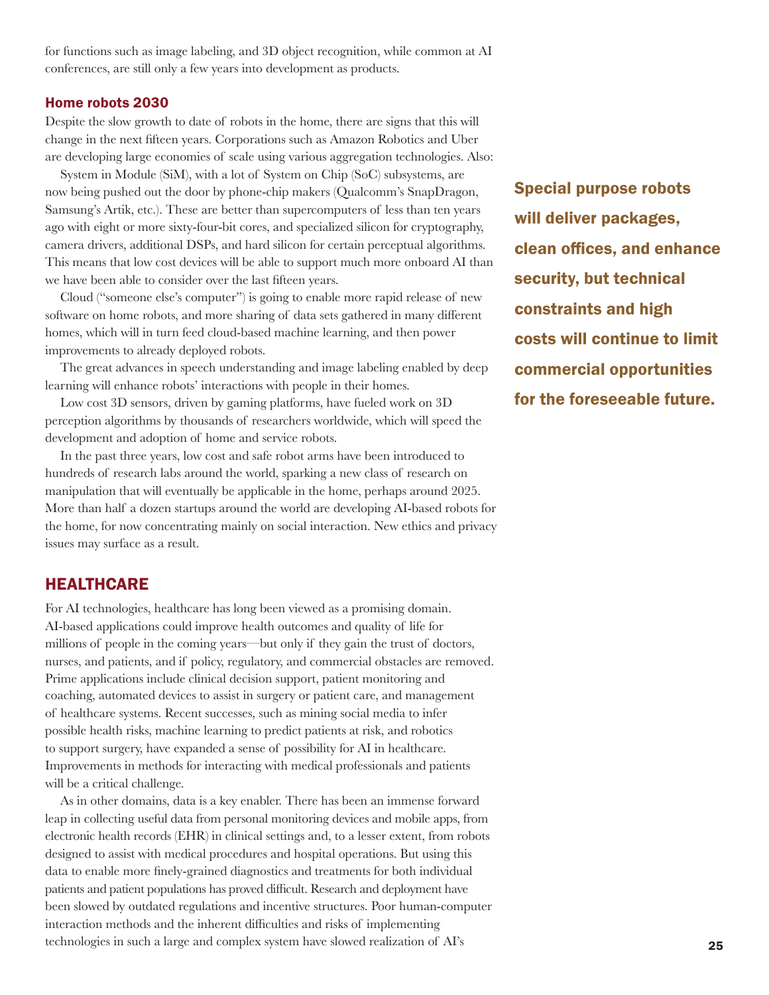for functions such as image labeling, and 3D object recognition, while common at AI conferences, are still only a few years into development as products.

#### Home robots 2030

Despite the slow growth to date of robots in the home, there are signs that this will change in the next fifteen years. Corporations such as Amazon Robotics and Uber are developing large economies of scale using various aggregation technologies. Also:

System in Module (SiM), with a lot of System on Chip (SoC) subsystems, are now being pushed out the door by phone-chip makers (Qualcomm's SnapDragon, Samsung's Artik, etc.). These are better than supercomputers of less than ten years ago with eight or more sixty-four-bit cores, and specialized silicon for cryptography, camera drivers, additional DSPs, and hard silicon for certain perceptual algorithms. This means that low cost devices will be able to support much more onboard AI than we have been able to consider over the last fifteen years.

Cloud ("someone else's computer") is going to enable more rapid release of new software on home robots, and more sharing of data sets gathered in many different homes, which will in turn feed cloud-based machine learning, and then power improvements to already deployed robots.

The great advances in speech understanding and image labeling enabled by deep learning will enhance robots' interactions with people in their homes.

Low cost 3D sensors, driven by gaming platforms, have fueled work on 3D perception algorithms by thousands of researchers worldwide, which will speed the development and adoption of home and service robots.

In the past three years, low cost and safe robot arms have been introduced to hundreds of research labs around the world, sparking a new class of research on manipulation that will eventually be applicable in the home, perhaps around 2025. More than half a dozen startups around the world are developing AI-based robots for the home, for now concentrating mainly on social interaction. New ethics and privacy issues may surface as a result.

# **HEALTHCARE**

For AI technologies, healthcare has long been viewed as a promising domain. AI-based applications could improve health outcomes and quality of life for millions of people in the coming years—but only if they gain the trust of doctors, nurses, and patients, and if policy, regulatory, and commercial obstacles are removed. Prime applications include clinical decision support, patient monitoring and coaching, automated devices to assist in surgery or patient care, and management of healthcare systems. Recent successes, such as mining social media to infer possible health risks, machine learning to predict patients at risk, and robotics to support surgery, have expanded a sense of possibility for AI in healthcare. Improvements in methods for interacting with medical professionals and patients will be a critical challenge.

As in other domains, data is a key enabler. There has been an immense forward leap in collecting useful data from personal monitoring devices and mobile apps, from electronic health records (EHR) in clinical settings and, to a lesser extent, from robots designed to assist with medical procedures and hospital operations. But using this data to enable more finely-grained diagnostics and treatments for both individual patients and patient populations has proved difficult. Research and deployment have been slowed by outdated regulations and incentive structures. Poor human-computer interaction methods and the inherent difficulties and risks of implementing technologies in such a large and complex system have slowed realization of AI's

Special purpose robots will deliver packages, clean offices, and enhance security, but technical constraints and high costs will continue to limit commercial opportunities for the foreseeable future.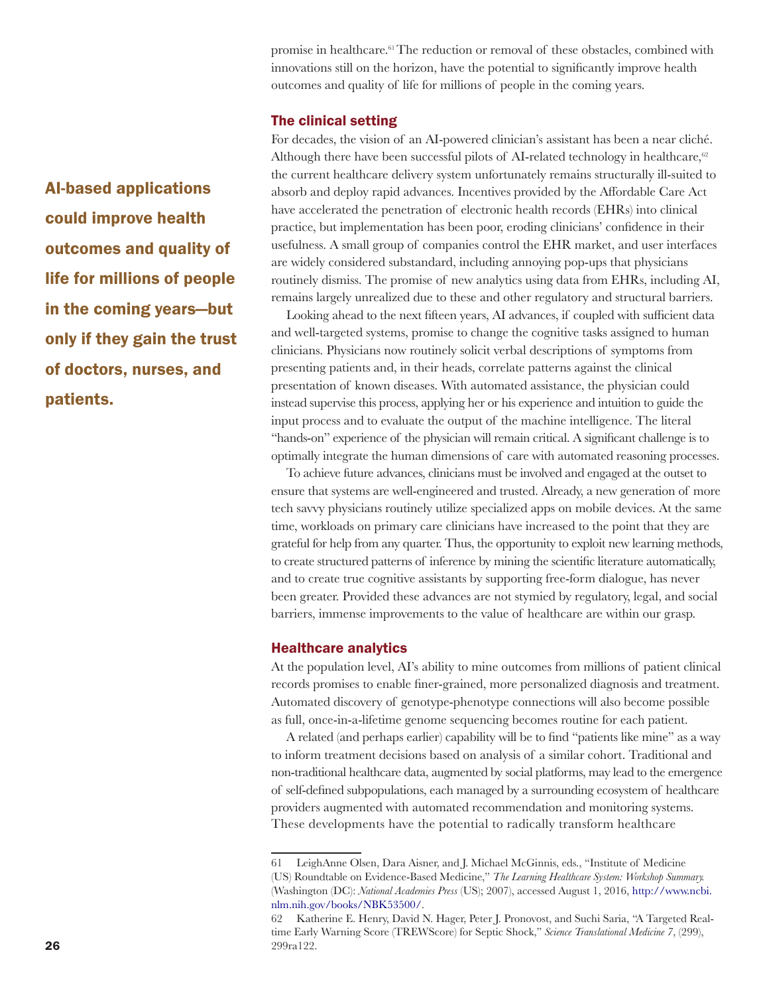promise in healthcare.61The reduction or removal of these obstacles, combined with innovations still on the horizon, have the potential to significantly improve health outcomes and quality of life for millions of people in the coming years.

#### The clinical setting

For decades, the vision of an AI-powered clinician's assistant has been a near cliché. Although there have been successful pilots of AI-related technology in healthcare, $62$ the current healthcare delivery system unfortunately remains structurally ill-suited to absorb and deploy rapid advances. Incentives provided by the Affordable Care Act have accelerated the penetration of electronic health records (EHRs) into clinical practice, but implementation has been poor, eroding clinicians' confidence in their usefulness. A small group of companies control the EHR market, and user interfaces are widely considered substandard, including annoying pop-ups that physicians routinely dismiss. The promise of new analytics using data from EHRs, including AI, remains largely unrealized due to these and other regulatory and structural barriers.

Looking ahead to the next fifteen years, AI advances, if coupled with sufficient data and well-targeted systems, promise to change the cognitive tasks assigned to human clinicians. Physicians now routinely solicit verbal descriptions of symptoms from presenting patients and, in their heads, correlate patterns against the clinical presentation of known diseases. With automated assistance, the physician could instead supervise this process, applying her or his experience and intuition to guide the input process and to evaluate the output of the machine intelligence. The literal "hands-on" experience of the physician will remain critical. A significant challenge is to optimally integrate the human dimensions of care with automated reasoning processes.

To achieve future advances, clinicians must be involved and engaged at the outset to ensure that systems are well-engineered and trusted. Already, a new generation of more tech savvy physicians routinely utilize specialized apps on mobile devices. At the same time, workloads on primary care clinicians have increased to the point that they are grateful for help from any quarter. Thus, the opportunity to exploit new learning methods, to create structured patterns of inference by mining the scientific literature automatically, and to create true cognitive assistants by supporting free-form dialogue, has never been greater. Provided these advances are not stymied by regulatory, legal, and social barriers, immense improvements to the value of healthcare are within our grasp.

#### Healthcare analytics

At the population level, AI's ability to mine outcomes from millions of patient clinical records promises to enable finer-grained, more personalized diagnosis and treatment. Automated discovery of genotype-phenotype connections will also become possible as full, once-in-a-lifetime genome sequencing becomes routine for each patient.

A related (and perhaps earlier) capability will be to find "patients like mine" as a way to inform treatment decisions based on analysis of a similar cohort. Traditional and non-traditional healthcare data, augmented by social platforms, may lead to the emergence of self-defined subpopulations, each managed by a surrounding ecosystem of healthcare providers augmented with automated recommendation and monitoring systems. These developments have the potential to radically transform healthcare

AI-based applications could improve health outcomes and quality of life for millions of people in the coming years—but only if they gain the trust of doctors, nurses, and patients.

<sup>61</sup> LeighAnne Olsen, Dara Aisner, and J. Michael McGinnis, eds., "Institute of Medicine (US) Roundtable on Evidence-Based Medicine," *The Learning Healthcare System: Workshop Summary.* (Washington (DC): *National Academies Press* (US); 2007), accessed August 1, 2016, http://www.ncbi. nlm.nih.gov/books/NBK53500/.

<sup>62</sup> Katherine E. Henry, David N. Hager, Peter J. Pronovost, and Suchi Saria, "A Targeted Realtime Early Warning Score (TREWScore) for Septic Shock," *Science Translational Medicine 7*, (299), 299ra122.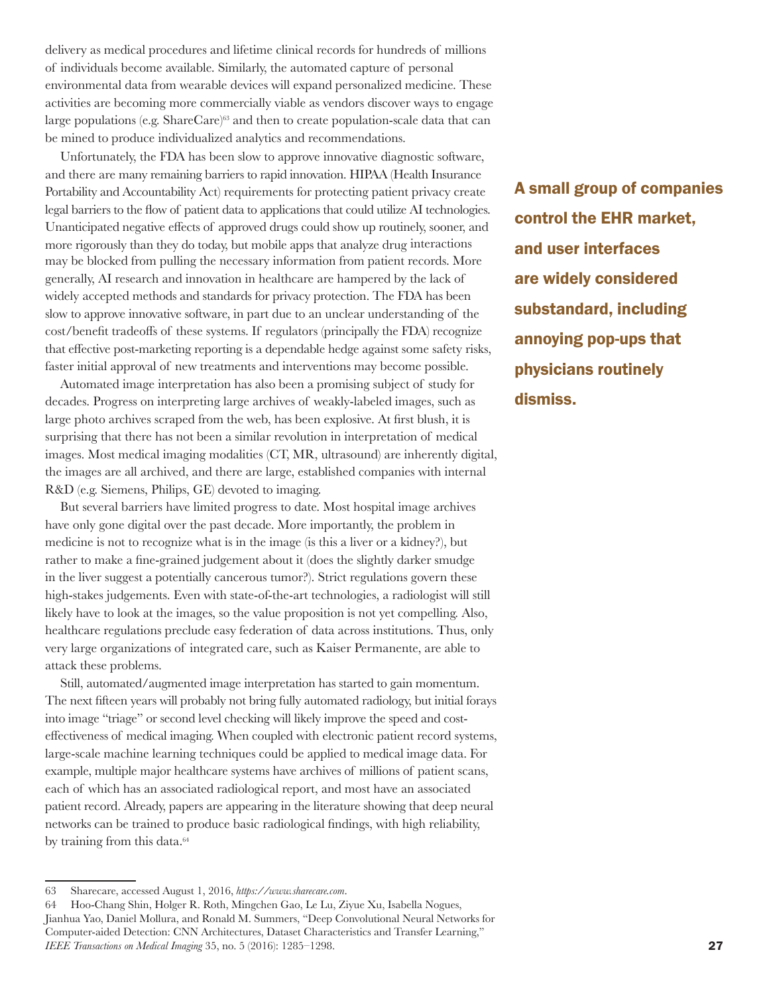delivery as medical procedures and lifetime clinical records for hundreds of millions of individuals become available. Similarly, the automated capture of personal environmental data from wearable devices will expand personalized medicine. These activities are becoming more commercially viable as vendors discover ways to engage large populations (e.g. ShareCare)<sup>63</sup> and then to create population-scale data that can be mined to produce individualized analytics and recommendations.

Unfortunately, the FDA has been slow to approve innovative diagnostic software, and there are many remaining barriers to rapid innovation. HIPAA (Health Insurance Portability and Accountability Act) requirements for protecting patient privacy create legal barriers to the flow of patient data to applications that could utilize AI technologies. Unanticipated negative effects of approved drugs could show up routinely, sooner, and more rigorously than they do today, but mobile apps that analyze drug interactions may be blocked from pulling the necessary information from patient records. More generally, AI research and innovation in healthcare are hampered by the lack of widely accepted methods and standards for privacy protection. The FDA has been slow to approve innovative software, in part due to an unclear understanding of the cost/benefit tradeoffs of these systems. If regulators (principally the FDA) recognize that effective post-marketing reporting is a dependable hedge against some safety risks, faster initial approval of new treatments and interventions may become possible.

Automated image interpretation has also been a promising subject of study for decades. Progress on interpreting large archives of weakly-labeled images, such as large photo archives scraped from the web, has been explosive. At first blush, it is surprising that there has not been a similar revolution in interpretation of medical images. Most medical imaging modalities (CT, MR, ultrasound) are inherently digital, the images are all archived, and there are large, established companies with internal R&D (e.g. Siemens, Philips, GE) devoted to imaging.

But several barriers have limited progress to date. Most hospital image archives have only gone digital over the past decade. More importantly, the problem in medicine is not to recognize what is in the image (is this a liver or a kidney?), but rather to make a fine-grained judgement about it (does the slightly darker smudge in the liver suggest a potentially cancerous tumor?). Strict regulations govern these high-stakes judgements. Even with state-of-the-art technologies, a radiologist will still likely have to look at the images, so the value proposition is not yet compelling. Also, healthcare regulations preclude easy federation of data across institutions. Thus, only very large organizations of integrated care, such as Kaiser Permanente, are able to attack these problems.

Still, automated/augmented image interpretation has started to gain momentum. The next fifteen years will probably not bring fully automated radiology, but initial forays into image "triage" or second level checking will likely improve the speed and costeffectiveness of medical imaging. When coupled with electronic patient record systems, large-scale machine learning techniques could be applied to medical image data. For example, multiple major healthcare systems have archives of millions of patient scans, each of which has an associated radiological report, and most have an associated patient record. Already, papers are appearing in the literature showing that deep neural networks can be trained to produce basic radiological findings, with high reliability, by training from this data.<sup>64</sup>

64 Hoo-Chang Shin, Holger R. Roth, Mingchen Gao, Le Lu, Ziyue Xu, Isabella Nogues, Jianhua Yao, Daniel Mollura, and Ronald M. Summers, "Deep Convolutional Neural Networks for Computer-aided Detection: CNN Architectures, Dataset Characteristics and Transfer Learning," *IEEE Transactions on Medical Imaging* 35, no. 5 (2016): 1285–1298.

A small group of companies control the EHR market, and user interfaces are widely considered substandard, including annoying pop-ups that physicians routinely dismiss.

<sup>63</sup> Sharecare, accessed August 1, 2016, *https://www.sharecare.com*.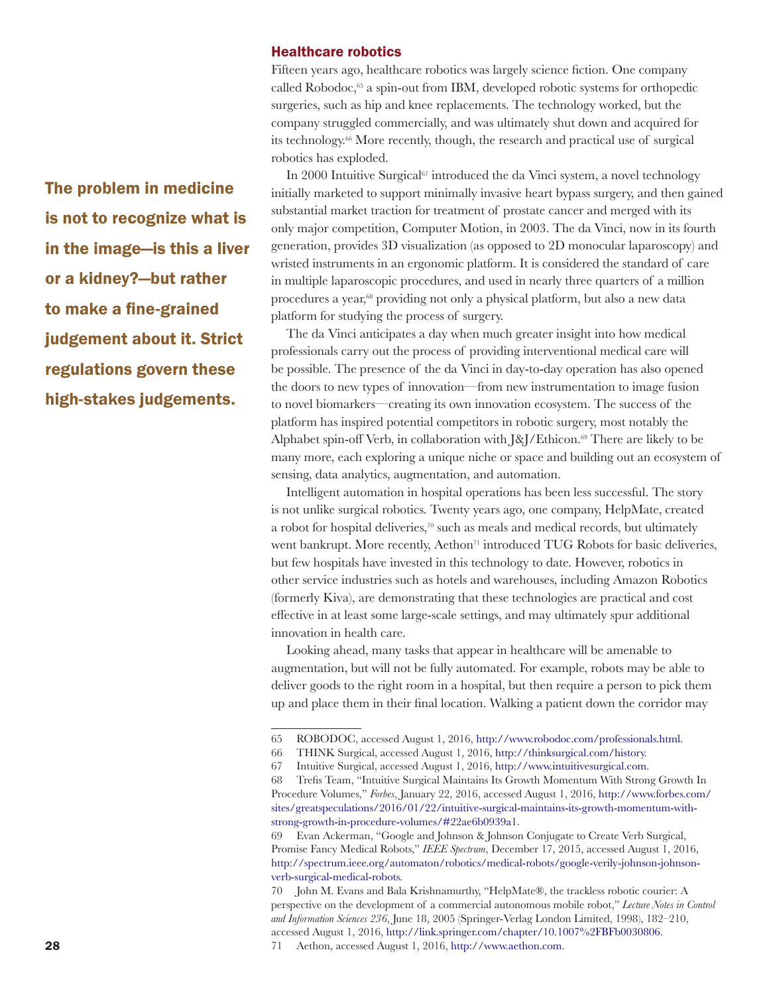#### Healthcare robotics

Fifteen years ago, healthcare robotics was largely science fiction. One company called Robodoc,<sup>65</sup> a spin-out from IBM, developed robotic systems for orthopedic surgeries, such as hip and knee replacements. The technology worked, but the company struggled commercially, and was ultimately shut down and acquired for its technology.66 More recently, though, the research and practical use of surgical robotics has exploded.

In 2000 Intuitive Surgical<sup>67</sup> introduced the da Vinci system, a novel technology initially marketed to support minimally invasive heart bypass surgery, and then gained substantial market traction for treatment of prostate cancer and merged with its only major competition, Computer Motion, in 2003. The da Vinci, now in its fourth generation, provides 3D visualization (as opposed to 2D monocular laparoscopy) and wristed instruments in an ergonomic platform. It is considered the standard of care in multiple laparoscopic procedures, and used in nearly three quarters of a million procedures a year,<sup>68</sup> providing not only a physical platform, but also a new data platform for studying the process of surgery.

The da Vinci anticipates a day when much greater insight into how medical professionals carry out the process of providing interventional medical care will be possible. The presence of the da Vinci in day-to-day operation has also opened the doors to new types of innovation—from new instrumentation to image fusion to novel biomarkers—creating its own innovation ecosystem. The success of the platform has inspired potential competitors in robotic surgery, most notably the Alphabet spin-off Verb, in collaboration with J&J/Ethicon.<sup>69</sup> There are likely to be many more, each exploring a unique niche or space and building out an ecosystem of sensing, data analytics, augmentation, and automation.

Intelligent automation in hospital operations has been less successful. The story is not unlike surgical robotics. Twenty years ago, one company, HelpMate, created a robot for hospital deliveries, $\bar{v}$  such as meals and medical records, but ultimately went bankrupt. More recently, Aethon<sup>71</sup> introduced TUG Robots for basic deliveries, but few hospitals have invested in this technology to date. However, robotics in other service industries such as hotels and warehouses, including Amazon Robotics (formerly Kiva), are demonstrating that these technologies are practical and cost effective in at least some large-scale settings, and may ultimately spur additional innovation in health care.

Looking ahead, many tasks that appear in healthcare will be amenable to augmentation, but will not be fully automated. For example, robots may be able to deliver goods to the right room in a hospital, but then require a person to pick them up and place them in their final location. Walking a patient down the corridor may

The problem in medicine is not to recognize what is in the image—is this a liver or a kidney?—but rather to make a fine-grained judgement about it. Strict regulations govern these high-stakes judgements.

<sup>65</sup> ROBODOC, accessed August 1, 2016, http://www.robodoc.com/professionals.html.

<sup>66</sup> THINK Surgical, accessed August 1, 2016, http://thinksurgical.com/history.

<sup>67</sup> Intuitive Surgical, accessed August 1, 2016, http://www.intuitivesurgical.com.

<sup>68</sup> Trefis Team, "Intuitive Surgical Maintains Its Growth Momentum With Strong Growth In Procedure Volumes," *Forbes*, January 22, 2016, accessed August 1, 2016, http://www.forbes.com/ sites/greatspeculations/2016/01/22/intuitive-surgical-maintains-its-growth-momentum-withstrong-growth-in-procedure-volumes/#22ae6b0939a1.

<sup>69</sup> Evan Ackerman, "Google and Johnson & Johnson Conjugate to Create Verb Surgical, Promise Fancy Medical Robots," *IEEE Spectrum*, December 17, 2015, accessed August 1, 2016, http://spectrum.ieee.org/automaton/robotics/medical-robots/google-verily-johnson-johnsonverb-surgical-medical-robots.

<sup>70</sup> John M. Evans and Bala Krishnamurthy, "HelpMate®, the trackless robotic courier: A perspective on the development of a commercial autonomous mobile robot," *Lecture Notes in Control and Information Sciences 236*, June 18, 2005 (Springer-Verlag London Limited, 1998), 182–210, accessed August 1, 2016, http://link.springer.com/chapter/10.1007%2FBFb0030806.

<sup>71</sup> Aethon, accessed August 1, 2016, http://www.aethon.com.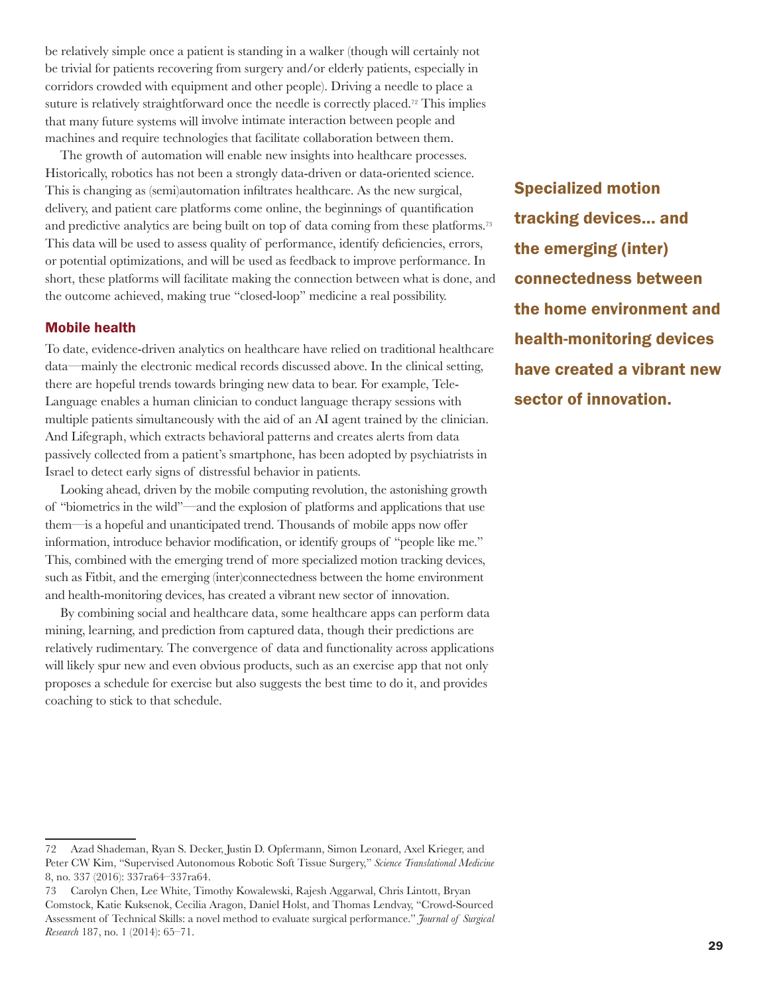be relatively simple once a patient is standing in a walker (though will certainly not be trivial for patients recovering from surgery and/or elderly patients, especially in corridors crowded with equipment and other people). Driving a needle to place a suture is relatively straightforward once the needle is correctly placed.<sup>72</sup> This implies that many future systems will involve intimate interaction between people and machines and require technologies that facilitate collaboration between them.

The growth of automation will enable new insights into healthcare processes. Historically, robotics has not been a strongly data-driven or data-oriented science. This is changing as (semi)automation infiltrates healthcare. As the new surgical, delivery, and patient care platforms come online, the beginnings of quantification and predictive analytics are being built on top of data coming from these platforms.73 This data will be used to assess quality of performance, identify deficiencies, errors, or potential optimizations, and will be used as feedback to improve performance. In short, these platforms will facilitate making the connection between what is done, and the outcome achieved, making true "closed-loop" medicine a real possibility.

#### Mobile health

To date, evidence-driven analytics on healthcare have relied on traditional healthcare data—mainly the electronic medical records discussed above. In the clinical setting, there are hopeful trends towards bringing new data to bear. For example, Tele-Language enables a human clinician to conduct language therapy sessions with multiple patients simultaneously with the aid of an AI agent trained by the clinician. And Lifegraph, which extracts behavioral patterns and creates alerts from data passively collected from a patient's smartphone, has been adopted by psychiatrists in Israel to detect early signs of distressful behavior in patients.

Looking ahead, driven by the mobile computing revolution, the astonishing growth of "biometrics in the wild"—and the explosion of platforms and applications that use them—is a hopeful and unanticipated trend. Thousands of mobile apps now offer information, introduce behavior modification, or identify groups of "people like me." This, combined with the emerging trend of more specialized motion tracking devices, such as Fitbit, and the emerging (inter)connectedness between the home environment and health-monitoring devices, has created a vibrant new sector of innovation.

By combining social and healthcare data, some healthcare apps can perform data mining, learning, and prediction from captured data, though their predictions are relatively rudimentary. The convergence of data and functionality across applications will likely spur new and even obvious products, such as an exercise app that not only proposes a schedule for exercise but also suggests the best time to do it, and provides coaching to stick to that schedule.

Specialized motion tracking devices... and the emerging (inter) connectedness between the home environment and health-monitoring devices have created a vibrant new sector of innovation.

<sup>72</sup> Azad Shademan, Ryan S. Decker, Justin D. Opfermann, Simon Leonard, Axel Krieger, and Peter CW Kim, "Supervised Autonomous Robotic Soft Tissue Surgery," *Science Translational Medicine*  8, no. 337 (2016): 337ra64–337ra64.

<sup>73</sup> Carolyn Chen, Lee White, Timothy Kowalewski, Rajesh Aggarwal, Chris Lintott, Bryan Comstock, Katie Kuksenok, Cecilia Aragon, Daniel Holst, and Thomas Lendvay, "Crowd-Sourced Assessment of Technical Skills: a novel method to evaluate surgical performance." *Journal of Surgical Research* 187, no. 1 (2014): 65–71.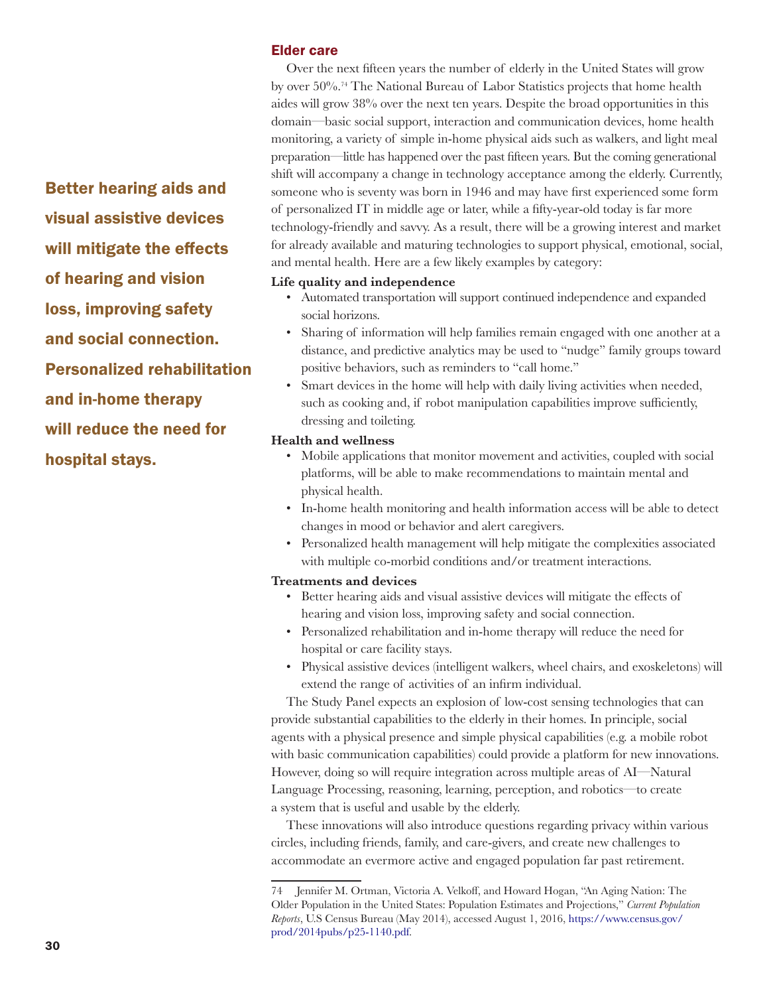#### Elder care

Over the next fifteen years the number of elderly in the United States will grow by over 50%.74 The National Bureau of Labor Statistics projects that home health aides will grow 38% over the next ten years. Despite the broad opportunities in this domain—basic social support, interaction and communication devices, home health monitoring, a variety of simple in-home physical aids such as walkers, and light meal preparation—little has happened over the past fifteen years. But the coming generational shift will accompany a change in technology acceptance among the elderly. Currently, someone who is seventy was born in 1946 and may have first experienced some form of personalized IT in middle age or later, while a fifty-year-old today is far more technology-friendly and savvy. As a result, there will be a growing interest and market for already available and maturing technologies to support physical, emotional, social, and mental health. Here are a few likely examples by category:

#### **Life quality and independence**

- Automated transportation will support continued independence and expanded social horizons.
- Sharing of information will help families remain engaged with one another at a distance, and predictive analytics may be used to "nudge" family groups toward positive behaviors, such as reminders to "call home."
- Smart devices in the home will help with daily living activities when needed, such as cooking and, if robot manipulation capabilities improve sufficiently, dressing and toileting.

#### **Health and wellness**

- Mobile applications that monitor movement and activities, coupled with social platforms, will be able to make recommendations to maintain mental and physical health.
- In-home health monitoring and health information access will be able to detect changes in mood or behavior and alert caregivers.
- Personalized health management will help mitigate the complexities associated with multiple co-morbid conditions and/or treatment interactions.

#### **Treatments and devices**

- Better hearing aids and visual assistive devices will mitigate the effects of hearing and vision loss, improving safety and social connection.
- Personalized rehabilitation and in-home therapy will reduce the need for hospital or care facility stays.
- Physical assistive devices (intelligent walkers, wheel chairs, and exoskeletons) will extend the range of activities of an infirm individual.

The Study Panel expects an explosion of low-cost sensing technologies that can provide substantial capabilities to the elderly in their homes. In principle, social agents with a physical presence and simple physical capabilities (e.g. a mobile robot with basic communication capabilities) could provide a platform for new innovations. However, doing so will require integration across multiple areas of AI—Natural Language Processing, reasoning, learning, perception, and robotics—to create a system that is useful and usable by the elderly.

These innovations will also introduce questions regarding privacy within various circles, including friends, family, and care-givers, and create new challenges to accommodate an evermore active and engaged population far past retirement.

Better hearing aids and visual assistive devices will mitigate the effects of hearing and vision loss, improving safety and social connection. Personalized rehabilitation and in-home therapy will reduce the need for hospital stays.

<sup>74</sup> Jennifer M. Ortman, Victoria A. Velkoff, and Howard Hogan, "An Aging Nation: The Older Population in the United States: Population Estimates and Projections," *Current Population Reports*, U.S Census Bureau (May 2014), accessed August 1, 2016, https://www.census.gov/ prod/2014pubs/p25-1140.pdf.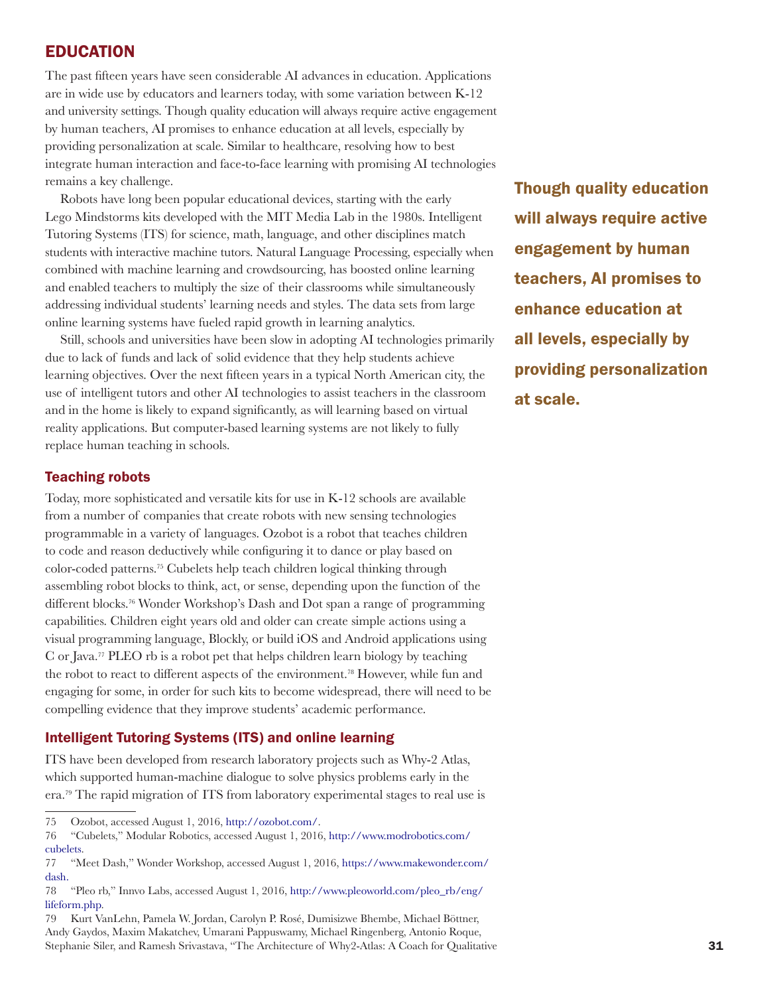# **EDUCATION**

The past fifteen years have seen considerable AI advances in education. Applications are in wide use by educators and learners today, with some variation between K-12 and university settings. Though quality education will always require active engagement by human teachers, AI promises to enhance education at all levels, especially by providing personalization at scale. Similar to healthcare, resolving how to best integrate human interaction and face-to-face learning with promising AI technologies remains a key challenge.

Robots have long been popular educational devices, starting with the early Lego Mindstorms kits developed with the MIT Media Lab in the 1980s. Intelligent Tutoring Systems (ITS) for science, math, language, and other disciplines match students with interactive machine tutors. Natural Language Processing, especially when combined with machine learning and crowdsourcing, has boosted online learning and enabled teachers to multiply the size of their classrooms while simultaneously addressing individual students' learning needs and styles. The data sets from large online learning systems have fueled rapid growth in learning analytics.

Still, schools and universities have been slow in adopting AI technologies primarily due to lack of funds and lack of solid evidence that they help students achieve learning objectives. Over the next fifteen years in a typical North American city, the use of intelligent tutors and other AI technologies to assist teachers in the classroom and in the home is likely to expand significantly, as will learning based on virtual reality applications. But computer-based learning systems are not likely to fully replace human teaching in schools.

# Teaching robots

Today, more sophisticated and versatile kits for use in K-12 schools are available from a number of companies that create robots with new sensing technologies programmable in a variety of languages. Ozobot is a robot that teaches children to code and reason deductively while configuring it to dance or play based on color-coded patterns.75 Cubelets help teach children logical thinking through assembling robot blocks to think, act, or sense, depending upon the function of the different blocks.76 Wonder Workshop's Dash and Dot span a range of programming capabilities. Children eight years old and older can create simple actions using a visual programming language, Blockly, or build iOS and Android applications using C or Java.77 PLEO rb is a robot pet that helps children learn biology by teaching the robot to react to different aspects of the environment.78 However, while fun and engaging for some, in order for such kits to become widespread, there will need to be compelling evidence that they improve students' academic performance.

#### Intelligent Tutoring Systems (ITS) and online learning

ITS have been developed from research laboratory projects such as Why-2 Atlas, which supported human-machine dialogue to solve physics problems early in the era.79 The rapid migration of ITS from laboratory experimental stages to real use is Though quality education will always require active engagement by human teachers, AI promises to enhance education at all levels, especially by providing personalization at scale.

<sup>75</sup> Ozobot, accessed August 1, 2016, http://ozobot.com/.

<sup>76 &</sup>quot;Cubelets," Modular Robotics, accessed August 1, 2016, http://www.modrobotics.com/ cubelets.

<sup>77 &</sup>quot;Meet Dash," Wonder Workshop, accessed August 1, 2016, https://www.makewonder.com/ dash.

<sup>78 &</sup>quot;Pleo rb," Innvo Labs, accessed August 1, 2016, http://www.pleoworld.com/pleo\_rb/eng/ lifeform.php.

<sup>79</sup> Kurt VanLehn, Pamela W. Jordan, Carolyn P. Rosé, Dumisizwe Bhembe, Michael Böttner, Andy Gaydos, Maxim Makatchev, Umarani Pappuswamy, Michael Ringenberg, Antonio Roque, Stephanie Siler, and Ramesh Srivastava, "The Architecture of Why2-Atlas: A Coach for Qualitative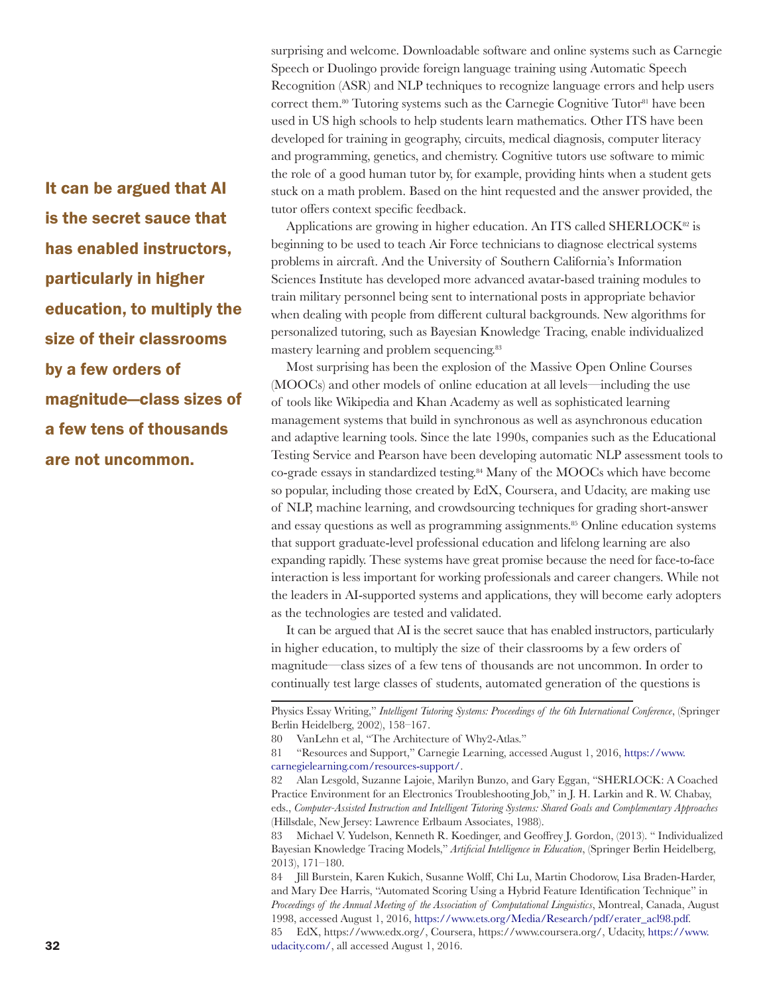It can be argued that AI is the secret sauce that has enabled instructors, particularly in higher education, to multiply the size of their classrooms by a few orders of magnitude—class sizes of a few tens of thousands are not uncommon.

surprising and welcome. Downloadable software and online systems such as Carnegie Speech or Duolingo provide foreign language training using Automatic Speech Recognition (ASR) and NLP techniques to recognize language errors and help users correct them.<sup>80</sup> Tutoring systems such as the Carnegie Cognitive Tutor<sup>81</sup> have been used in US high schools to help students learn mathematics. Other ITS have been developed for training in geography, circuits, medical diagnosis, computer literacy and programming, genetics, and chemistry. Cognitive tutors use software to mimic the role of a good human tutor by, for example, providing hints when a student gets stuck on a math problem. Based on the hint requested and the answer provided, the tutor offers context specific feedback.

Applications are growing in higher education. An ITS called SHERLOCK<sup>82</sup> is beginning to be used to teach Air Force technicians to diagnose electrical systems problems in aircraft. And the University of Southern California's Information Sciences Institute has developed more advanced avatar-based training modules to train military personnel being sent to international posts in appropriate behavior when dealing with people from different cultural backgrounds. New algorithms for personalized tutoring, such as Bayesian Knowledge Tracing, enable individualized mastery learning and problem sequencing.83

Most surprising has been the explosion of the Massive Open Online Courses (MOOCs) and other models of online education at all levels—including the use of tools like Wikipedia and Khan Academy as well as sophisticated learning management systems that build in synchronous as well as asynchronous education and adaptive learning tools. Since the late 1990s, companies such as the Educational Testing Service and Pearson have been developing automatic NLP assessment tools to co-grade essays in standardized testing.84 Many of the MOOCs which have become so popular, including those created by EdX, Coursera, and Udacity, are making use of NLP, machine learning, and crowdsourcing techniques for grading short-answer and essay questions as well as programming assignments.<sup>85</sup> Online education systems that support graduate-level professional education and lifelong learning are also expanding rapidly. These systems have great promise because the need for face-to-face interaction is less important for working professionals and career changers. While not the leaders in AI-supported systems and applications, they will become early adopters as the technologies are tested and validated.

It can be argued that AI is the secret sauce that has enabled instructors, particularly in higher education, to multiply the size of their classrooms by a few orders of magnitude—class sizes of a few tens of thousands are not uncommon. In order to continually test large classes of students, automated generation of the questions is

84 Jill Burstein, Karen Kukich, Susanne Wolff, Chi Lu, Martin Chodorow, Lisa Braden-Harder, and Mary Dee Harris, "Automated Scoring Using a Hybrid Feature Identification Technique" in *Proceedings of the Annual Meeting of the Association of Computational Linguistics*, Montreal, Canada, August 1998, accessed August 1, 2016, https://www.ets.org/Media/Research/pdf/erater\_acl98.pdf. 85 EdX, https://www.edx.org/, Coursera, https://www.coursera.org/, Udacity, https://www. udacity.com/, all accessed August 1, 2016.

Physics Essay Writing," *Intelligent Tutoring Systems: Proceedings of the 6th International Conference*, (Springer Berlin Heidelberg, 2002), 158–167.

<sup>80</sup> VanLehn et al, "The Architecture of Why2-Atlas."

<sup>81 &</sup>quot;Resources and Support," Carnegie Learning, accessed August 1, 2016, https://www. carnegielearning.com/resources-support/.

<sup>82</sup> Alan Lesgold, Suzanne Lajoie, Marilyn Bunzo, and Gary Eggan, "SHERLOCK: A Coached Practice Environment for an Electronics Troubleshooting Job," in J. H. Larkin and R. W. Chabay, eds., *Computer-Assisted Instruction and Intelligent Tutoring Systems: Shared Goals and Complementary Approaches* (Hillsdale, New Jersey: Lawrence Erlbaum Associates, 1988).

<sup>83</sup> Michael V. Yudelson, Kenneth R. Koedinger, and Geoffrey J. Gordon, (2013). " Individualized Bayesian Knowledge Tracing Models," *Artificial Intelligence in Education*, (Springer Berlin Heidelberg, 2013), 171–180.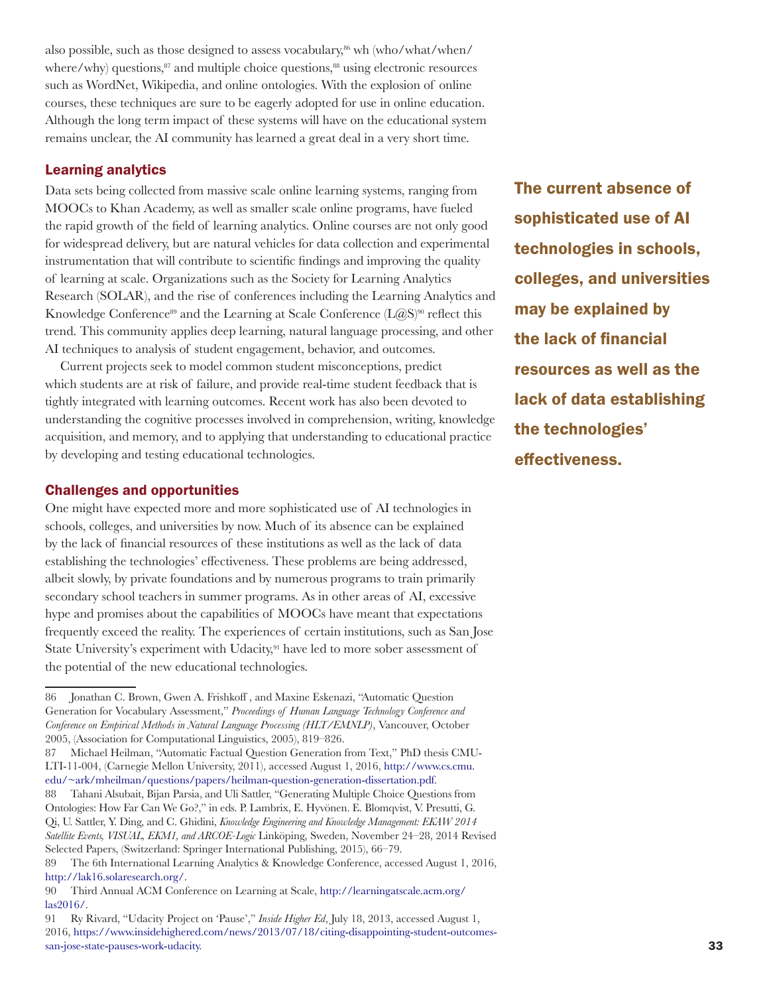also possible, such as those designed to assess vocabulary,<sup>86</sup> wh (who/what/when/ where/why) questions,<sup>87</sup> and multiple choice questions,<sup>88</sup> using electronic resources such as WordNet, Wikipedia, and online ontologies. With the explosion of online courses, these techniques are sure to be eagerly adopted for use in online education. Although the long term impact of these systems will have on the educational system remains unclear, the AI community has learned a great deal in a very short time.

# Learning analytics

Data sets being collected from massive scale online learning systems, ranging from MOOCs to Khan Academy, as well as smaller scale online programs, have fueled the rapid growth of the field of learning analytics. Online courses are not only good for widespread delivery, but are natural vehicles for data collection and experimental instrumentation that will contribute to scientific findings and improving the quality of learning at scale. Organizations such as the Society for Learning Analytics Research (SOLAR), and the rise of conferences including the Learning Analytics and Knowledge Conference<sup>89</sup> and the Learning at Scale Conference  $(L@S)^{90}$  reflect this trend. This community applies deep learning, natural language processing, and other AI techniques to analysis of student engagement, behavior, and outcomes.

Current projects seek to model common student misconceptions, predict which students are at risk of failure, and provide real-time student feedback that is tightly integrated with learning outcomes. Recent work has also been devoted to understanding the cognitive processes involved in comprehension, writing, knowledge acquisition, and memory, and to applying that understanding to educational practice by developing and testing educational technologies.

## Challenges and opportunities

One might have expected more and more sophisticated use of AI technologies in schools, colleges, and universities by now. Much of its absence can be explained by the lack of financial resources of these institutions as well as the lack of data establishing the technologies' effectiveness. These problems are being addressed, albeit slowly, by private foundations and by numerous programs to train primarily secondary school teachers in summer programs. As in other areas of AI, excessive hype and promises about the capabilities of MOOCs have meant that expectations frequently exceed the reality. The experiences of certain institutions, such as San Jose State University's experiment with Udacity,<sup>91</sup> have led to more sober assessment of the potential of the new educational technologies.

The current absence of sophisticated use of AI technologies in schools, colleges, and universities may be explained by the lack of financial resources as well as the lack of data establishing the technologies' effectiveness.

<sup>86</sup> Jonathan C. Brown, Gwen A. Frishkoff , and Maxine Eskenazi, "Automatic Question Generation for Vocabulary Assessment," *Proceedings of Human Language Technology Conference and Conference on Empirical Methods in Natural Language Processing (HLT/EMNLP)*, Vancouver, October 2005, (Association for Computational Linguistics, 2005), 819–826.

<sup>87</sup> Michael Heilman, "Automatic Factual Question Generation from Text," PhD thesis CMU-LTI-11-004, (Carnegie Mellon University, 2011), accessed August 1, 2016, http://www.cs.cmu. edu/~ark/mheilman/questions/papers/heilman-question-generation-dissertation.pdf.

<sup>88</sup> Tahani Alsubait, Bijan Parsia, and Uli Sattler, "Generating Multiple Choice Questions from Ontologies: How Far Can We Go?," in eds. P. Lambrix, E. Hyvönen. E. Blomqvist, V. Presutti, G. Qi, U. Sattler, Y. Ding, and C. Ghidini, *Knowledge Engineering and Knowledge Management: EKAW 2014 Satellite Events, VISUAL, EKM1, and ARCOE-Logic* Linköping, Sweden, November 24–28, 2014 Revised Selected Papers, (Switzerland: Springer International Publishing, 2015), 66–79.

<sup>89</sup> The 6th International Learning Analytics & Knowledge Conference, accessed August 1, 2016, http://lak16.solaresearch.org/.

<sup>90</sup> Third Annual ACM Conference on Learning at Scale, http://learningatscale.acm.org/ las2016/.

<sup>91</sup> Ry Rivard, "Udacity Project on 'Pause'," *Inside Higher Ed*, July 18, 2013, accessed August 1, 2016, https://www.insidehighered.com/news/2013/07/18/citing-disappointing-student-outcomessan-jose-state-pauses-work-udacity.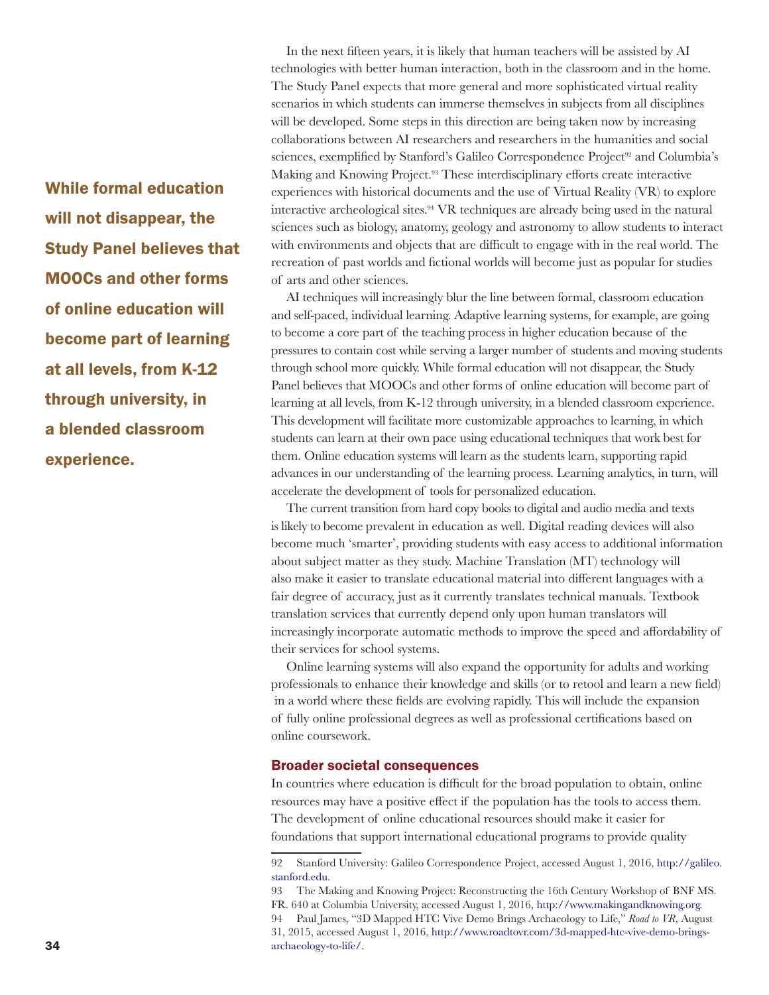While formal education will not disappear, the Study Panel believes that MOOCs and other forms of online education will become part of learning at all levels, from K-12 through university, in a blended classroom experience.

In the next fifteen years, it is likely that human teachers will be assisted by AI technologies with better human interaction, both in the classroom and in the home. The Study Panel expects that more general and more sophisticated virtual reality scenarios in which students can immerse themselves in subjects from all disciplines will be developed. Some steps in this direction are being taken now by increasing collaborations between AI researchers and researchers in the humanities and social sciences, exemplified by Stanford's Galileo Correspondence Project<sup>92</sup> and Columbia's Making and Knowing Project.93 These interdisciplinary efforts create interactive experiences with historical documents and the use of Virtual Reality (VR) to explore interactive archeological sites.94 VR techniques are already being used in the natural sciences such as biology, anatomy, geology and astronomy to allow students to interact with environments and objects that are difficult to engage with in the real world. The recreation of past worlds and fictional worlds will become just as popular for studies of arts and other sciences.

AI techniques will increasingly blur the line between formal, classroom education and self-paced, individual learning. Adaptive learning systems, for example, are going to become a core part of the teaching process in higher education because of the pressures to contain cost while serving a larger number of students and moving students through school more quickly. While formal education will not disappear, the Study Panel believes that MOOCs and other forms of online education will become part of learning at all levels, from K-12 through university, in a blended classroom experience. This development will facilitate more customizable approaches to learning, in which students can learn at their own pace using educational techniques that work best for them. Online education systems will learn as the students learn, supporting rapid advances in our understanding of the learning process. Learning analytics, in turn, will accelerate the development of tools for personalized education.

The current transition from hard copy books to digital and audio media and texts is likely to become prevalent in education as well. Digital reading devices will also become much 'smarter', providing students with easy access to additional information about subject matter as they study. Machine Translation (MT) technology will also make it easier to translate educational material into different languages with a fair degree of accuracy, just as it currently translates technical manuals. Textbook translation services that currently depend only upon human translators will increasingly incorporate automatic methods to improve the speed and affordability of their services for school systems.

Online learning systems will also expand the opportunity for adults and working professionals to enhance their knowledge and skills (or to retool and learn a new field) in a world where these fields are evolving rapidly. This will include the expansion of fully online professional degrees as well as professional certifications based on online coursework.

#### Broader societal consequences

In countries where education is difficult for the broad population to obtain, online resources may have a positive effect if the population has the tools to access them. The development of online educational resources should make it easier for foundations that support international educational programs to provide quality

<sup>92</sup> Stanford University: Galileo Correspondence Project, accessed August 1, 2016, http://galileo. stanford.edu.

<sup>93</sup> The Making and Knowing Project: Reconstructing the 16th Century Workshop of BNF MS. FR. 640 at Columbia University, accessed August 1, 2016, http://www.makingandknowing.org.

<sup>94</sup> Paul James, "3D Mapped HTC Vive Demo Brings Archaeology to Life," *Road to VR*, August 31, 2015, accessed August 1, 2016, http://www.roadtovr.com/3d-mapped-htc-vive-demo-bringsarchaeology-to-life/.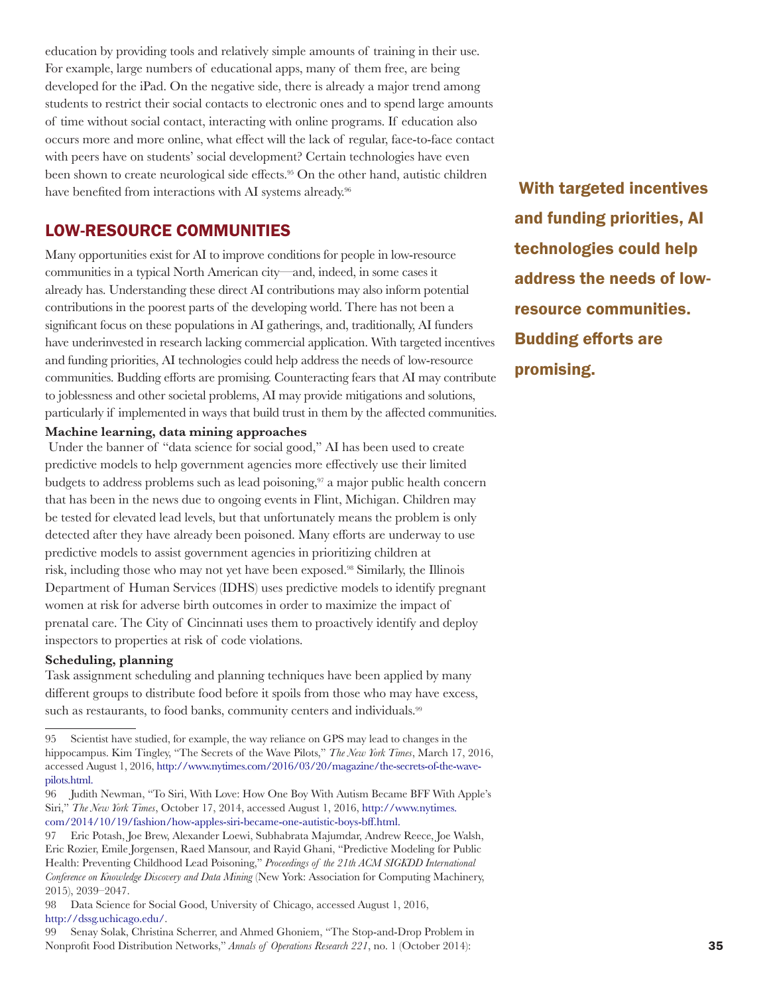education by providing tools and relatively simple amounts of training in their use. For example, large numbers of educational apps, many of them free, are being developed for the iPad. On the negative side, there is already a major trend among students to restrict their social contacts to electronic ones and to spend large amounts of time without social contact, interacting with online programs. If education also occurs more and more online, what effect will the lack of regular, face-to-face contact with peers have on students' social development? Certain technologies have even been shown to create neurological side effects.95 On the other hand, autistic children have benefited from interactions with AI systems already.<sup>96</sup>

# LOW-RESOURCE COMMUNITIES

Many opportunities exist for AI to improve conditions for people in low-resource communities in a typical North American city—and, indeed, in some cases it already has. Understanding these direct AI contributions may also inform potential contributions in the poorest parts of the developing world. There has not been a significant focus on these populations in AI gatherings, and, traditionally, AI funders have underinvested in research lacking commercial application. With targeted incentives and funding priorities, AI technologies could help address the needs of low-resource communities. Budding efforts are promising. Counteracting fears that AI may contribute to joblessness and other societal problems, AI may provide mitigations and solutions, particularly if implemented in ways that build trust in them by the affected communities.

#### **Machine learning, data mining approaches**

 Under the banner of "data science for social good," AI has been used to create predictive models to help government agencies more effectively use their limited budgets to address problems such as lead poisoning, $97$  a major public health concern that has been in the news due to ongoing events in Flint, Michigan. Children may be tested for elevated lead levels, but that unfortunately means the problem is only detected after they have already been poisoned. Many efforts are underway to use predictive models to assist government agencies in prioritizing children at risk, including those who may not yet have been exposed.98 Similarly, the Illinois Department of Human Services (IDHS) uses predictive models to identify pregnant women at risk for adverse birth outcomes in order to maximize the impact of prenatal care. The City of Cincinnati uses them to proactively identify and deploy inspectors to properties at risk of code violations.

#### **Scheduling, planning**

Task assignment scheduling and planning techniques have been applied by many different groups to distribute food before it spoils from those who may have excess, such as restaurants, to food banks, community centers and individuals.<sup>99</sup>

 With targeted incentives and funding priorities, AI technologies could help address the needs of lowresource communities. Budding efforts are promising.

<sup>95</sup> Scientist have studied, for example, the way reliance on GPS may lead to changes in the hippocampus. Kim Tingley, "The Secrets of the Wave Pilots," *The New York Times*, March 17, 2016, accessed August 1, 2016, http://www.nytimes.com/2016/03/20/magazine/the-secrets-of-the-wavepilots.html.

<sup>96</sup> Judith Newman, "To Siri, With Love: How One Boy With Autism Became BFF With Apple's Siri," *The New York Times*, October 17, 2014, accessed August 1, 2016, http://www.nytimes. com/2014/10/19/fashion/how-apples-siri-became-one-autistic-boys-bff.html.

<sup>97</sup> Eric Potash, Joe Brew, Alexander Loewi, Subhabrata Majumdar, Andrew Reece, Joe Walsh, Eric Rozier, Emile Jorgensen, Raed Mansour, and Rayid Ghani, "Predictive Modeling for Public Health: Preventing Childhood Lead Poisoning," *Proceedings of the 21th ACM SIGKDD International Conference on Knowledge Discovery and Data Mining* (New York: Association for Computing Machinery, 2015), 2039–2047.

<sup>98</sup> Data Science for Social Good, University of Chicago, accessed August 1, 2016, http://dssg.uchicago.edu/.

<sup>99</sup> Senay Solak, Christina Scherrer, and Ahmed Ghoniem, "The Stop-and-Drop Problem in Nonprofit Food Distribution Networks," *Annals of Operations Research 221*, no. 1 (October 2014):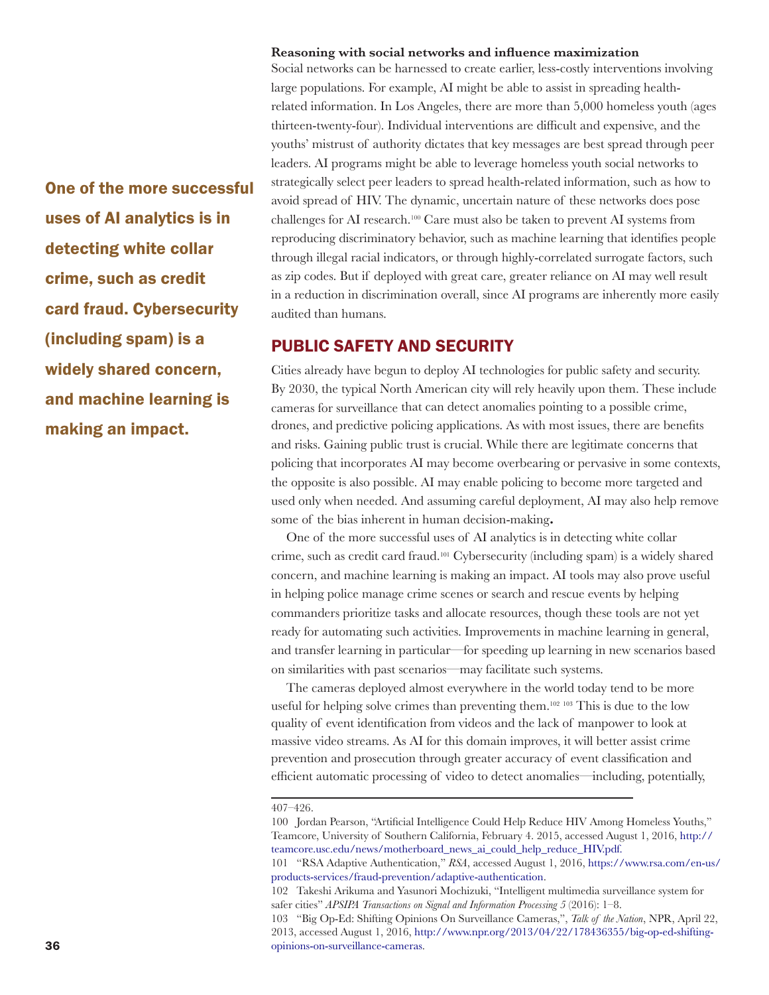One of the more successful uses of AI analytics is in detecting white collar crime, such as credit card fraud. Cybersecurity (including spam) is a widely shared concern, and machine learning is making an impact.

#### **Reasoning with social networks and influence maximization**

Social networks can be harnessed to create earlier, less-costly interventions involving large populations. For example, AI might be able to assist in spreading healthrelated information. In Los Angeles, there are more than 5,000 homeless youth (ages thirteen-twenty-four). Individual interventions are difficult and expensive, and the youths' mistrust of authority dictates that key messages are best spread through peer leaders. AI programs might be able to leverage homeless youth social networks to strategically select peer leaders to spread health-related information, such as how to avoid spread of HIV. The dynamic, uncertain nature of these networks does pose challenges for AI research.100 Care must also be taken to prevent AI systems from reproducing discriminatory behavior, such as machine learning that identifies people through illegal racial indicators, or through highly-correlated surrogate factors, such as zip codes. But if deployed with great care, greater reliance on AI may well result in a reduction in discrimination overall, since AI programs are inherently more easily audited than humans.

# PUBLIC SAFETY AND SECURITY

Cities already have begun to deploy AI technologies for public safety and security. By 2030, the typical North American city will rely heavily upon them. These include cameras for surveillance that can detect anomalies pointing to a possible crime, drones, and predictive policing applications. As with most issues, there are benefits and risks. Gaining public trust is crucial. While there are legitimate concerns that policing that incorporates AI may become overbearing or pervasive in some contexts, the opposite is also possible. AI may enable policing to become more targeted and used only when needed. And assuming careful deployment, AI may also help remove some of the bias inherent in human decision-making**.**

One of the more successful uses of AI analytics is in detecting white collar crime, such as credit card fraud.101 Cybersecurity (including spam) is a widely shared concern, and machine learning is making an impact. AI tools may also prove useful in helping police manage crime scenes or search and rescue events by helping commanders prioritize tasks and allocate resources, though these tools are not yet ready for automating such activities. Improvements in machine learning in general, and transfer learning in particular—for speeding up learning in new scenarios based on similarities with past scenarios—may facilitate such systems.

The cameras deployed almost everywhere in the world today tend to be more useful for helping solve crimes than preventing them.102 103 This is due to the low quality of event identification from videos and the lack of manpower to look at massive video streams. As AI for this domain improves, it will better assist crime prevention and prosecution through greater accuracy of event classification and efficient automatic processing of video to detect anomalies—including, potentially,

#### 407–426.

<sup>100</sup> Jordan Pearson, "Artificial Intelligence Could Help Reduce HIV Among Homeless Youths," Teamcore, University of Southern California, February 4. 2015, accessed August 1, 2016, http:// teamcore.usc.edu/news/motherboard\_news\_ai\_could\_help\_reduce\_HIV.pdf.

<sup>101 &</sup>quot;RSA Adaptive Authentication," *RSA*, accessed August 1, 2016, https://www.rsa.com/en-us/ products-services/fraud-prevention/adaptive-authentication.

<sup>102</sup> Takeshi Arikuma and Yasunori Mochizuki, "Intelligent multimedia surveillance system for safer cities" *APSIPA Transactions on Signal and Information Processing 5* (2016): 1–8.

<sup>103 &</sup>quot;Big Op-Ed: Shifting Opinions On Surveillance Cameras,", *Talk of the Nation*, NPR, April 22, 2013, accessed August 1, 2016, http://www.npr.org/2013/04/22/178436355/big-op-ed-shiftingopinions-on-surveillance-cameras.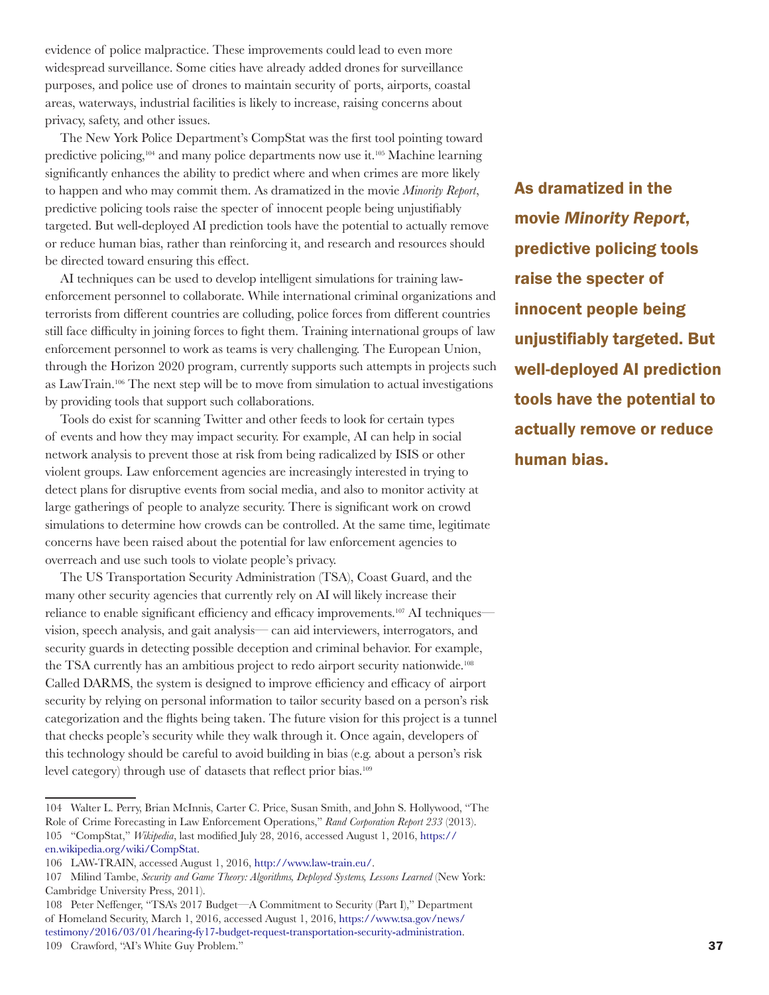evidence of police malpractice. These improvements could lead to even more widespread surveillance. Some cities have already added drones for surveillance purposes, and police use of drones to maintain security of ports, airports, coastal areas, waterways, industrial facilities is likely to increase, raising concerns about privacy, safety, and other issues.

The New York Police Department's CompStat was the first tool pointing toward predictive policing,104 and many police departments now use it.105 Machine learning significantly enhances the ability to predict where and when crimes are more likely to happen and who may commit them. As dramatized in the movie *Minority Report*, predictive policing tools raise the specter of innocent people being unjustifiably targeted. But well-deployed AI prediction tools have the potential to actually remove or reduce human bias, rather than reinforcing it, and research and resources should be directed toward ensuring this effect.

AI techniques can be used to develop intelligent simulations for training lawenforcement personnel to collaborate. While international criminal organizations and terrorists from different countries are colluding, police forces from different countries still face difficulty in joining forces to fight them. Training international groups of law enforcement personnel to work as teams is very challenging. The European Union, through the Horizon 2020 program, currently supports such attempts in projects such as LawTrain.106 The next step will be to move from simulation to actual investigations by providing tools that support such collaborations.

Tools do exist for scanning Twitter and other feeds to look for certain types of events and how they may impact security. For example, AI can help in social network analysis to prevent those at risk from being radicalized by ISIS or other violent groups. Law enforcement agencies are increasingly interested in trying to detect plans for disruptive events from social media, and also to monitor activity at large gatherings of people to analyze security. There is significant work on crowd simulations to determine how crowds can be controlled. At the same time, legitimate concerns have been raised about the potential for law enforcement agencies to overreach and use such tools to violate people's privacy.

The US Transportation Security Administration (TSA), Coast Guard, and the many other security agencies that currently rely on AI will likely increase their reliance to enable significant efficiency and efficacy improvements.107 AI techniques vision, speech analysis, and gait analysis— can aid interviewers, interrogators, and security guards in detecting possible deception and criminal behavior. For example, the TSA currently has an ambitious project to redo airport security nationwide.108 Called DARMS, the system is designed to improve efficiency and efficacy of airport security by relying on personal information to tailor security based on a person's risk categorization and the flights being taken. The future vision for this project is a tunnel that checks people's security while they walk through it. Once again, developers of this technology should be careful to avoid building in bias (e.g. about a person's risk level category) through use of datasets that reflect prior bias.109

As dramatized in the movie *Minority Report*, predictive policing tools raise the specter of innocent people being unjustifiably targeted. But well-deployed AI prediction tools have the potential to actually remove or reduce human bias.

<sup>104</sup> Walter L. Perry, Brian McInnis, Carter C. Price, Susan Smith, and John S. Hollywood, "The Role of Crime Forecasting in Law Enforcement Operations," *Rand Corporation Report 233* (2013). 105 "CompStat," *Wikipedia*, last modified July 28, 2016, accessed August 1, 2016, https:// en.wikipedia.org/wiki/CompStat.

<sup>106</sup> LAW-TRAIN, accessed August 1, 2016, http://www.law-train.eu/.

<sup>107</sup> Milind Tambe, *Security and Game Theory: Algorithms, Deployed Systems, Lessons Learned* (New York: Cambridge University Press, 2011).

<sup>108</sup> Peter Neffenger, "TSA's 2017 Budget—A Commitment to Security (Part I)," Department of Homeland Security, March 1, 2016, accessed August 1, 2016, https://www.tsa.gov/news/ testimony/2016/03/01/hearing-fy17-budget-request-transportation-security-administration. 109 Crawford, "AI's White Guy Problem."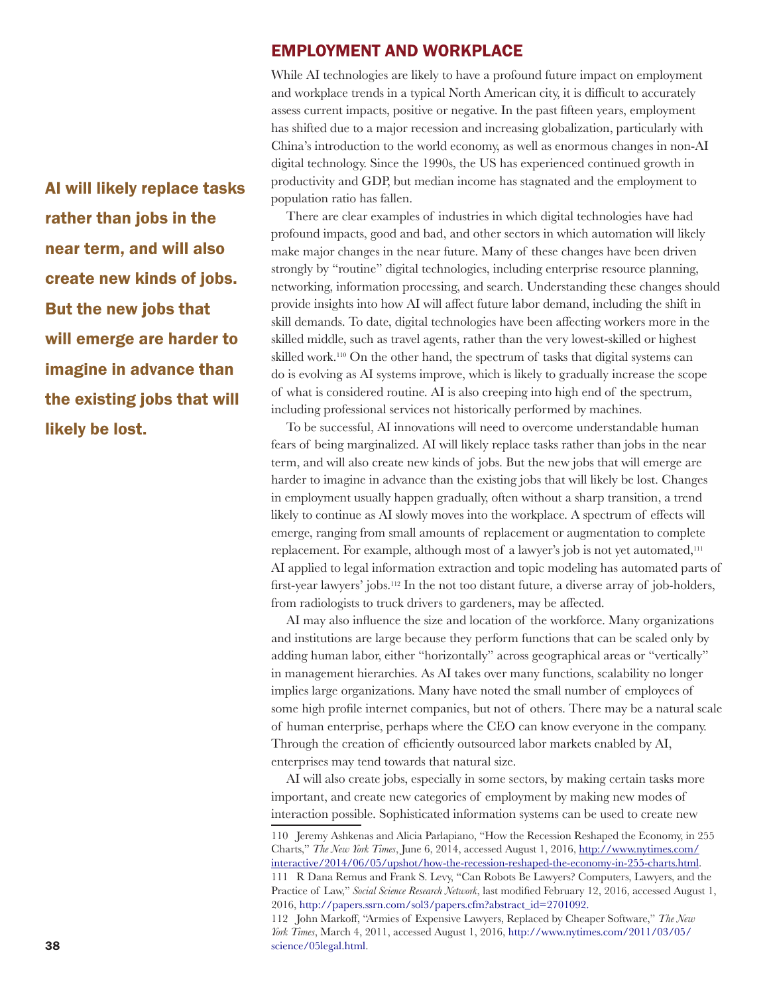# EMPLOYMENT AND WORKPLACE

While AI technologies are likely to have a profound future impact on employment and workplace trends in a typical North American city, it is difficult to accurately assess current impacts, positive or negative. In the past fifteen years, employment has shifted due to a major recession and increasing globalization, particularly with China's introduction to the world economy, as well as enormous changes in non-AI digital technology. Since the 1990s, the US has experienced continued growth in productivity and GDP, but median income has stagnated and the employment to population ratio has fallen.

There are clear examples of industries in which digital technologies have had profound impacts, good and bad, and other sectors in which automation will likely make major changes in the near future. Many of these changes have been driven strongly by "routine" digital technologies, including enterprise resource planning, networking, information processing, and search. Understanding these changes should provide insights into how AI will affect future labor demand, including the shift in skill demands. To date, digital technologies have been affecting workers more in the skilled middle, such as travel agents, rather than the very lowest-skilled or highest skilled work.110 On the other hand, the spectrum of tasks that digital systems can do is evolving as AI systems improve, which is likely to gradually increase the scope of what is considered routine. AI is also creeping into high end of the spectrum, including professional services not historically performed by machines.

To be successful, AI innovations will need to overcome understandable human fears of being marginalized. AI will likely replace tasks rather than jobs in the near term, and will also create new kinds of jobs. But the new jobs that will emerge are harder to imagine in advance than the existing jobs that will likely be lost. Changes in employment usually happen gradually, often without a sharp transition, a trend likely to continue as AI slowly moves into the workplace. A spectrum of effects will emerge, ranging from small amounts of replacement or augmentation to complete replacement. For example, although most of a lawyer's job is not yet automated,<sup>111</sup> AI applied to legal information extraction and topic modeling has automated parts of first-year lawyers' jobs.<sup>112</sup> In the not too distant future, a diverse array of job-holders, from radiologists to truck drivers to gardeners, may be affected.

AI may also influence the size and location of the workforce. Many organizations and institutions are large because they perform functions that can be scaled only by adding human labor, either "horizontally" across geographical areas or "vertically" in management hierarchies. As AI takes over many functions, scalability no longer implies large organizations. Many have noted the small number of employees of some high profile internet companies, but not of others. There may be a natural scale of human enterprise, perhaps where the CEO can know everyone in the company. Through the creation of efficiently outsourced labor markets enabled by AI, enterprises may tend towards that natural size.

AI will also create jobs, especially in some sectors, by making certain tasks more important, and create new categories of employment by making new modes of interaction possible. Sophisticated information systems can be used to create new

AI will likely replace tasks rather than jobs in the near term, and will also create new kinds of jobs. But the new jobs that will emerge are harder to imagine in advance than the existing jobs that will likely be lost.

<sup>110</sup> Jeremy Ashkenas and Alicia Parlapiano, "How the Recession Reshaped the Economy, in 255 Charts," *The New York Times*, June 6, 2014, accessed August 1, 2016, http://www.nytimes.com/ interactive/2014/06/05/upshot/how-the-recession-reshaped-the-economy-in-255-charts.html. 111 R Dana Remus and Frank S. Levy, "Can Robots Be Lawyers? Computers, Lawyers, and the Practice of Law," *Social Science Research Network*, last modified February 12, 2016, accessed August 1, 2016, http://papers.ssrn.com/sol3/papers.cfm?abstract\_id=2701092.

<sup>112</sup> John Markoff, "Armies of Expensive Lawyers, Replaced by Cheaper Software," *The New York Times*, March 4, 2011, accessed August 1, 2016, http://www.nytimes.com/2011/03/05/ science/05legal.html.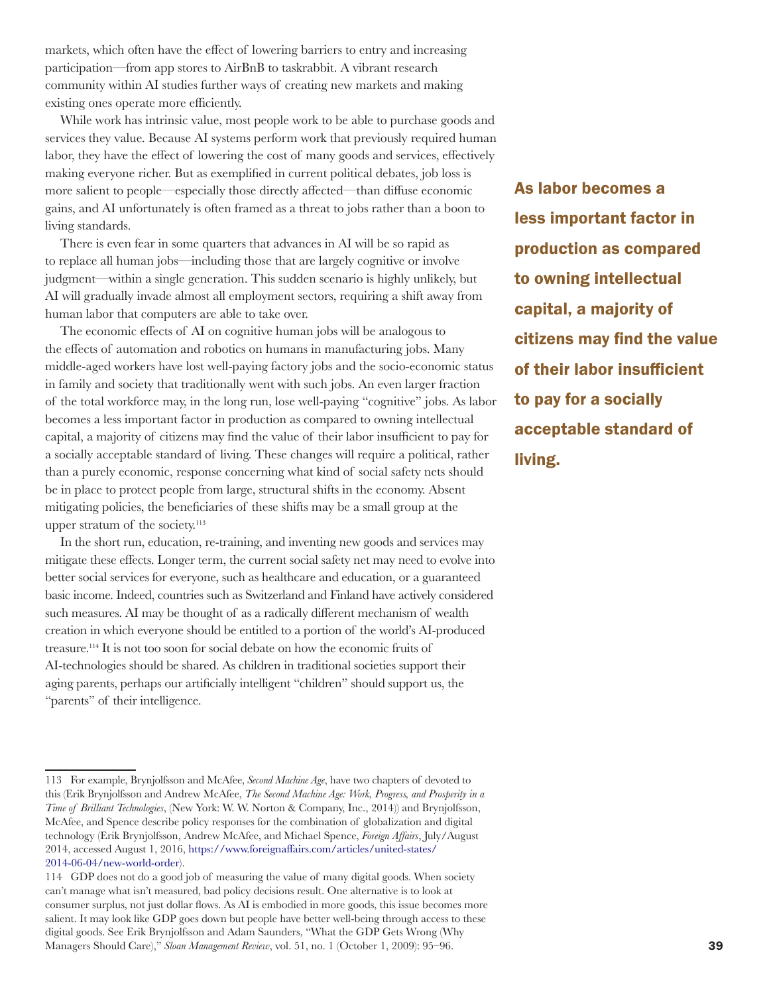markets, which often have the effect of lowering barriers to entry and increasing participation—from app stores to AirBnB to taskrabbit. A vibrant research community within AI studies further ways of creating new markets and making existing ones operate more efficiently.

While work has intrinsic value, most people work to be able to purchase goods and services they value. Because AI systems perform work that previously required human labor, they have the effect of lowering the cost of many goods and services, effectively making everyone richer. But as exemplified in current political debates, job loss is more salient to people—especially those directly affected—than diffuse economic gains, and AI unfortunately is often framed as a threat to jobs rather than a boon to living standards.

There is even fear in some quarters that advances in AI will be so rapid as to replace all human jobs—including those that are largely cognitive or involve judgment—within a single generation. This sudden scenario is highly unlikely, but AI will gradually invade almost all employment sectors, requiring a shift away from human labor that computers are able to take over.

The economic effects of AI on cognitive human jobs will be analogous to the effects of automation and robotics on humans in manufacturing jobs. Many middle-aged workers have lost well-paying factory jobs and the socio-economic status in family and society that traditionally went with such jobs. An even larger fraction of the total workforce may, in the long run, lose well-paying "cognitive" jobs. As labor becomes a less important factor in production as compared to owning intellectual capital, a majority of citizens may find the value of their labor insufficient to pay for a socially acceptable standard of living. These changes will require a political, rather than a purely economic, response concerning what kind of social safety nets should be in place to protect people from large, structural shifts in the economy. Absent mitigating policies, the beneficiaries of these shifts may be a small group at the upper stratum of the society.<sup>113</sup>

In the short run, education, re-training, and inventing new goods and services may mitigate these effects. Longer term, the current social safety net may need to evolve into better social services for everyone, such as healthcare and education, or a guaranteed basic income. Indeed, countries such as Switzerland and Finland have actively considered such measures. AI may be thought of as a radically different mechanism of wealth creation in which everyone should be entitled to a portion of the world's AI-produced treasure.114 It is not too soon for social debate on how the economic fruits of AI-technologies should be shared. As children in traditional societies support their aging parents, perhaps our artificially intelligent "children" should support us, the "parents" of their intelligence.

As labor becomes a less important factor in production as compared to owning intellectual capital, a majority of citizens may find the value of their labor insufficient to pay for a socially acceptable standard of living.

<sup>113</sup> For example, Brynjolfsson and McAfee, *Second Machine Age*, have two chapters of devoted to this (Erik Brynjolfsson and Andrew McAfee, *The Second Machine Age: Work, Progress, and Prosperity in a Time of Brilliant Technologies*, (New York: W. W. Norton & Company, Inc., 2014)) and Brynjolfsson, McAfee, and Spence describe policy responses for the combination of globalization and digital technology (Erik Brynjolfsson, Andrew McAfee, and Michael Spence, *Foreign Affairs*, July/August 2014, accessed August 1, 2016, https://www.foreignaffairs.com/articles/united-states/ 2014-06-04/new-world-order).

<sup>114</sup> GDP does not do a good job of measuring the value of many digital goods. When society can't manage what isn't measured, bad policy decisions result. One alternative is to look at consumer surplus, not just dollar flows. As AI is embodied in more goods, this issue becomes more salient. It may look like GDP goes down but people have better well-being through access to these digital goods. See Erik Brynjolfsson and Adam Saunders, "What the GDP Gets Wrong (Why Managers Should Care)," *Sloan Management Review*, vol. 51, no. 1 (October 1, 2009): 95–96.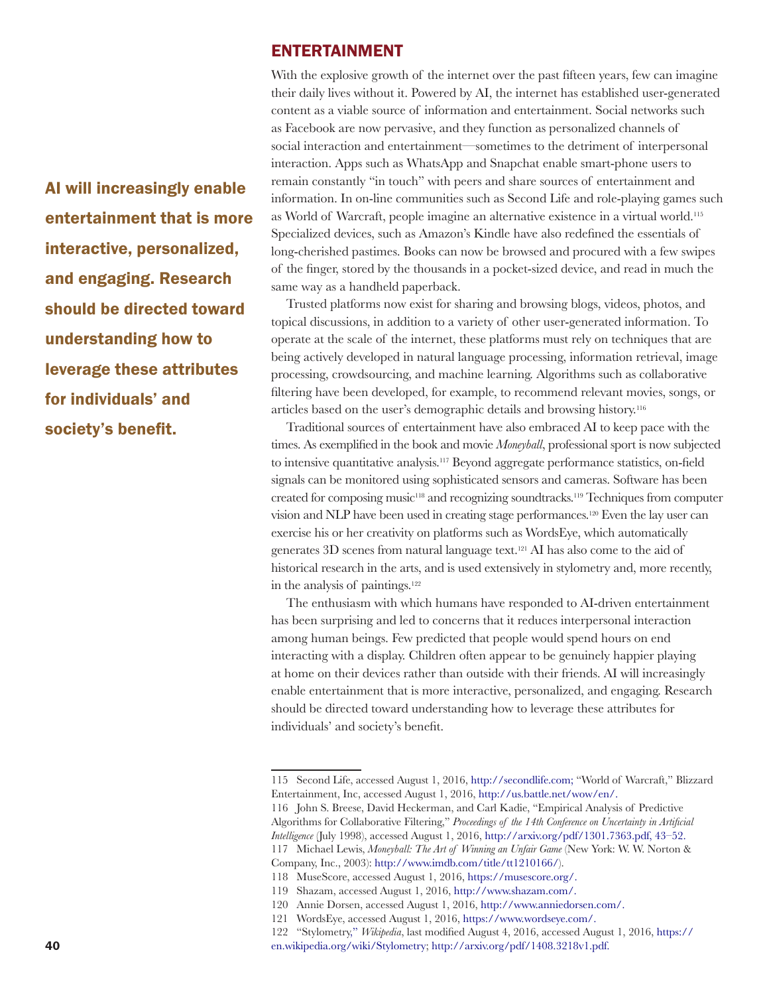# ENTERTAINMENT

With the explosive growth of the internet over the past fifteen years, few can imagine their daily lives without it. Powered by AI, the internet has established user-generated content as a viable source of information and entertainment. Social networks such as Facebook are now pervasive, and they function as personalized channels of social interaction and entertainment—sometimes to the detriment of interpersonal interaction. Apps such as WhatsApp and Snapchat enable smart-phone users to remain constantly "in touch" with peers and share sources of entertainment and information. In on-line communities such as Second Life and role-playing games such as World of Warcraft, people imagine an alternative existence in a virtual world.115 Specialized devices, such as Amazon's Kindle have also redefined the essentials of long-cherished pastimes. Books can now be browsed and procured with a few swipes of the finger, stored by the thousands in a pocket-sized device, and read in much the same way as a handheld paperback.

Trusted platforms now exist for sharing and browsing blogs, videos, photos, and topical discussions, in addition to a variety of other user-generated information. To operate at the scale of the internet, these platforms must rely on techniques that are being actively developed in natural language processing, information retrieval, image processing, crowdsourcing, and machine learning. Algorithms such as collaborative filtering have been developed, for example, to recommend relevant movies, songs, or articles based on the user's demographic details and browsing history.116

Traditional sources of entertainment have also embraced AI to keep pace with the times. As exemplified in the book and movie *Moneyball*, professional sport is now subjected to intensive quantitative analysis.117 Beyond aggregate performance statistics, on-field signals can be monitored using sophisticated sensors and cameras. Software has been created for composing music118 and recognizing soundtracks.119 Techniques from computer vision and NLP have been used in creating stage performances.120 Even the lay user can exercise his or her creativity on platforms such as WordsEye, which automatically generates 3D scenes from natural language text.121 AI has also come to the aid of historical research in the arts, and is used extensively in stylometry and, more recently, in the analysis of paintings.122

The enthusiasm with which humans have responded to AI-driven entertainment has been surprising and led to concerns that it reduces interpersonal interaction among human beings. Few predicted that people would spend hours on end interacting with a display. Children often appear to be genuinely happier playing at home on their devices rather than outside with their friends. AI will increasingly enable entertainment that is more interactive, personalized, and engaging. Research should be directed toward understanding how to leverage these attributes for individuals' and society's benefit.

AI will increasingly enable entertainment that is more interactive, personalized, and engaging. Research should be directed toward understanding how to leverage these attributes for individuals' and society's benefit.

<sup>115</sup> Second Life, accessed August 1, 2016, http://secondlife.com; "World of Warcraft," Blizzard Entertainment, Inc, accessed August 1, 2016, http://us.battle.net/wow/en/.

<sup>116</sup> John S. Breese, David Heckerman, and Carl Kadie, "Empirical Analysis of Predictive Algorithms for Collaborative Filtering," *Proceedings of the 14th Conference on Uncertainty in Artificial Intelligence* (July 1998), accessed August 1, 2016, http://arxiv.org/pdf/1301.7363.pdf, 43–52. 117 Michael Lewis, *Moneyball: The Art of Winning an Unfair Game* (New York: W. W. Norton &

Company, Inc., 2003): http://www.imdb.com/title/tt1210166/).

<sup>118</sup> MuseScore, accessed August 1, 2016, https://musescore.org/. 119 Shazam, accessed August 1, 2016, http://www.shazam.com/.

<sup>120</sup> Annie Dorsen, accessed August 1, 2016, http://www.anniedorsen.com/. 121 WordsEye, accessed August 1, 2016, https://www.wordseye.com/.

<sup>122 &</sup>quot;Stylometry," *Wikipedia*, last modified August 4, 2016, accessed August 1, 2016, https://

en.wikipedia.org/wiki/Stylometry; http://arxiv.org/pdf/1408.3218v1.pdf.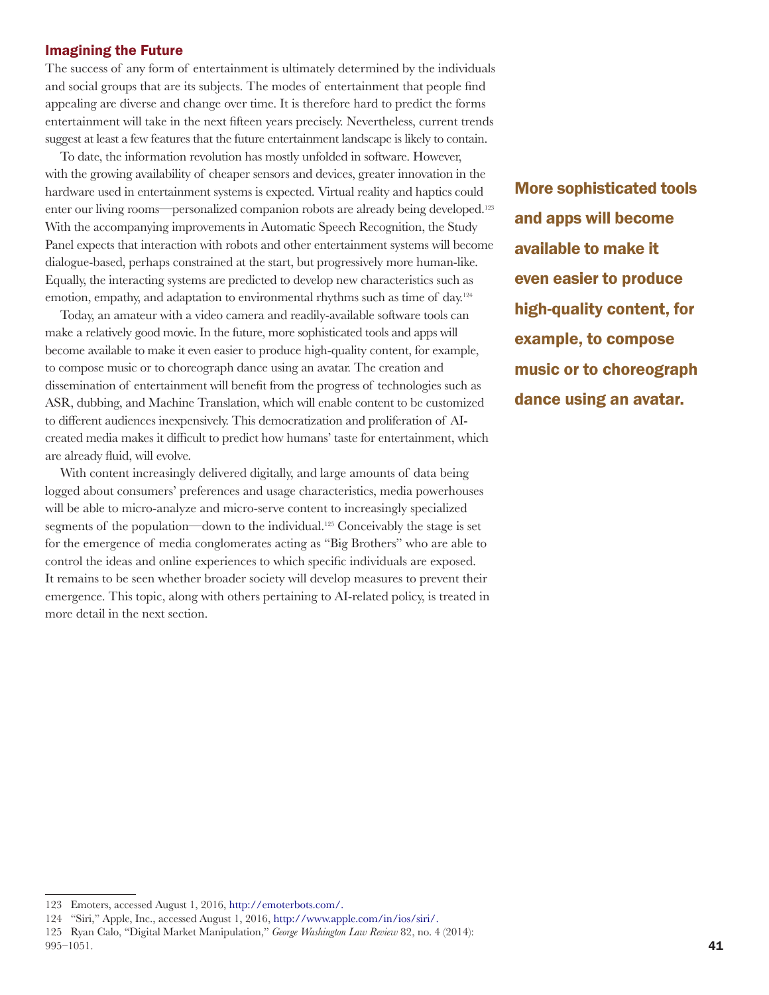#### Imagining the Future

The success of any form of entertainment is ultimately determined by the individuals and social groups that are its subjects. The modes of entertainment that people find appealing are diverse and change over time. It is therefore hard to predict the forms entertainment will take in the next fifteen years precisely. Nevertheless, current trends suggest at least a few features that the future entertainment landscape is likely to contain.

To date, the information revolution has mostly unfolded in software. However, with the growing availability of cheaper sensors and devices, greater innovation in the hardware used in entertainment systems is expected. Virtual reality and haptics could enter our living rooms—personalized companion robots are already being developed.123 With the accompanying improvements in Automatic Speech Recognition, the Study Panel expects that interaction with robots and other entertainment systems will become dialogue-based, perhaps constrained at the start, but progressively more human-like. Equally, the interacting systems are predicted to develop new characteristics such as emotion, empathy, and adaptation to environmental rhythms such as time of day.124

Today, an amateur with a video camera and readily-available software tools can make a relatively good movie. In the future, more sophisticated tools and apps will become available to make it even easier to produce high-quality content, for example, to compose music or to choreograph dance using an avatar. The creation and dissemination of entertainment will benefit from the progress of technologies such as ASR, dubbing, and Machine Translation, which will enable content to be customized to different audiences inexpensively. This democratization and proliferation of AIcreated media makes it difficult to predict how humans' taste for entertainment, which are already fluid, will evolve.

With content increasingly delivered digitally, and large amounts of data being logged about consumers' preferences and usage characteristics, media powerhouses will be able to micro-analyze and micro-serve content to increasingly specialized segments of the population—down to the individual.125 Conceivably the stage is set for the emergence of media conglomerates acting as "Big Brothers" who are able to control the ideas and online experiences to which specific individuals are exposed. It remains to be seen whether broader society will develop measures to prevent their emergence. This topic, along with others pertaining to AI-related policy, is treated in more detail in the next section.

More sophisticated tools and apps will become available to make it even easier to produce high-quality content, for example, to compose music or to choreograph dance using an avatar.

<sup>123</sup> Emoters, accessed August 1, 2016, http://emoterbots.com/.

<sup>124 &</sup>quot;Siri," Apple, Inc., accessed August 1, 2016, http://www.apple.com/in/ios/siri/.

<sup>125</sup> Ryan Calo, "Digital Market Manipulation," *George Washington Law Review* 82, no. 4 (2014): 995–1051.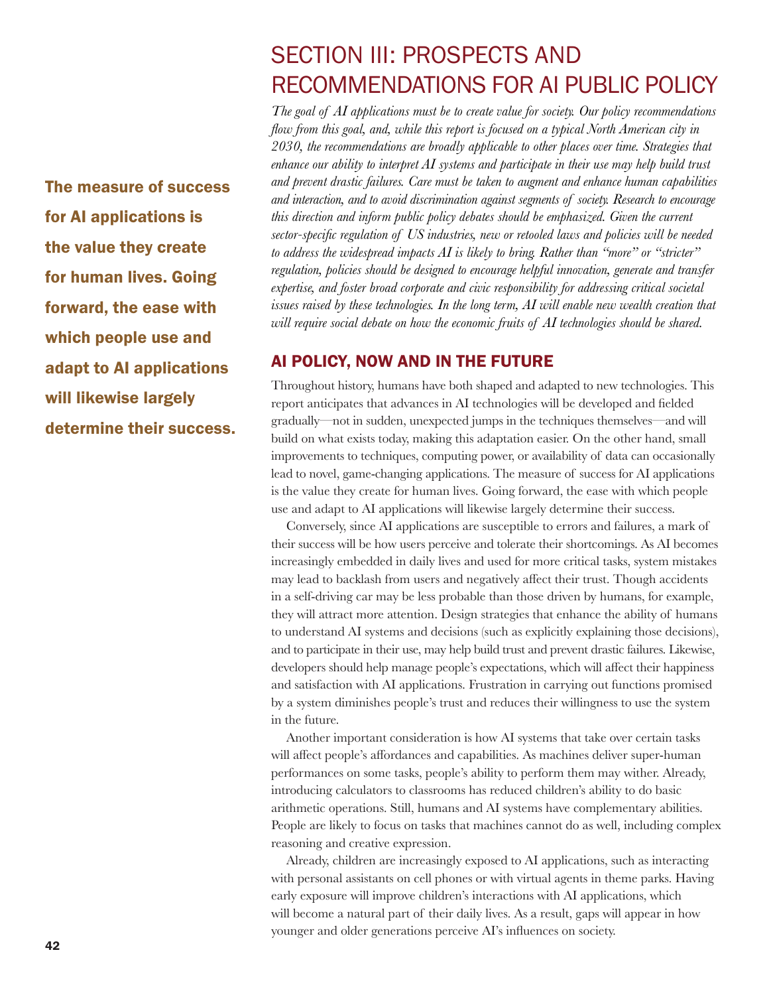The measure of success for AI applications is the value they create for human lives. Going forward, the ease with which people use and adapt to AI applications will likewise largely determine their success.

# SECTION III: PROSPECTS AND RECOMMENDATIONS FOR AI PUBLIC POLICY

*The goal of AI applications must be to create value for society. Our policy recommendations flow from this goal, and, while this report is focused on a typical North American city in 2030, the recommendations are broadly applicable to other places over time. Strategies that enhance our ability to interpret AI systems and participate in their use may help build trust and prevent drastic failures. Care must be taken to augment and enhance human capabilities and interaction, and to avoid discrimination against segments of society. Research to encourage this direction and inform public policy debates should be emphasized. Given the current sector-specific regulation of US industries, new or retooled laws and policies will be needed to address the widespread impacts AI is likely to bring. Rather than "more" or "stricter" regulation, policies should be designed to encourage helpful innovation, generate and transfer expertise, and foster broad corporate and civic responsibility for addressing critical societal issues raised by these technologies. In the long term, AI will enable new wealth creation that will require social debate on how the economic fruits of AI technologies should be shared.*

# AI POLICY, NOW AND IN THE FUTURE

Throughout history, humans have both shaped and adapted to new technologies. This report anticipates that advances in AI technologies will be developed and fielded gradually—not in sudden, unexpected jumps in the techniques themselves—and will build on what exists today, making this adaptation easier. On the other hand, small improvements to techniques, computing power, or availability of data can occasionally lead to novel, game-changing applications. The measure of success for AI applications is the value they create for human lives. Going forward, the ease with which people use and adapt to AI applications will likewise largely determine their success.

Conversely, since AI applications are susceptible to errors and failures, a mark of their success will be how users perceive and tolerate their shortcomings. As AI becomes increasingly embedded in daily lives and used for more critical tasks, system mistakes may lead to backlash from users and negatively affect their trust. Though accidents in a self-driving car may be less probable than those driven by humans, for example, they will attract more attention. Design strategies that enhance the ability of humans to understand AI systems and decisions (such as explicitly explaining those decisions), and to participate in their use, may help build trust and prevent drastic failures. Likewise, developers should help manage people's expectations, which will affect their happiness and satisfaction with AI applications. Frustration in carrying out functions promised by a system diminishes people's trust and reduces their willingness to use the system in the future.

Another important consideration is how AI systems that take over certain tasks will affect people's affordances and capabilities. As machines deliver super-human performances on some tasks, people's ability to perform them may wither. Already, introducing calculators to classrooms has reduced children's ability to do basic arithmetic operations. Still, humans and AI systems have complementary abilities. People are likely to focus on tasks that machines cannot do as well, including complex reasoning and creative expression.

Already, children are increasingly exposed to AI applications, such as interacting with personal assistants on cell phones or with virtual agents in theme parks. Having early exposure will improve children's interactions with AI applications, which will become a natural part of their daily lives. As a result, gaps will appear in how younger and older generations perceive AI's influences on society.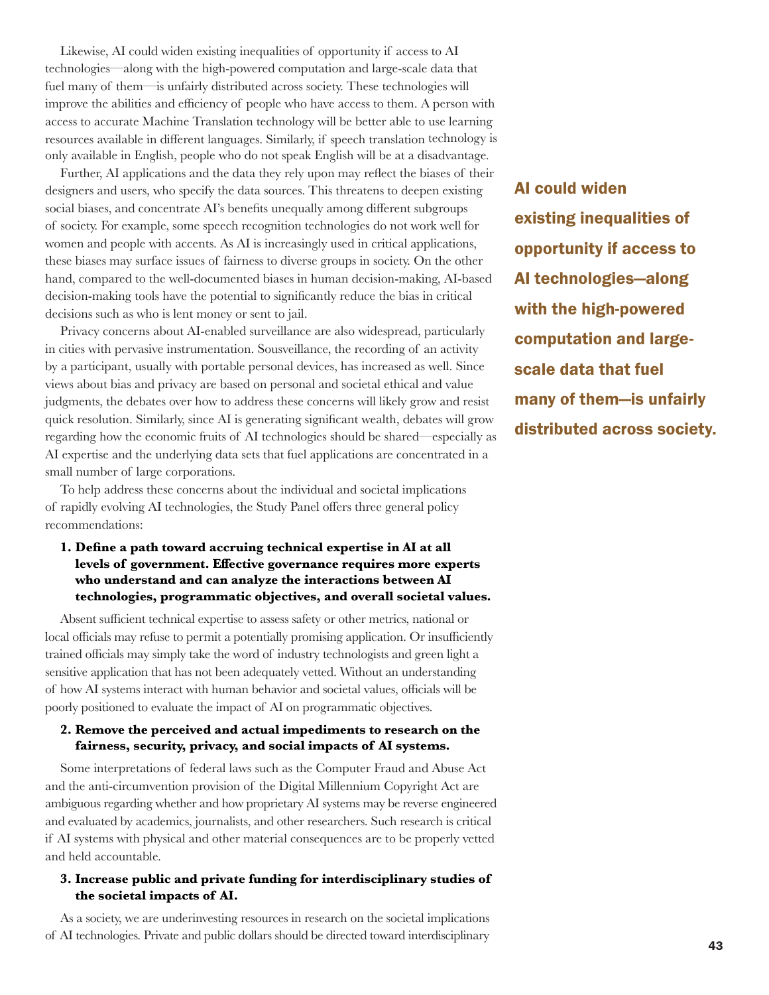Likewise, AI could widen existing inequalities of opportunity if access to AI technologies—along with the high-powered computation and large-scale data that fuel many of them—is unfairly distributed across society. These technologies will improve the abilities and efficiency of people who have access to them. A person with access to accurate Machine Translation technology will be better able to use learning resources available in different languages. Similarly, if speech translation technology is only available in English, people who do not speak English will be at a disadvantage.

Further, AI applications and the data they rely upon may reflect the biases of their designers and users, who specify the data sources. This threatens to deepen existing social biases, and concentrate AI's benefits unequally among different subgroups of society. For example, some speech recognition technologies do not work well for women and people with accents. As AI is increasingly used in critical applications, these biases may surface issues of fairness to diverse groups in society. On the other hand, compared to the well-documented biases in human decision-making, AI-based decision-making tools have the potential to significantly reduce the bias in critical decisions such as who is lent money or sent to jail.

Privacy concerns about AI-enabled surveillance are also widespread, particularly in cities with pervasive instrumentation. Sousveillance, the recording of an activity by a participant, usually with portable personal devices, has increased as well. Since views about bias and privacy are based on personal and societal ethical and value judgments, the debates over how to address these concerns will likely grow and resist quick resolution. Similarly, since AI is generating significant wealth, debates will grow regarding how the economic fruits of AI technologies should be shared—especially as AI expertise and the underlying data sets that fuel applications are concentrated in a small number of large corporations.

To help address these concerns about the individual and societal implications of rapidly evolving AI technologies, the Study Panel offers three general policy recommendations:

# **1. Define a path toward accruing technical expertise in AI at all levels of government. Effective governance requires more experts who understand and can analyze the interactions between AI technologies, programmatic objectives, and overall societal values.**

Absent sufficient technical expertise to assess safety or other metrics, national or local officials may refuse to permit a potentially promising application. Or insufficiently trained officials may simply take the word of industry technologists and green light a sensitive application that has not been adequately vetted. Without an understanding of how AI systems interact with human behavior and societal values, officials will be poorly positioned to evaluate the impact of AI on programmatic objectives.

#### **2. Remove the perceived and actual impediments to research on the fairness, security, privacy, and social impacts of AI systems.**

Some interpretations of federal laws such as the Computer Fraud and Abuse Act and the anti-circumvention provision of the Digital Millennium Copyright Act are ambiguous regarding whether and how proprietary AI systems may be reverse engineered and evaluated by academics, journalists, and other researchers. Such research is critical if AI systems with physical and other material consequences are to be properly vetted and held accountable.

## **3. Increase public and private funding for interdisciplinary studies of the societal impacts of AI.**

As a society, we are underinvesting resources in research on the societal implications of AI technologies. Private and public dollars should be directed toward interdisciplinary

AI could widen existing inequalities of opportunity if access to AI technologies—along with the high-powered computation and largescale data that fuel many of them—is unfairly distributed across society.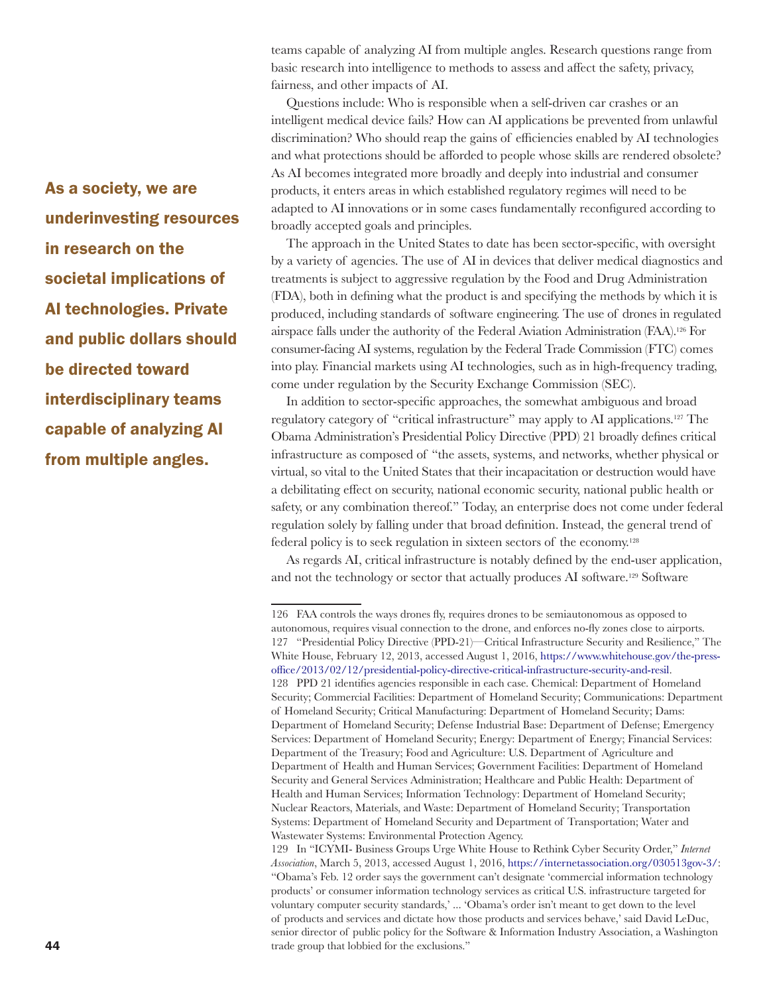teams capable of analyzing AI from multiple angles. Research questions range from basic research into intelligence to methods to assess and affect the safety, privacy, fairness, and other impacts of AI.

Questions include: Who is responsible when a self-driven car crashes or an intelligent medical device fails? How can AI applications be prevented from unlawful discrimination? Who should reap the gains of efficiencies enabled by AI technologies and what protections should be afforded to people whose skills are rendered obsolete? As AI becomes integrated more broadly and deeply into industrial and consumer products, it enters areas in which established regulatory regimes will need to be adapted to AI innovations or in some cases fundamentally reconfigured according to broadly accepted goals and principles.

The approach in the United States to date has been sector-specific, with oversight by a variety of agencies. The use of AI in devices that deliver medical diagnostics and treatments is subject to aggressive regulation by the Food and Drug Administration (FDA), both in defining what the product is and specifying the methods by which it is produced, including standards of software engineering. The use of drones in regulated airspace falls under the authority of the Federal Aviation Administration (FAA).126 For consumer-facing AI systems, regulation by the Federal Trade Commission (FTC) comes into play. Financial markets using AI technologies, such as in high-frequency trading, come under regulation by the Security Exchange Commission (SEC).

In addition to sector-specific approaches, the somewhat ambiguous and broad regulatory category of "critical infrastructure" may apply to AI applications.127 The Obama Administration's Presidential Policy Directive (PPD) 21 broadly defines critical infrastructure as composed of "the assets, systems, and networks, whether physical or virtual, so vital to the United States that their incapacitation or destruction would have a debilitating effect on security, national economic security, national public health or safety, or any combination thereof." Today, an enterprise does not come under federal regulation solely by falling under that broad definition. Instead, the general trend of federal policy is to seek regulation in sixteen sectors of the economy.128

As regards AI, critical infrastructure is notably defined by the end-user application, and not the technology or sector that actually produces AI software.<sup>129</sup> Software

As a society, we are underinvesting resources in research on the societal implications of AI technologies. Private and public dollars should be directed toward interdisciplinary teams capable of analyzing AI from multiple angles.

<sup>126</sup> FAA controls the ways drones fly, requires drones to be semiautonomous as opposed to autonomous, requires visual connection to the drone, and enforces no-fly zones close to airports. 127 "Presidential Policy Directive (PPD-21)—Critical Infrastructure Security and Resilience," The White House, February 12, 2013, accessed August 1, 2016, https://www.whitehouse.gov/the-pressoffice/2013/02/12/presidential-policy-directive-critical-infrastructure-security-and-resil. 128 PPD 21 identifies agencies responsible in each case. Chemical: Department of Homeland Security; Commercial Facilities: Department of Homeland Security; Communications: Department of Homeland Security; Critical Manufacturing: Department of Homeland Security; Dams: Department of Homeland Security; Defense Industrial Base: Department of Defense; Emergency Services: Department of Homeland Security; Energy: Department of Energy; Financial Services: Department of the Treasury; Food and Agriculture: U.S. Department of Agriculture and Department of Health and Human Services; Government Facilities: Department of Homeland Security and General Services Administration; Healthcare and Public Health: Department of Health and Human Services; Information Technology: Department of Homeland Security; Nuclear Reactors, Materials, and Waste: Department of Homeland Security; Transportation Systems: Department of Homeland Security and Department of Transportation; Water and Wastewater Systems: Environmental Protection Agency.

<sup>129</sup> In "ICYMI- Business Groups Urge White House to Rethink Cyber Security Order," *Internet Association*, March 5, 2013, accessed August 1, 2016, https://internetassociation.org/030513gov-3/: "Obama's Feb. 12 order says the government can't designate 'commercial information technology products' or consumer information technology services as critical U.S. infrastructure targeted for voluntary computer security standards,' ... 'Obama's order isn't meant to get down to the level of products and services and dictate how those products and services behave,' said David LeDuc, senior director of public policy for the Software & Information Industry Association, a Washington trade group that lobbied for the exclusions."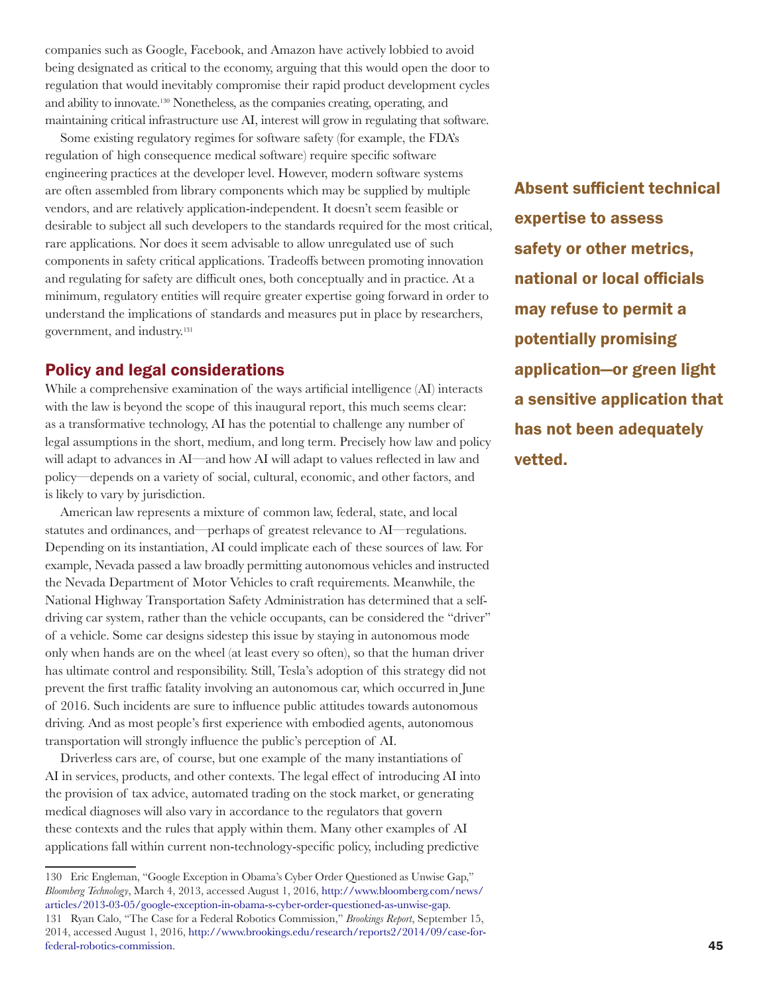companies such as Google, Facebook, and Amazon have actively lobbied to avoid being designated as critical to the economy, arguing that this would open the door to regulation that would inevitably compromise their rapid product development cycles and ability to innovate.130 Nonetheless, as the companies creating, operating, and maintaining critical infrastructure use AI, interest will grow in regulating that software.

Some existing regulatory regimes for software safety (for example, the FDA's regulation of high consequence medical software) require specific software engineering practices at the developer level. However, modern software systems are often assembled from library components which may be supplied by multiple vendors, and are relatively application-independent. It doesn't seem feasible or desirable to subject all such developers to the standards required for the most critical, rare applications. Nor does it seem advisable to allow unregulated use of such components in safety critical applications. Tradeoffs between promoting innovation and regulating for safety are difficult ones, both conceptually and in practice. At a minimum, regulatory entities will require greater expertise going forward in order to understand the implications of standards and measures put in place by researchers, government, and industry.131

# Policy and legal considerations

While a comprehensive examination of the ways artificial intelligence (AI) interacts with the law is beyond the scope of this inaugural report, this much seems clear: as a transformative technology, AI has the potential to challenge any number of legal assumptions in the short, medium, and long term. Precisely how law and policy will adapt to advances in AI—and how AI will adapt to values reflected in law and policy—depends on a variety of social, cultural, economic, and other factors, and is likely to vary by jurisdiction.

American law represents a mixture of common law, federal, state, and local statutes and ordinances, and—perhaps of greatest relevance to AI—regulations. Depending on its instantiation, AI could implicate each of these sources of law. For example, Nevada passed a law broadly permitting autonomous vehicles and instructed the Nevada Department of Motor Vehicles to craft requirements. Meanwhile, the National Highway Transportation Safety Administration has determined that a selfdriving car system, rather than the vehicle occupants, can be considered the "driver" of a vehicle. Some car designs sidestep this issue by staying in autonomous mode only when hands are on the wheel (at least every so often), so that the human driver has ultimate control and responsibility. Still, Tesla's adoption of this strategy did not prevent the first traffic fatality involving an autonomous car, which occurred in June of 2016. Such incidents are sure to influence public attitudes towards autonomous driving. And as most people's first experience with embodied agents, autonomous transportation will strongly influence the public's perception of AI.

Driverless cars are, of course, but one example of the many instantiations of AI in services, products, and other contexts. The legal effect of introducing AI into the provision of tax advice, automated trading on the stock market, or generating medical diagnoses will also vary in accordance to the regulators that govern these contexts and the rules that apply within them. Many other examples of AI applications fall within current non-technology-specific policy, including predictive

Absent sufficient technical expertise to assess safety or other metrics, national or local officials may refuse to permit a potentially promising application—or green light a sensitive application that has not been adequately vetted.

<sup>130</sup> Eric Engleman, "Google Exception in Obama's Cyber Order Questioned as Unwise Gap," *Bloomberg Technology*, March 4, 2013, accessed August 1, 2016, http://www.bloomberg.com/news/ articles/2013-03-05/google-exception-in-obama-s-cyber-order-questioned-as-unwise-gap.

<sup>131</sup> Ryan Calo, "The Case for a Federal Robotics Commission," *Brookings Report*, September 15, 2014, accessed August 1, 2016, http://www.brookings.edu/research/reports2/2014/09/case-forfederal-robotics-commission.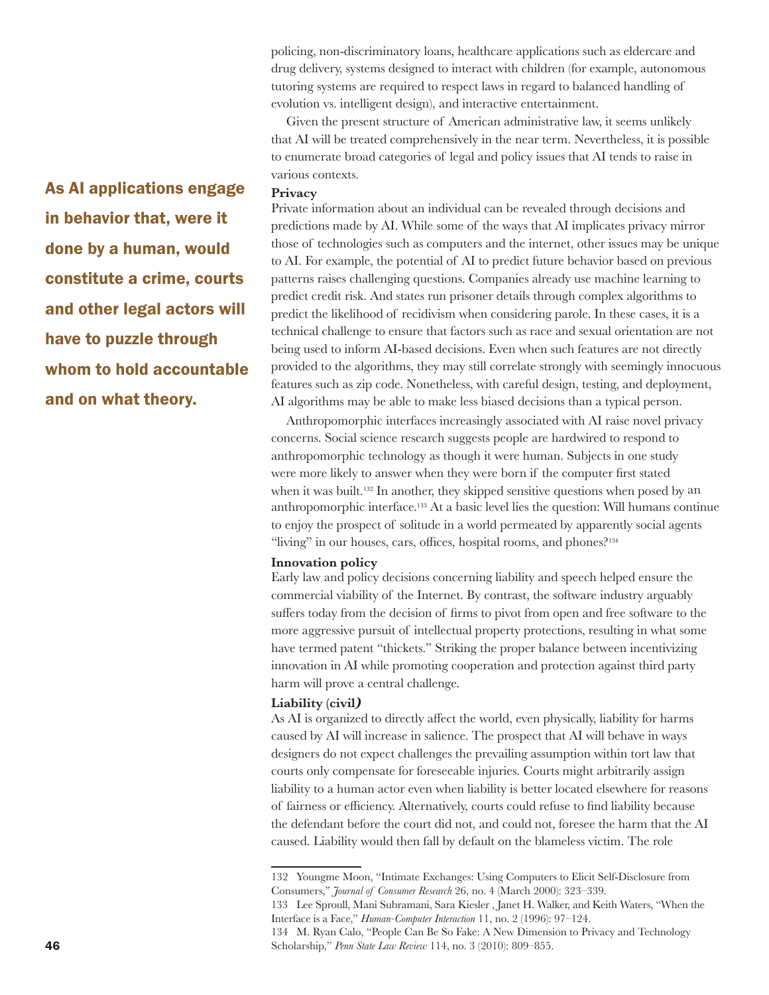policing, non-discriminatory loans, healthcare applications such as eldercare and drug delivery, systems designed to interact with children (for example, autonomous tutoring systems are required to respect laws in regard to balanced handling of evolution vs. intelligent design), and interactive entertainment.

Given the present structure of American administrative law, it seems unlikely that AI will be treated comprehensively in the near term. Nevertheless, it is possible to enumerate broad categories of legal and policy issues that AI tends to raise in various contexts.

#### **Privacy**

Private information about an individual can be revealed through decisions and predictions made by AI. While some of the ways that AI implicates privacy mirror those of technologies such as computers and the internet, other issues may be unique to AI. For example, the potential of AI to predict future behavior based on previous patterns raises challenging questions. Companies already use machine learning to predict credit risk. And states run prisoner details through complex algorithms to predict the likelihood of recidivism when considering parole. In these cases, it is a technical challenge to ensure that factors such as race and sexual orientation are not being used to inform AI-based decisions. Even when such features are not directly provided to the algorithms, they may still correlate strongly with seemingly innocuous features such as zip code. Nonetheless, with careful design, testing, and deployment, AI algorithms may be able to make less biased decisions than a typical person.

Anthropomorphic interfaces increasingly associated with AI raise novel privacy concerns. Social science research suggests people are hardwired to respond to anthropomorphic technology as though it were human. Subjects in one study were more likely to answer when they were born if the computer first stated when it was built.<sup>132</sup> In another, they skipped sensitive questions when posed by an anthropomorphic interface.133 At a basic level lies the question: Will humans continue to enjoy the prospect of solitude in a world permeated by apparently social agents "living" in our houses, cars, offices, hospital rooms, and phones?<sup>134</sup>

#### **Innovation policy**

Early law and policy decisions concerning liability and speech helped ensure the commercial viability of the Internet. By contrast, the software industry arguably suffers today from the decision of firms to pivot from open and free software to the more aggressive pursuit of intellectual property protections, resulting in what some have termed patent "thickets." Striking the proper balance between incentivizing innovation in AI while promoting cooperation and protection against third party harm will prove a central challenge.

#### **Liability (civil***)*

As AI is organized to directly affect the world, even physically, liability for harms caused by AI will increase in salience. The prospect that AI will behave in ways designers do not expect challenges the prevailing assumption within tort law that courts only compensate for foreseeable injuries. Courts might arbitrarily assign liability to a human actor even when liability is better located elsewhere for reasons of fairness or efficiency. Alternatively, courts could refuse to find liability because the defendant before the court did not, and could not, foresee the harm that the AI caused. Liability would then fall by default on the blameless victim. The role

As AI applications engage in behavior that, were it done by a human, would constitute a crime, courts and other legal actors will have to puzzle through whom to hold accountable and on what theory.

<sup>132</sup> Youngme Moon, "Intimate Exchanges: Using Computers to Elicit Self-Disclosure from Consumers," *Journal of Consumer Research* 26, no. 4 (March 2000): 323–339.

<sup>133</sup> Lee Sproull, Mani Subramani, Sara Kiesler , Janet H. Walker, and Keith Waters, "When the Interface is a Face," *Human-Computer Interaction* 11, no. 2 (1996): 97–124.

<sup>134</sup> M. Ryan Calo, "People Can Be So Fake: A New Dimension to Privacy and Technology Scholarship," *Penn State Law Review* 114, no. 3 (2010): 809–855.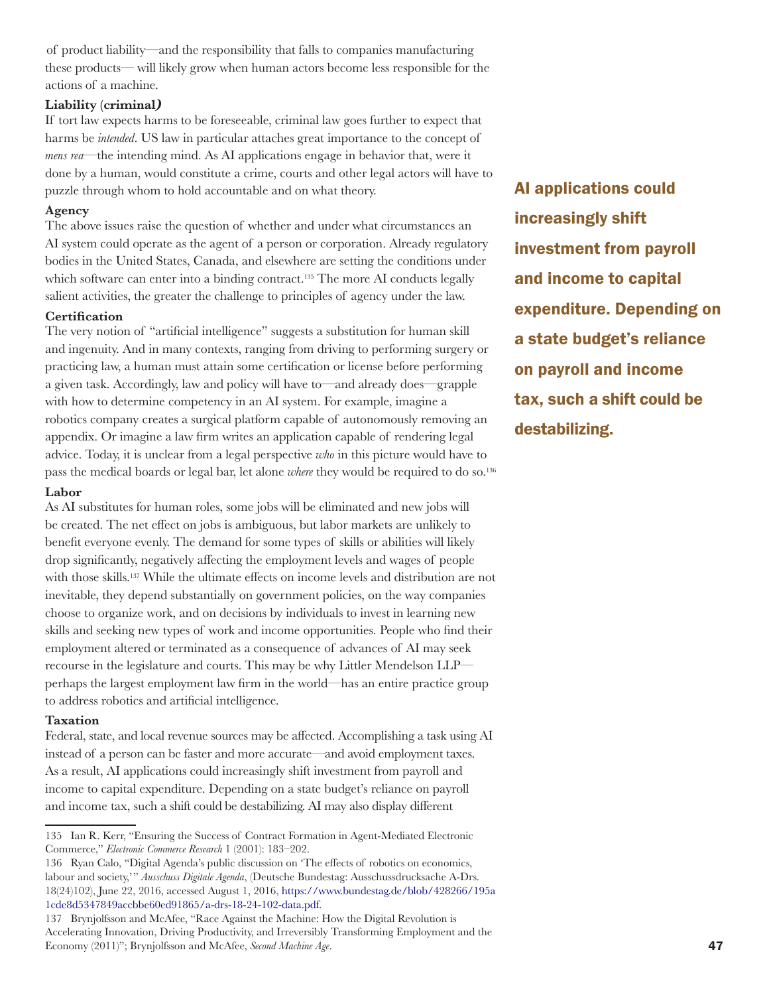of product liability—and the responsibility that falls to companies manufacturing these products— will likely grow when human actors become less responsible for the actions of a machine.

# **Liability (criminal***)*

If tort law expects harms to be foreseeable, criminal law goes further to expect that harms be *intended*. US law in particular attaches great importance to the concept of *mens rea*—the intending mind. As AI applications engage in behavior that, were it done by a human, would constitute a crime, courts and other legal actors will have to puzzle through whom to hold accountable and on what theory.

#### **Agency**

The above issues raise the question of whether and under what circumstances an AI system could operate as the agent of a person or corporation. Already regulatory bodies in the United States, Canada, and elsewhere are setting the conditions under which software can enter into a binding contract.<sup>135</sup> The more AI conducts legally salient activities, the greater the challenge to principles of agency under the law.

## **Certification**

The very notion of "artificial intelligence" suggests a substitution for human skill and ingenuity. And in many contexts, ranging from driving to performing surgery or practicing law, a human must attain some certification or license before performing a given task. Accordingly, law and policy will have to—and already does—grapple with how to determine competency in an AI system. For example, imagine a robotics company creates a surgical platform capable of autonomously removing an appendix. Or imagine a law firm writes an application capable of rendering legal advice. Today, it is unclear from a legal perspective *who* in this picture would have to pass the medical boards or legal bar, let alone *where* they would be required to do so.136

# **Labor**

As AI substitutes for human roles, some jobs will be eliminated and new jobs will be created. The net effect on jobs is ambiguous, but labor markets are unlikely to benefit everyone evenly. The demand for some types of skills or abilities will likely drop significantly, negatively affecting the employment levels and wages of people with those skills.137 While the ultimate effects on income levels and distribution are not inevitable, they depend substantially on government policies, on the way companies choose to organize work, and on decisions by individuals to invest in learning new skills and seeking new types of work and income opportunities. People who find their employment altered or terminated as a consequence of advances of AI may seek recourse in the legislature and courts. This may be why Littler Mendelson LLP perhaps the largest employment law firm in the world—has an entire practice group to address robotics and artificial intelligence.

#### **Taxation**

Federal, state, and local revenue sources may be affected. Accomplishing a task using AI instead of a person can be faster and more accurate—and avoid employment taxes. As a result, AI applications could increasingly shift investment from payroll and income to capital expenditure. Depending on a state budget's reliance on payroll and income tax, such a shift could be destabilizing. AI may also display different

AI applications could increasingly shift investment from payroll and income to capital expenditure. Depending on a state budget's reliance on payroll and income tax, such a shift could be destabilizing.

<sup>135</sup> Ian R. Kerr, "Ensuring the Success of Contract Formation in Agent-Mediated Electronic Commerce," *Electronic Commerce Research* 1 (2001): 183–202.

<sup>136</sup> Ryan Calo, "Digital Agenda's public discussion on 'The effects of robotics on economics, labour and society,'" *Ausschuss Digitale Agenda*, (Deutsche Bundestag: Ausschussdrucksache A-Drs. 18(24)102), June 22, 2016, accessed August 1, 2016, https://www.bundestag.de/blob/428266/195a 1cde8d5347849accbbe60ed91865/a-drs-18-24-102-data.pdf.

<sup>137</sup> Brynjolfsson and McAfee, "Race Against the Machine: How the Digital Revolution is Accelerating Innovation, Driving Productivity, and Irreversibly Transforming Employment and the Economy (2011)"; Brynjolfsson and McAfee, *Second Machine Age*.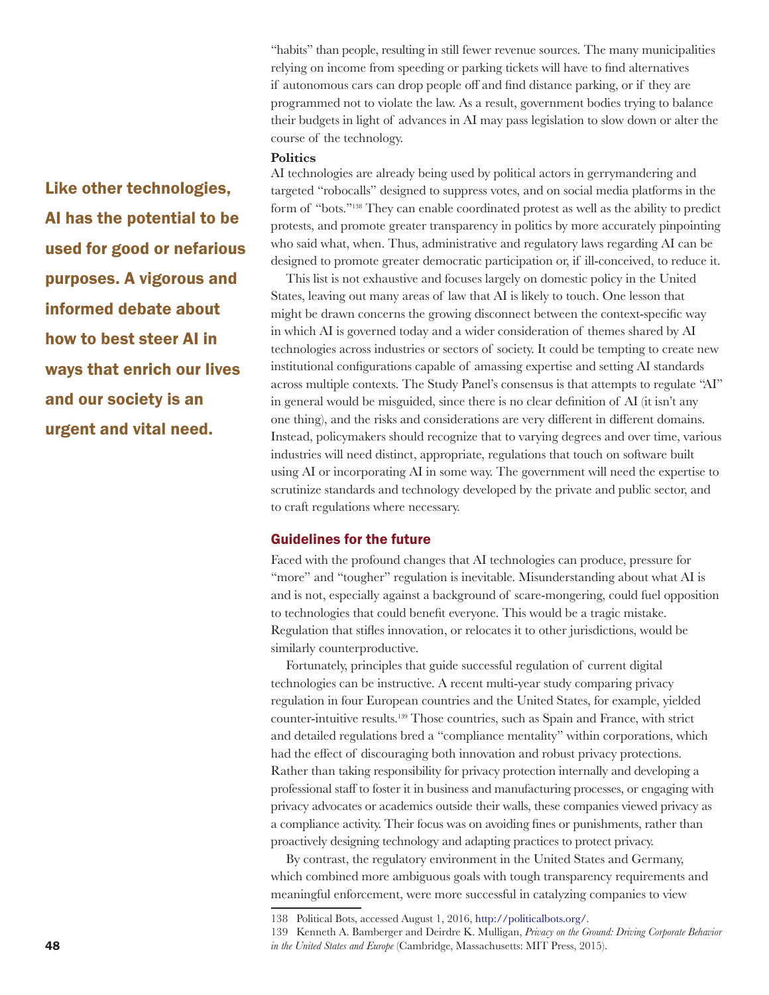"habits" than people, resulting in still fewer revenue sources. The many municipalities relying on income from speeding or parking tickets will have to find alternatives if autonomous cars can drop people off and find distance parking, or if they are programmed not to violate the law. As a result, government bodies trying to balance their budgets in light of advances in AI may pass legislation to slow down or alter the course of the technology.

#### **Politics**

AI technologies are already being used by political actors in gerrymandering and targeted "robocalls" designed to suppress votes, and on social media platforms in the form of "bots."138 They can enable coordinated protest as well as the ability to predict protests, and promote greater transparency in politics by more accurately pinpointing who said what, when. Thus, administrative and regulatory laws regarding AI can be designed to promote greater democratic participation or, if ill-conceived, to reduce it.

This list is not exhaustive and focuses largely on domestic policy in the United States, leaving out many areas of law that AI is likely to touch. One lesson that might be drawn concerns the growing disconnect between the context-specific way in which AI is governed today and a wider consideration of themes shared by AI technologies across industries or sectors of society. It could be tempting to create new institutional configurations capable of amassing expertise and setting AI standards across multiple contexts. The Study Panel's consensus is that attempts to regulate "AI" in general would be misguided, since there is no clear definition of AI (it isn't any one thing), and the risks and considerations are very different in different domains. Instead, policymakers should recognize that to varying degrees and over time, various industries will need distinct, appropriate, regulations that touch on software built using AI or incorporating AI in some way. The government will need the expertise to scrutinize standards and technology developed by the private and public sector, and to craft regulations where necessary.

## Guidelines for the future

Faced with the profound changes that AI technologies can produce, pressure for "more" and "tougher" regulation is inevitable. Misunderstanding about what AI is and is not, especially against a background of scare-mongering, could fuel opposition to technologies that could benefit everyone. This would be a tragic mistake. Regulation that stifles innovation, or relocates it to other jurisdictions, would be similarly counterproductive.

Fortunately, principles that guide successful regulation of current digital technologies can be instructive. A recent multi-year study comparing privacy regulation in four European countries and the United States, for example, yielded counter-intuitive results.139 Those countries, such as Spain and France, with strict and detailed regulations bred a "compliance mentality" within corporations, which had the effect of discouraging both innovation and robust privacy protections. Rather than taking responsibility for privacy protection internally and developing a professional staff to foster it in business and manufacturing processes, or engaging with privacy advocates or academics outside their walls, these companies viewed privacy as a compliance activity. Their focus was on avoiding fines or punishments, rather than proactively designing technology and adapting practices to protect privacy.

By contrast, the regulatory environment in the United States and Germany, which combined more ambiguous goals with tough transparency requirements and meaningful enforcement, were more successful in catalyzing companies to view

Like other technologies, AI has the potential to be used for good or nefarious purposes. A vigorous and informed debate about how to best steer AI in ways that enrich our lives and our society is an urgent and vital need.

<sup>138</sup> Political Bots, accessed August 1, 2016, http://politicalbots.org/.

<sup>139</sup> Kenneth A. Bamberger and Deirdre K. Mulligan, *Privacy on the Ground: Driving Corporate Behavior* 

*in the United States and Europe* (Cambridge, Massachusetts: MIT Press, 2015).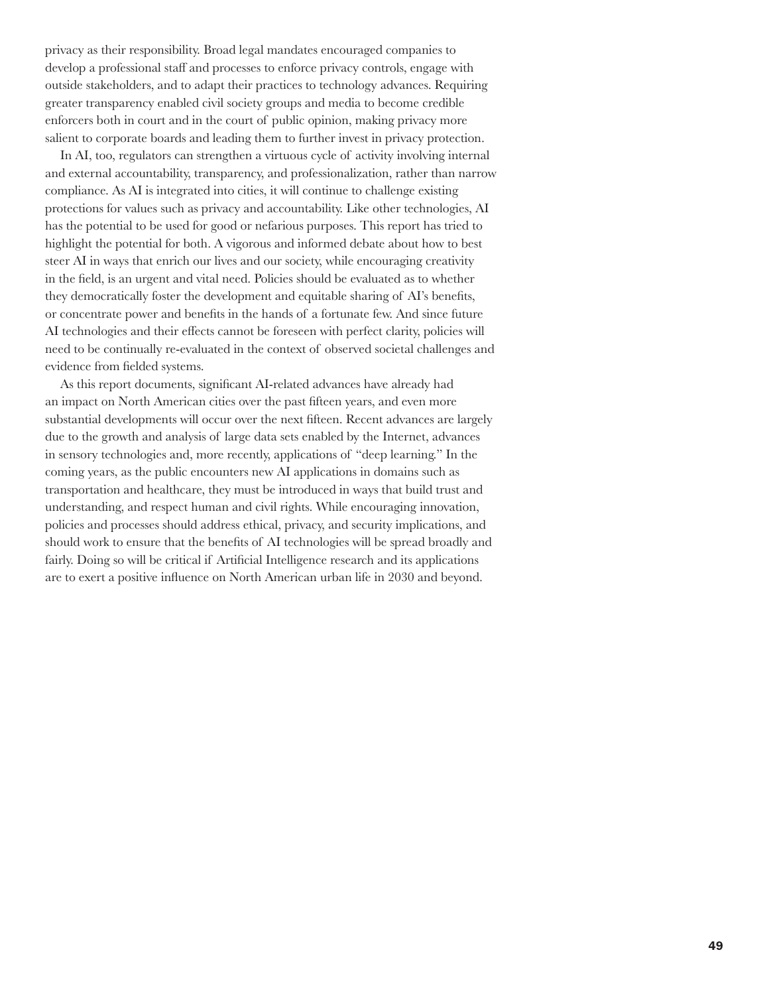privacy as their responsibility. Broad legal mandates encouraged companies to develop a professional staff and processes to enforce privacy controls, engage with outside stakeholders, and to adapt their practices to technology advances. Requiring greater transparency enabled civil society groups and media to become credible enforcers both in court and in the court of public opinion, making privacy more salient to corporate boards and leading them to further invest in privacy protection.

In AI, too, regulators can strengthen a virtuous cycle of activity involving internal and external accountability, transparency, and professionalization, rather than narrow compliance. As AI is integrated into cities, it will continue to challenge existing protections for values such as privacy and accountability. Like other technologies, AI has the potential to be used for good or nefarious purposes. This report has tried to highlight the potential for both. A vigorous and informed debate about how to best steer AI in ways that enrich our lives and our society, while encouraging creativity in the field, is an urgent and vital need. Policies should be evaluated as to whether they democratically foster the development and equitable sharing of AI's benefits, or concentrate power and benefits in the hands of a fortunate few. And since future AI technologies and their effects cannot be foreseen with perfect clarity, policies will need to be continually re-evaluated in the context of observed societal challenges and evidence from fielded systems.

As this report documents, significant AI-related advances have already had an impact on North American cities over the past fifteen years, and even more substantial developments will occur over the next fifteen. Recent advances are largely due to the growth and analysis of large data sets enabled by the Internet, advances in sensory technologies and, more recently, applications of "deep learning." In the coming years, as the public encounters new AI applications in domains such as transportation and healthcare, they must be introduced in ways that build trust and understanding, and respect human and civil rights. While encouraging innovation, policies and processes should address ethical, privacy, and security implications, and should work to ensure that the benefits of AI technologies will be spread broadly and fairly. Doing so will be critical if Artificial Intelligence research and its applications are to exert a positive influence on North American urban life in 2030 and beyond.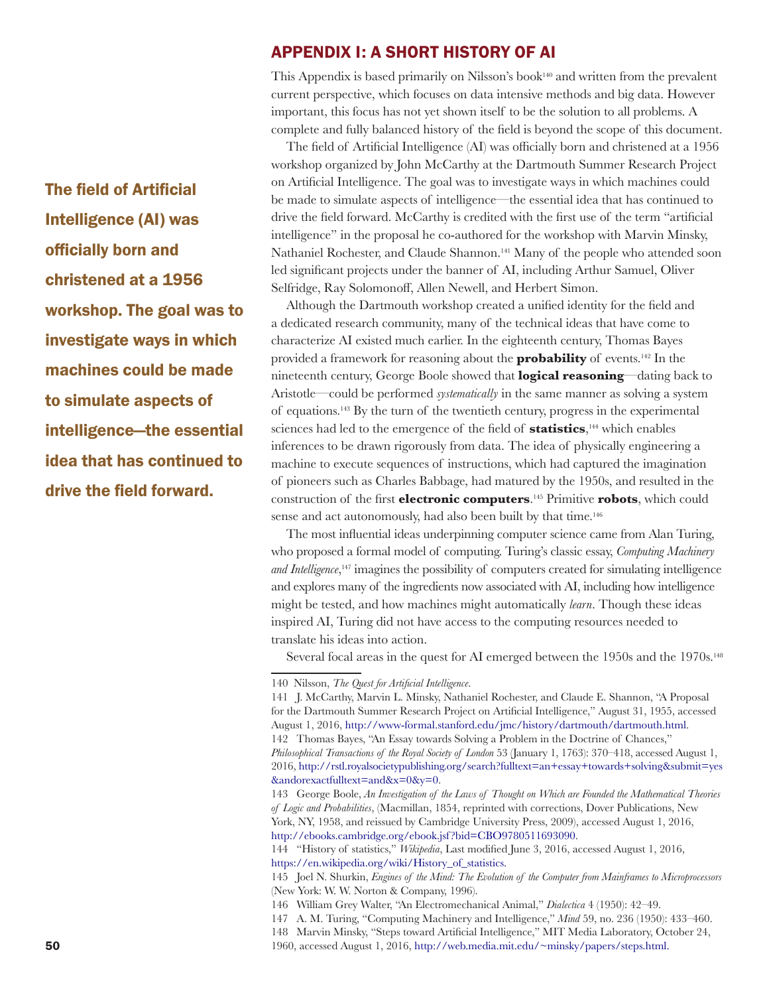The field of Artificial Intelligence (AI) was officially born and christened at a 1956 workshop. The goal was to investigate ways in which machines could be made to simulate aspects of intelligence—the essential idea that has continued to drive the field forward.

# APPENDIX I: A SHORT HISTORY OF AI

This Appendix is based primarily on Nilsson's book<sup>140</sup> and written from the prevalent current perspective, which focuses on data intensive methods and big data. However important, this focus has not yet shown itself to be the solution to all problems. A complete and fully balanced history of the field is beyond the scope of this document.

The field of Artificial Intelligence (AI) was officially born and christened at a 1956 workshop organized by John McCarthy at the Dartmouth Summer Research Project on Artificial Intelligence. The goal was to investigate ways in which machines could be made to simulate aspects of intelligence—the essential idea that has continued to drive the field forward. McCarthy is credited with the first use of the term "artificial intelligence" in the proposal he co-authored for the workshop with Marvin Minsky, Nathaniel Rochester, and Claude Shannon.<sup>141</sup> Many of the people who attended soon led significant projects under the banner of AI, including Arthur Samuel, Oliver Selfridge, Ray Solomonoff, Allen Newell, and Herbert Simon.

Although the Dartmouth workshop created a unified identity for the field and a dedicated research community, many of the technical ideas that have come to characterize AI existed much earlier. In the eighteenth century, Thomas Bayes provided a framework for reasoning about the **probability** of events.142 In the nineteenth century, George Boole showed that **logical reasoning**—dating back to Aristotle—could be performed *systematically* in the same manner as solving a system of equations.143 By the turn of the twentieth century, progress in the experimental sciences had led to the emergence of the field of **statistics**,<sup>144</sup> which enables inferences to be drawn rigorously from data. The idea of physically engineering a machine to execute sequences of instructions, which had captured the imagination of pioneers such as Charles Babbage, had matured by the 1950s, and resulted in the construction of the first **electronic computers**. 145 Primitive **robots**, which could sense and act autonomously, had also been built by that time.<sup>146</sup>

The most influential ideas underpinning computer science came from Alan Turing, who proposed a formal model of computing. Turing's classic essay, *Computing Machinery*  and Intelligence,<sup>147</sup> imagines the possibility of computers created for simulating intelligence and explores many of the ingredients now associated with AI, including how intelligence might be tested, and how machines might automatically *learn*. Though these ideas inspired AI, Turing did not have access to the computing resources needed to translate his ideas into action.

Several focal areas in the quest for AI emerged between the 1950s and the 1970s.<sup>148</sup>

<sup>140</sup> Nilsson, *The Quest for Artificial Intelligence*.

<sup>141</sup> J. McCarthy, Marvin L. Minsky, Nathaniel Rochester, and Claude E. Shannon, "A Proposal for the Dartmouth Summer Research Project on Artificial Intelligence," August 31, 1955, accessed August 1, 2016, http://www-formal.stanford.edu/jmc/history/dartmouth/dartmouth.html. 142 Thomas Bayes, "An Essay towards Solving a Problem in the Doctrine of Chances," *Philosophical Transactions of the Royal Society of London* 53 (January 1, 1763): 370–418, accessed August 1, 2016, http://rstl.royalsocietypublishing.org/search?fulltext=an+essay+towards+solving&submit=yes &andorexactfulltext=and&x=0&y=0.

<sup>143</sup> George Boole, *An Investigation of the Laws of Thought on Which are Founded the Mathematical Theories of Logic and Probabilities*, (Macmillan, 1854, reprinted with corrections, Dover Publications, New York, NY, 1958, and reissued by Cambridge University Press, 2009), accessed August 1, 2016, http://ebooks.cambridge.org/ebook.jsf ?bid=CBO9780511693090.

<sup>144 &</sup>quot;History of statistics," *Wikipedia*, Last modified June 3, 2016, accessed August 1, 2016, https://en.wikipedia.org/wiki/History\_of\_statistics.

<sup>145</sup> Joel N. Shurkin, *Engines of the Mind: The Evolution of the Computer from Mainframes to Microprocessors* (New York: W. W. Norton & Company, 1996).

<sup>146</sup> William Grey Walter, "An Electromechanical Animal," *Dialectica* 4 (1950): 42–49.

<sup>147</sup> A. M. Turing, "Computing Machinery and Intelligence," *Mind* 59, no. 236 (1950): 433–460.

<sup>148</sup> Marvin Minsky, "Steps toward Artificial Intelligence," MIT Media Laboratory, October 24,

<sup>1960,</sup> accessed August 1, 2016, http://web.media.mit.edu/~minsky/papers/steps.html.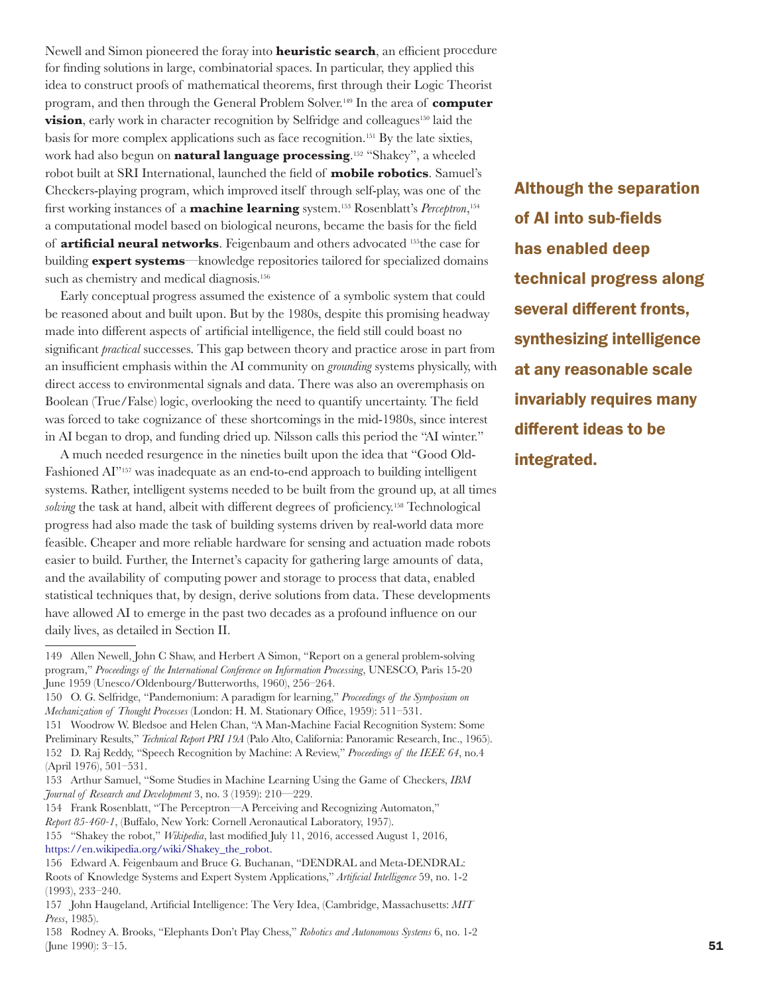Newell and Simon pioneered the foray into **heuristic search**, an efficient procedure for finding solutions in large, combinatorial spaces. In particular, they applied this idea to construct proofs of mathematical theorems, first through their Logic Theorist program, and then through the General Problem Solver.149 In the area of **computer vision**, early work in character recognition by Selfridge and colleagues<sup>150</sup> laid the basis for more complex applications such as face recognition.151 By the late sixties, work had also begun on **natural language processing**. 152 "Shakey", a wheeled robot built at SRI International, launched the field of **mobile robotics**. Samuel's Checkers-playing program, which improved itself through self-play, was one of the first working instances of a **machine learning** system.153 Rosenblatt's *Perceptron*, 154 a computational model based on biological neurons, became the basis for the field of **artificial neural networks**. Feigenbaum and others advocated 155the case for building **expert systems**—knowledge repositories tailored for specialized domains such as chemistry and medical diagnosis.<sup>156</sup>

Early conceptual progress assumed the existence of a symbolic system that could be reasoned about and built upon. But by the 1980s, despite this promising headway made into different aspects of artificial intelligence, the field still could boast no significant *practical* successes. This gap between theory and practice arose in part from an insufficient emphasis within the AI community on *grounding* systems physically, with direct access to environmental signals and data. There was also an overemphasis on Boolean (True/False) logic, overlooking the need to quantify uncertainty. The field was forced to take cognizance of these shortcomings in the mid-1980s, since interest in AI began to drop, and funding dried up. Nilsson calls this period the "AI winter."

A much needed resurgence in the nineties built upon the idea that "Good Old-Fashioned AI"157 was inadequate as an end-to-end approach to building intelligent systems. Rather, intelligent systems needed to be built from the ground up, at all times *solving* the task at hand, albeit with different degrees of proficiency.<sup>158</sup> Technological progress had also made the task of building systems driven by real-world data more feasible. Cheaper and more reliable hardware for sensing and actuation made robots easier to build. Further, the Internet's capacity for gathering large amounts of data, and the availability of computing power and storage to process that data, enabled statistical techniques that, by design, derive solutions from data. These developments have allowed AI to emerge in the past two decades as a profound influence on our daily lives, as detailed in Section II.

Although the separation of AI into sub-fields has enabled deep technical progress along several different fronts, synthesizing intelligence at any reasonable scale invariably requires many different ideas to be integrated.

<sup>149</sup> Allen Newell, John C Shaw, and Herbert A Simon, "Report on a general problem-solving program," *Proceedings of the International Conference on Information Processing*, UNESCO, Paris 15-20 June 1959 (Unesco/Oldenbourg/Butterworths, 1960), 256–264.

<sup>150</sup> O. G. Selfridge, "Pandemonium: A paradigm for learning," *Proceedings of the Symposium on Mechanization of Thought Processes* (London: H. M. Stationary Office, 1959): 511–531.

<sup>151</sup> Woodrow W. Bledsoe and Helen Chan, "A Man-Machine Facial Recognition System: Some Preliminary Results," *Technical Report PRI 19A* (Palo Alto, California: Panoramic Research, Inc., 1965). 152 D. Raj Reddy, "Speech Recognition by Machine: A Review," *Proceedings of the IEEE 64*, no.4 (April 1976), 501–531.

<sup>153</sup> Arthur Samuel, "Some Studies in Machine Learning Using the Game of Checkers, *IBM Journal of Research and Development* 3, no. 3 (1959): 210—229.

<sup>154</sup> Frank Rosenblatt, "The Perceptron—A Perceiving and Recognizing Automaton," *Report 85-460-1*, (Buffalo, New York: Cornell Aeronautical Laboratory, 1957). 155 "Shakey the robot," *Wikipedia*, last modified July 11, 2016, accessed August 1, 2016,

https://en.wikipedia.org/wiki/Shakey\_the\_robot.

<sup>156</sup> Edward A. Feigenbaum and Bruce G. Buchanan, "DENDRAL and Meta-DENDRAL: Roots of Knowledge Systems and Expert System Applications," *Artificial Intelligence* 59, no. 1-2 (1993), 233–240.

<sup>157</sup> John Haugeland, Artificial Intelligence: The Very Idea, (Cambridge, Massachusetts: *MIT Press*, 1985).

<sup>158</sup> Rodney A. Brooks, "Elephants Don't Play Chess," *Robotics and Autonomous Systems* 6, no. 1-2 (June 1990): 3–15.